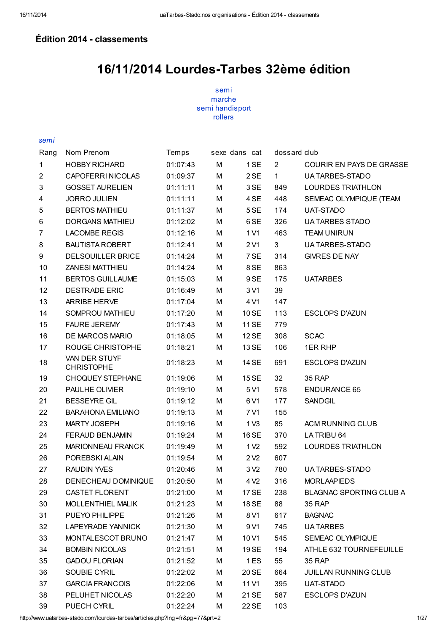### Édition 2014 - classements

## 16/11/2014 Lourdes-Tarbes 32ème édition

semi marche semi handisport rollers

#### semi

| Rang           | Nom Prenom                         | Temps    |   | sexe dans cat    | dossard club   |                             |
|----------------|------------------------------------|----------|---|------------------|----------------|-----------------------------|
| 1              | <b>HOBBY RICHARD</b>               | 01:07:43 | M | 1 SE             | $\overline{2}$ | COURIR EN PAYS DE GRASSE    |
| $\overline{c}$ | CAPOFERRI NICOLAS                  | 01:09:37 | M | 2 SE             | $\mathbf{1}$   | UA TARBES-STADO             |
| 3              | <b>GOSSET AURELIEN</b>             | 01:11:11 | M | 3 SE             | 849            | <b>LOURDES TRIATHLON</b>    |
| 4              | <b>JORRO JULIEN</b>                | 01:11:11 | M | 4 SE             | 448            | SEMEAC OLYMPIQUE (TEAM      |
| 5              | <b>BERTOS MATHIEU</b>              | 01:11:37 | М | 5 SE             | 174            | UAT-STADO                   |
| 6              | <b>DORGANS MATHIEU</b>             | 01:12:02 | М | 6 SE             | 326            | <b>UA TARBES STADO</b>      |
| $\overline{7}$ | <b>LACOMBE REGIS</b>               | 01:12:16 | М | 1 V1             | 463            | <b>TEAM UNIRUN</b>          |
| 8              | <b>BAUTISTA ROBERT</b>             | 01:12:41 | М | 2 V1             | 3              | UA TARBES-STADO             |
| 9              | DELSOUILLER BRICE                  | 01:14:24 | М | 7 SE             | 314            | <b>GIVRES DE NAY</b>        |
| 10             | <b>ZANESI MATTHIEU</b>             | 01:14:24 | М | 8 SE             | 863            |                             |
| 11             | <b>BERTOS GUILLAUME</b>            | 01:15:03 | М | 9 SE             | 175            | <b>UATARBES</b>             |
| 12             | <b>DESTRADE ERIC</b>               | 01:16:49 | М | 3 V1             | 39             |                             |
| 13             | ARRIBE HERVE                       | 01:17:04 | М | 4 V1             | 147            |                             |
| 14             | SOMPROU MATHIEU                    | 01:17:20 | M | 10 SE            | 113            | <b>ESCLOPS D'AZUN</b>       |
| 15             | <b>FAURE JEREMY</b>                | 01:17:43 | М | 11 SE            | 779            |                             |
| 16             | DE MARCOS MARIO                    | 01:18:05 | M | 12 SE            | 308            | <b>SCAC</b>                 |
| 17             | ROUGE CHRISTOPHE                   | 01:18:21 | M | 13 SE            | 106            | 1ER RHP                     |
| 18             | VAN DER STUYF<br><b>CHRISTOPHE</b> | 01:18:23 | М | 14 SE            | 691            | <b>ESCLOPS D'AZUN</b>       |
| 19             | CHOQUEY STEPHANE                   | 01:19:06 | M | 15 SE            | 32             | 35 RAP                      |
| 20             | PAULHE OLIVIER                     | 01:19:10 | М | 5 V1             | 578            | ENDURANCE 65                |
| 21             | <b>BESSEYRE GIL</b>                | 01:19:12 | M | 6 V1             | 177            | SANDGIL                     |
| 22             | <b>BARAHONA EMILIANO</b>           | 01:19:13 | М | 7 V1             | 155            |                             |
| 23             | <b>MARTY JOSEPH</b>                | 01:19:16 | М | 1 <sub>V3</sub>  | 85             | ACM RUNNING CLUB            |
| 24             | FERAUD BENJAMIN                    | 01:19:24 | M | 16 SE            | 370            | LATRIBU 64                  |
| 25             | MARIONNEAU FRANCK                  | 01:19:49 | M | 1 V <sub>2</sub> | 592            | <b>LOURDES TRIATHLON</b>    |
| 26             | POREBSKI ALAIN                     | 01:19:54 | М | 2 <sub>2</sub>   | 607            |                             |
| 27             | <b>RAUDIN YVES</b>                 | 01:20:46 | M | 3 <sub>2</sub>   | 780            | UA TARBES-STADO             |
| 28             | DENECHEAU DOMINIQUE                | 01:20:50 | M | 4 V <sub>2</sub> | 316            | <b>MORLAAPIEDS</b>          |
| 29             | CASTET FLORENT                     | 01:21:00 | М | 17 SE            | 238            | BLAGNAC SPORTING CLUB A     |
| 30             | MOLLENTHIEL MALIK                  | 01:21:23 | М | 18 SE            | 88             | 35 RAP                      |
| 31             | PUEYO PHILIPPE                     | 01:21:26 | М | 8 V1             | 617            | <b>BAGNAC</b>               |
| 32             | LAPEYRADE YANNICK                  | 01:21:30 | М | 9 V1             | 745            | <b>UATARBES</b>             |
| 33             | MONTALESCOT BRUNO                  | 01:21:47 | М | 10 <sub>V1</sub> | 545            | SEMEAC OLYMPIQUE            |
| 34             | <b>BOMBIN NICOLAS</b>              | 01:21:51 | M | 19 SE            | 194            | ATHLE 632 TOURNEFEUILLE     |
| 35             | <b>GADOU FLORIAN</b>               | 01:21:52 | M | 1ES              | 55             | 35 RAP                      |
| 36             | SOUBIE CYRIL                       | 01:22:02 | М | 20 SE            | 664            | <b>JUILLAN RUNNING CLUB</b> |
| 37             | <b>GARCIA FRANCOIS</b>             | 01:22:06 | M | 11 V1            | 395            | UAT-STADO                   |
| 38             | PELUHET NICOLAS                    | 01:22:20 | M | 21 SE            | 587            | <b>ESCLOPS D'AZUN</b>       |
| 39             | PUECH CYRIL                        | 01:22:24 | М | 22 SE            | 103            |                             |

http://www.uatarbes-stado.com/lourdes-tarbes/articles.php?lng=fr&pg=77&prt=2 1/27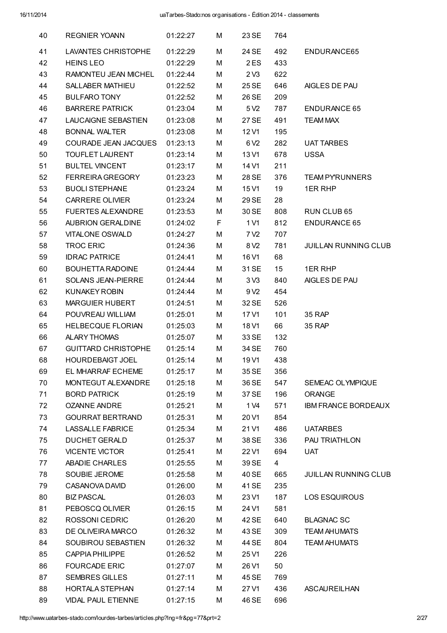| 40 | <b>REGNIER YOANN</b>       | 01:22:27 | м | 23 SE            | 764 |                             |
|----|----------------------------|----------|---|------------------|-----|-----------------------------|
| 41 | <b>LAVANTES CHRISTOPHE</b> | 01:22:29 | М | 24 SE            | 492 | ENDURANCE65                 |
| 42 | <b>HEINS LEO</b>           | 01:22:29 | М | 2 ES             | 433 |                             |
| 43 | RAMONTEU JEAN MICHEL       | 01:22:44 | М | 2 <sub>V3</sub>  | 622 |                             |
| 44 | <b>SALLABER MATHIEU</b>    | 01:22:52 | М | 25 SE            | 646 | AIGLES DE PAU               |
| 45 | <b>BULFARO TONY</b>        | 01:22:52 | М | 26 SE            | 209 |                             |
| 46 | <b>BARRERE PATRICK</b>     | 01:23:04 | M | 5 V <sub>2</sub> | 787 | <b>ENDURANCE 65</b>         |
| 47 | LAUCAIGNE SEBASTIEN        | 01:23:08 | М | 27 SE            | 491 | <b>TEAM MAX</b>             |
| 48 | <b>BONNAL WALTER</b>       | 01:23:08 | М | 12 V1            | 195 |                             |
| 49 | COURADE JEAN JACQUES       | 01:23:13 | М | 6 V <sub>2</sub> | 282 | <b>UAT TARBES</b>           |
| 50 | <b>TOUFLET LAURENT</b>     | 01:23:14 | М | 13 V1            | 678 | <b>USSA</b>                 |
| 51 | <b>BULTEL VINCENT</b>      | 01:23:17 | М | 14 V1            | 211 |                             |
| 52 | <b>FERREIRA GREGORY</b>    | 01:23:23 | М | 28 SE            | 376 | <b>TEAM PYRUNNERS</b>       |
| 53 | <b>BUOLI STEPHANE</b>      | 01:23:24 | М | 15 V1            | 19  | <b>1ER RHP</b>              |
| 54 | <b>CARRERE OLIVIER</b>     | 01:23:24 | М | 29 SE            | 28  |                             |
| 55 | <b>FUERTES ALEXANDRE</b>   | 01:23:53 | М | 30 SE            | 808 | RUN CLUB 65                 |
| 56 | <b>AUBRION GERALDINE</b>   | 01:24:02 | F | 1 V1             | 812 | <b>ENDURANCE 65</b>         |
| 57 | <b>VITALONE OSWALD</b>     | 01:24:27 | М | 7 V <sub>2</sub> | 707 |                             |
| 58 | <b>TROC ERIC</b>           | 01:24:36 | М | 8 V <sub>2</sub> | 781 | <b>JUILLAN RUNNING CLUB</b> |
| 59 | <b>IDRAC PATRICE</b>       | 01:24:41 | М | 16 V1            | 68  |                             |
| 60 | BOUHETTA RADOINE           | 01:24:44 | М | 31 SE            | 15  | 1ER RHP                     |
| 61 | <b>SOLANS JEAN-PIERRE</b>  | 01:24:44 | М | 3 <sub>V</sub> 3 | 840 | AIGLES DE PAU               |
| 62 | <b>KUNAKEY ROBIN</b>       | 01:24:44 | М | 9 V <sub>2</sub> | 454 |                             |
| 63 | <b>MARGUIER HUBERT</b>     | 01:24:51 | М | 32 SE            | 526 |                             |
| 64 | POUVREAU WILLIAM           | 01:25:01 | М | 17 V1            | 101 | 35 RAP                      |
| 65 | HELBECQUE FLORIAN          | 01:25:03 | м | 18 V1            | 66  | 35 RAP                      |
| 66 | ALARY THOMAS               | 01:25:07 | М | 33 SE            | 132 |                             |
| 67 | <b>GUITTARD CHRISTOPHE</b> | 01:25:14 | М | 34 SE            | 760 |                             |
| 68 | <b>HOURDEBAIGT JOEL</b>    | 01:25:14 | M | 19 V1            | 438 |                             |
| 69 | EL MHARRAF ECHEME          | 01:25:17 | М | 35 SE            | 356 |                             |
| 70 | MONTEGUT ALEXANDRE         | 01:25:18 | М | 36 SE            | 547 | SEMEAC OLYMPIQUE            |
| 71 | <b>BORD PATRICK</b>        | 01:25:19 | М | 37 SE            | 196 | <b>ORANGE</b>               |
| 72 | <b>OZANNE ANDRE</b>        | 01:25:21 | М | 1 V <sub>4</sub> | 571 | <b>IBM FRANCE BORDEAUX</b>  |
| 73 | <b>GOURRAT BERTRAND</b>    | 01:25:31 | М | 20 V1            | 854 |                             |
| 74 | <b>LASSALLE FABRICE</b>    | 01:25:34 | М | 21 V1            | 486 | <b>UATARBES</b>             |
| 75 | <b>DUCHET GERALD</b>       | 01:25:37 | М | 38 SE            | 336 | <b>PAU TRIATHLON</b>        |
| 76 | <b>VICENTE VICTOR</b>      | 01:25:41 | М | 22 V1            | 694 | UAT                         |
| 77 | ABADIE CHARLES             | 01:25:55 | М | 39 SE            | 4   |                             |
| 78 | SOUBIE JEROME              | 01:25:58 | м | 40 SE            | 665 | <b>JUILLAN RUNNING CLUB</b> |
| 79 | CASANOVA DAVID             | 01:26:00 | М | 41 SE            | 235 |                             |
| 80 | <b>BIZ PASCAL</b>          | 01:26:03 | м | 23 V1            | 187 | <b>LOS ESQUIROUS</b>        |
| 81 | PEBOSCQ OLIVIER            | 01:26:15 | М | 24 V1            | 581 |                             |
| 82 | ROSSONI CEDRIC             | 01:26:20 | M | 42 SE            | 640 | <b>BLAGNAC SC</b>           |
| 83 | DE OLIVEIRA MARCO          | 01:26:32 | М | 43 SE            | 309 | <b>TEAM AHUMATS</b>         |
| 84 | SOUBIROU SEBASTIEN         | 01:26:32 | М | 44 SE            | 804 | <b>TEAM AHUMATS</b>         |
| 85 | <b>CAPPIA PHILIPPE</b>     | 01:26:52 | М | 25 V1            | 226 |                             |
| 86 | <b>FOURCADE ERIC</b>       | 01:27:07 | М | 26 V1            | 50  |                             |
| 87 | <b>SEMBRES GILLES</b>      | 01:27:11 | М | 45 SE            | 769 |                             |
| 88 | <b>HORTALA STEPHAN</b>     | 01:27:14 | M | 27 V1            | 436 | ASCAUREILHAN                |
| 89 | <b>VIDAL PAUL ETIENNE</b>  | 01:27:15 | M | 46 SE            | 696 |                             |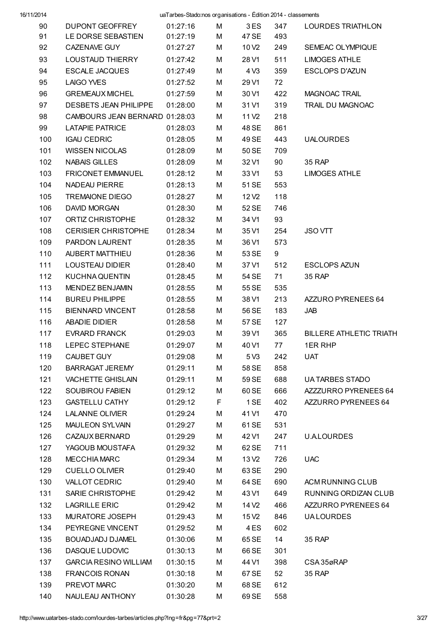| 16/11/2014 |
|------------|
|------------|

| 20 I T |                                |          | $\alpha$ and $\alpha$ be conducting only annoaled is $\alpha$ control to $\alpha$ . Chassen for the |                   |     |                                |
|--------|--------------------------------|----------|-----------------------------------------------------------------------------------------------------|-------------------|-----|--------------------------------|
| 90     | DUPONT GEOFFREY                | 01:27:16 |                                                                                                     | M 3 ES            | 347 | LOURDES TRIATHLON              |
| 91     | LE DORSE SEBASTIEN             | 01:27:19 | M                                                                                                   | 47 SE             | 493 |                                |
| 92     | CAZENAVE GUY                   | 01:27:27 | М                                                                                                   | 10 V2             | 249 | SEMEAC OLYMPIQUE               |
| 93     | LOUSTAUD THIERRY               | 01:27:42 | M                                                                                                   | 28 V1             | 511 | <b>LIMOGES ATHLE</b>           |
| 94     | <b>ESCALE JACQUES</b>          | 01:27:49 | M                                                                                                   | 4 <sup>2</sup>    | 359 | <b>ESCLOPS D'AZUN</b>          |
| 95     | LAIGO YVES                     | 01:27:52 | M                                                                                                   | 29 V1             | 72  |                                |
| 96     | <b>GREMEAUX MICHEL</b>         | 01:27:59 | М                                                                                                   | 30 V1             | 422 | MAGNOAC TRAIL                  |
| 97     | DESBETS JEAN PHILIPPE 01:28:00 |          | М                                                                                                   | 31 V1             | 319 | <b>TRAIL DU MAGNOAC</b>        |
| 98     | CAMBOURS JEAN BERNARD 01:28:03 |          | М                                                                                                   | 11 V <sub>2</sub> | 218 |                                |
| 99     | <b>LATAPIE PATRICE</b>         | 01:28:03 | М                                                                                                   | 48 SE             | 861 |                                |
| 100    | <b>IGAU CEDRIC</b>             | 01:28:05 | М                                                                                                   | 49 SE             | 443 | <b>UALOURDES</b>               |
| 101    | <b>WISSEN NICOLAS</b>          | 01:28:09 | М                                                                                                   | 50 SE             | 709 |                                |
| 102    | NABAIS GILLES                  | 01:28:09 | М                                                                                                   | 32 V1             | 90  | 35 RAP                         |
| 103    | <b>FRICONET EMMANUEL</b>       | 01:28:12 | М                                                                                                   | 33 V1             | 53  | <b>LIMOGES ATHLE</b>           |
| 104    | NADEAU PIERRE                  | 01:28:13 | М                                                                                                   | 51 SE             | 553 |                                |
| 105    | <b>TREMAIONE DIEGO</b>         | 01:28:27 | М                                                                                                   | 12 V <sub>2</sub> | 118 |                                |
| 106    | DAVID MORGAN                   | 01:28:30 | М                                                                                                   | 52 SE             | 746 |                                |
| 107    | ORTIZ CHRISTOPHE               | 01:28:32 | М                                                                                                   | 34 V1             | 93  |                                |
| 108    | <b>CERISIER CHRISTOPHE</b>     | 01:28:34 | М                                                                                                   | 35 V1             | 254 | <b>JSO VTT</b>                 |
| 109    | PARDON LAURENT                 | 01:28:35 | M                                                                                                   | 36 V1             | 573 |                                |
| 110    | AUBERT MATTHIEU                | 01:28:36 | M                                                                                                   | 53 SE             | 9   |                                |
| 111    | LOUSTEAU DIDIER                | 01:28:40 | М                                                                                                   | 37 V1             | 512 | <b>ESCLOPS AZUN</b>            |
| 112    | KUCHNA QUENTIN                 | 01:28:45 | М                                                                                                   | 54 SE             | 71  | 35 RAP                         |
| 113    | MENDEZ BENJAMIN                | 01:28:55 | М                                                                                                   | 55 SE             | 535 |                                |
| 114    | <b>BUREU PHILIPPE</b>          | 01:28:55 | М                                                                                                   | 38 V1             | 213 | AZZURO PYRENEES 64             |
| 115    | BIENNARD VINCENT               | 01:28:58 | M                                                                                                   | 56 SE             | 183 | JAB                            |
| 116    | ABADIE DIDIER                  | 01:28:58 | М                                                                                                   | 57 SE             | 127 |                                |
| 117    | <b>EVRARD FRANCK</b>           | 01:29:03 | M                                                                                                   | 39 V1             | 365 | <b>BILLERE ATHLETIC TRIATH</b> |
| 118    | LEPEC STEPHANE                 | 01:29:07 | М                                                                                                   | 40 V1             | 77  | 1ER RHP                        |
| 119    | CAUBET GUY                     | 01:29:08 | М                                                                                                   | 5 <sup>2</sup>    | 242 | UAT                            |
| 120    | <b>BARRAGAT JEREMY</b>         | 01:29:11 | М                                                                                                   | 58 SE             | 858 |                                |
| 121    | <b>VACHETTE GHISLAIN</b>       | 01:29:11 | М                                                                                                   | 59 SE             | 688 | <b>UA TARBES STADO</b>         |
| 122    | <b>SOUBIROU FABIEN</b>         | 01:29:12 | M                                                                                                   | 60 SE             | 666 | AZZZURRO PYRENEES 64           |
| 123    | <b>GASTELLU CATHY</b>          | 01:29:12 | F                                                                                                   | 1 SE              | 402 | AZZURRO PYRENEES 64            |
| 124    | <b>LALANNE OLIVIER</b>         | 01:29:24 | М                                                                                                   | 41 V1             | 470 |                                |
| 125    | MAULEON SYLVAIN                | 01:29:27 | M                                                                                                   | 61 SE             | 531 |                                |
| 126    | CAZAUX BERNARD                 | 01:29:29 | M                                                                                                   | 42 V1             | 247 | <b>U.ALOURDES</b>              |
| 127    | YAGOUB MOUSTAFA                | 01:29:32 | М                                                                                                   | 62 SE             | 711 |                                |
| 128    | <b>MECCHIA MARC</b>            | 01:29:34 | м                                                                                                   | 13 V <sub>2</sub> | 726 | <b>UAC</b>                     |
| 129    | <b>CUELLO OLIVIER</b>          | 01:29:40 | М                                                                                                   | 63 SE             | 290 |                                |
| 130    | <b>VALLOT CEDRIC</b>           | 01:29:40 | M                                                                                                   | 64 SE             | 690 | ACM RUNNING CLUB               |
| 131    | SARIE CHRISTOPHE               | 01:29:42 | M                                                                                                   | 43 V1             | 649 | RUNNING ORDIZAN CLUB           |
| 132    | <b>LAGRILLE ERIC</b>           | 01:29:42 | М                                                                                                   | 14 V <sub>2</sub> | 466 | AZZURRO PYRENEES 64            |
| 133    | MURATORE JOSEPH                | 01:29:43 | M                                                                                                   | 15 V <sub>2</sub> | 846 | <b>UALOURDES</b>               |
| 134    | PEYREGNE VINCENT               | 01:29:52 | М                                                                                                   | 4 ES              | 602 |                                |
| 135    | <b>BOUADJADJ DJAMEL</b>        | 01:30:06 | М                                                                                                   | 65 SE             | 14  | 35 RAP                         |
| 136    | DASQUE LUDOVIC                 | 01:30:13 | М                                                                                                   | 66 SE             | 301 |                                |
| 137    | <b>GARCIA RESINO WILLIAM</b>   | 01:30:15 | M                                                                                                   | 44 V1             | 398 | CSA35øRAP                      |
| 138    | <b>FRANCOIS RONAN</b>          | 01:30:18 | M                                                                                                   | 67 SE             | 52  | 35 RAP                         |
| 139    | PREVOT MARC                    | 01:30:20 | M                                                                                                   | 68 SE             | 612 |                                |
| 140    | NAULEAU ANTHONY                | 01:30:28 | Μ                                                                                                   | 69 SE             | 558 |                                |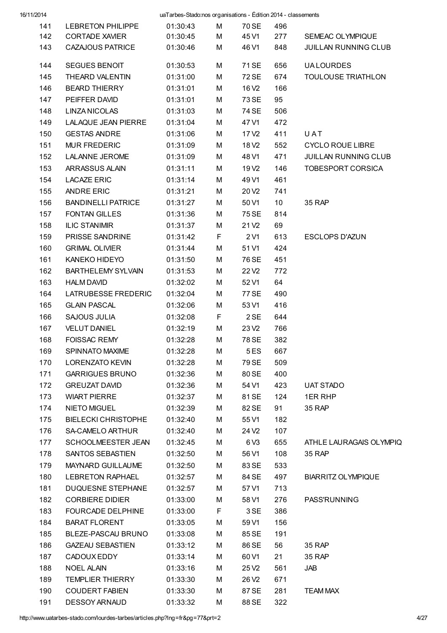| 16/11/2014 |                            | uaTarbes-Stado:nos organisations - Édition 2014 - classements |   |                   |                 |                             |
|------------|----------------------------|---------------------------------------------------------------|---|-------------------|-----------------|-----------------------------|
| 141        | LEBRETON PHILIPPE          | 01:30:43                                                      | M | 70 SE             | 496             |                             |
| 142        | <b>CORTADE XAVIER</b>      | 01:30:45                                                      | M | 45 V1             | 277             | SEMEAC OLYMPIQUE            |
| 143        | <b>CAZAJOUS PATRICE</b>    | 01:30:46                                                      | М | 46 V1             | 848             | <b>JUILLAN RUNNING CLUB</b> |
| 144        | <b>SEGUES BENOIT</b>       | 01:30:53                                                      | М | 71 SE             | 656             | <b>UALOURDES</b>            |
| 145        | THEARD VALENTIN            | 01:31:00                                                      | M | 72 SE             | 674             | <b>TOULOUSE TRIATHLON</b>   |
| 146        | <b>BEARD THIERRY</b>       | 01:31:01                                                      | М | 16 V <sub>2</sub> | 166             |                             |
| 147        | PEIFFER DAVID              | 01:31:01                                                      | M | 73 SE             | 95              |                             |
| 148        | <b>LINZA NICOLAS</b>       | 01:31:03                                                      | M | 74 SE             | 506             |                             |
| 149        | <b>LALAQUE JEAN PIERRE</b> | 01:31:04                                                      | М | 47 V1             | 472             |                             |
| 150        | <b>GESTAS ANDRE</b>        | 01:31:06                                                      | М | 17 V <sub>2</sub> | 411             | U A T                       |
| 151        | <b>MUR FREDERIC</b>        | 01:31:09                                                      | М | 18 V <sub>2</sub> | 552             | <b>CYCLO ROUE LIBRE</b>     |
| 152        | <b>LALANNE JEROME</b>      | 01:31:09                                                      | М | 48 V1             | 471             | JUILLAN RUNNING CLUB        |
| 153        | ARRASSUS ALAIN             | 01:31:11                                                      | М | 19 V <sub>2</sub> | 146             | <b>TOBESPORT CORSICA</b>    |
| 154        | <b>LACAZE ERIC</b>         | 01:31:14                                                      | М | 49 V1             | 461             |                             |
| 155        | ANDRE ERIC                 | 01:31:21                                                      | М | 20 V <sub>2</sub> | 741             |                             |
| 156        | <b>BANDINELLI PATRICE</b>  | 01:31:27                                                      | М | 50 V1             | 10 <sup>°</sup> | 35 RAP                      |
| 157        | <b>FONTAN GILLES</b>       | 01:31:36                                                      | М | 75 SE             | 814             |                             |
| 158        | <b>ILIC STANIMIR</b>       | 01:31:37                                                      | М | 21 V <sub>2</sub> | 69              |                             |
| 159        | PRISSE SANDRINE            | 01:31:42                                                      | F | 2 V1              | 613             | <b>ESCLOPS D'AZUN</b>       |
| 160        | <b>GRIMAL OLIVIER</b>      | 01:31:44                                                      | М | 51 V1             | 424             |                             |
| 161        | KANEKO HIDEYO              | 01:31:50                                                      | M | 76 SE             | 451             |                             |
| 162        | <b>BARTHELEMY SYLVAIN</b>  | 01:31:53                                                      | M | 22V <sub>2</sub>  | 772             |                             |
| 163        | <b>HALM DAVID</b>          | 01:32:02                                                      | М | 52 V1             | 64              |                             |
| 164        | LATRUBESSE FREDERIC        | 01:32:04                                                      | М | 77 SE             | 490             |                             |
| 165        | <b>GLAIN PASCAL</b>        | 01:32:06                                                      | М | 53 V1             | 416             |                             |
| 166        | <b>SAJOUS JULIA</b>        | 01:32:08                                                      | F | 2 SE              | 644             |                             |
| 167        | <b>VELUT DANIEL</b>        | 01:32:19                                                      | М | 23 V <sub>2</sub> | 766             |                             |
| 168        | <b>FOISSAC REMY</b>        | 01:32:28                                                      | М | 78 SE             | 382             |                             |
| 169        | SPINNATO MAXIME            | 01:32:28                                                      | М | 5ES               | 667             |                             |
| 170        | <b>LORENZATO KEVIN</b>     | 01:32:28                                                      | М | 79 SE             | 509             |                             |
| 171        | <b>GARRIGUES BRUNO</b>     | 01:32:36                                                      | М | 80 SE             | 400             |                             |
| 172        | <b>GREUZAT DAVID</b>       | 01:32:36                                                      | М | 54 V1             | 423             | <b>UAT STADO</b>            |
| 173        | <b>WIART PIERRE</b>        | 01:32:37                                                      | М | 81 SE             | 124             | 1ER RHP                     |
| 174        | <b>NIETO MIGUEL</b>        | 01:32:39                                                      | М | 82 SE             | 91              | 35 RAP                      |
| 175        | <b>BIELECKI CHRISTOPHE</b> | 01:32:40                                                      | М | 55 V1             | 182             |                             |
| 176        | <b>SA-CAMELO ARTHUR</b>    | 01:32:40                                                      | М | 24 V <sub>2</sub> | 107             |                             |
| 177        | SCHOOLMEESTER JEAN         | 01:32:45                                                      | М | 6 V <sub>3</sub>  | 655             | ATHLE LAURAGAIS OLYMPIQ     |
| 178        | SANTOS SEBASTIEN           | 01:32:50                                                      | М | 56 V1             | 108             | 35 RAP                      |
| 179        | MAYNARD GUILLAUME          | 01:32:50                                                      | М | 83 SE             | 533             |                             |
| 180        | <b>LEBRETON RAPHAEL</b>    | 01:32:57                                                      | М | 84 SE             | 497             | <b>BIARRITZ OLYMPIQUE</b>   |
| 181        | DUQUESNE STEPHANE          | 01:32:57                                                      | М | 57 V1             | 713             |                             |
| 182        | <b>CORBIERE DIDIER</b>     | 01:33:00                                                      | М | 58 V1             | 276             | <b>PASS'RUNNING</b>         |
| 183        | FOURCADE DELPHINE          | 01:33:00                                                      | F | 3 SE              | 386             |                             |
| 184        | <b>BARAT FLORENT</b>       | 01:33:05                                                      | М | 59 V1             | 156             |                             |
| 185        | BLEZE-PASCAU BRUNO         | 01:33:08                                                      | М | 85 SE             | 191             |                             |
| 186        | <b>GAZEAU SEBASTIEN</b>    | 01:33:12                                                      | М | 86 SE             | 56              | 35 RAP                      |
| 187        | CADOUX EDDY                | 01:33:14                                                      | М | 60 V1             | 21              | 35 RAP                      |
| 188        | <b>NOEL ALAIN</b>          | 01:33:16                                                      | М | 25 V <sub>2</sub> | 561             | JAB                         |
| 189        | <b>TEMPLIER THIERRY</b>    | 01:33:30                                                      | М | 26 V <sub>2</sub> | 671             |                             |
| 190        | <b>COUDERT FABIEN</b>      | 01:33:30                                                      | М | 87 SE             | 281             | <b>TEAM MAX</b>             |
| 191        | <b>DESSOY ARNAUD</b>       | 01:33:32                                                      | М | 88 SE             | 322             |                             |
|            |                            |                                                               |   |                   |                 |                             |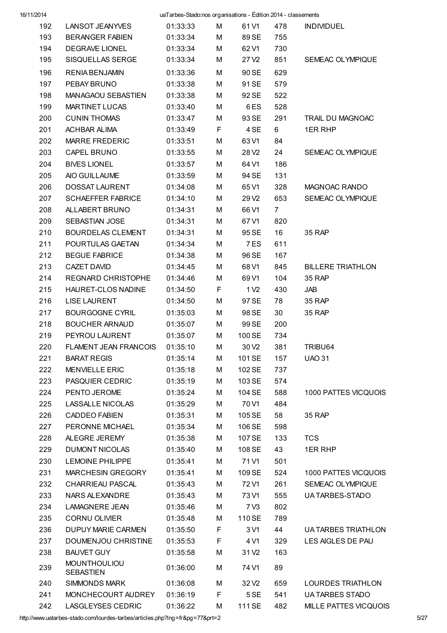| 16/11/2014 |                                          | uaTarbes-Stado:nos organisations - Édition 2014 - classements |   |                   |                |                            |
|------------|------------------------------------------|---------------------------------------------------------------|---|-------------------|----------------|----------------------------|
| 192        | LANSOT JEANYVES                          | 01:33:33                                                      | М | 61 V1             | 478            | <b>INDIVIDUEL</b>          |
| 193        | <b>BERANGER FABIEN</b>                   | 01:33:34                                                      | М | 89 SE             | 755            |                            |
| 194        | <b>DEGRAVE LIONEL</b>                    | 01:33:34                                                      | м | 62 V1             | 730            |                            |
| 195        | SISQUELLAS SERGE                         | 01:33:34                                                      | M | 27 V <sub>2</sub> | 851            | SEMEAC OLYMPIQUE           |
| 196        | <b>RENIA BENJAMIN</b>                    | 01:33:36                                                      | М | 90 SE             | 629            |                            |
| 197        | PEBAY BRUNO                              | 01:33:38                                                      | М | 91 SE             | 579            |                            |
| 198        | <b>MANAGAOU SEBASTIEN</b>                | 01:33:38                                                      | М | 92 SE             | 522            |                            |
| 199        | <b>MARTINET LUCAS</b>                    | 01:33:40                                                      | м | 6ES               | 528            |                            |
| 200        | <b>CUNIN THOMAS</b>                      | 01:33:47                                                      | м | 93 SE             | 291            | TRAIL DU MAGNOAC           |
| 201        | <b>ACHBAR ALIMA</b>                      | 01:33:49                                                      | F | 4 SE              | 6              | 1ER RHP                    |
| 202        | <b>MARRE FREDERIC</b>                    | 01:33:51                                                      | M | 63 V1             | 84             |                            |
| 203        | CAPEL BRUNO                              | 01:33:55                                                      | м | 28 V <sub>2</sub> | 24             | SEMEAC OLYMPIQUE           |
| 204        | <b>BIVES LIONEL</b>                      | 01:33:57                                                      | М | 64 V1             | 186            |                            |
| 205        | AIO GUILLAUME                            | 01:33:59                                                      | М | 94 SE             | 131            |                            |
| 206        | DOSSAT LAURENT                           | 01:34:08                                                      | м | 65 V1             | 328            | MAGNOAC RANDO              |
| 207        | <b>SCHAEFFER FABRICE</b>                 | 01:34:10                                                      | м | 29 V <sub>2</sub> | 653            | SEMEAC OLYMPIQUE           |
| 208        | ALLABERT BRUNO                           | 01:34:31                                                      | М | 66 V1             | $\overline{7}$ |                            |
| 209        | SEBASTIAN JOSE                           | 01:34:31                                                      | М | 67 V1             | 820            |                            |
| 210        | <b>BOURDELAS CLEMENT</b>                 | 01:34:31                                                      | М | 95 SE             | 16             | 35 RAP                     |
| 211        | POURTULAS GAETAN                         | 01:34:34                                                      | М | 7 ES              | 611            |                            |
| 212        | <b>BEGUE FABRICE</b>                     | 01:34:38                                                      | М | 96 SE             | 167            |                            |
| 213        | <b>CAZET DAVID</b>                       | 01:34:45                                                      | м | 68 V1             | 845            | <b>BILLERE TRIATHLON</b>   |
| 214        | <b>REGNARD CHRISTOPHE</b>                | 01:34:46                                                      | м | 69 V1             | 104            | 35 RAP                     |
| 215        | HAURET-CLOS NADINE                       | 01:34:50                                                      | F | 1 V <sub>2</sub>  | 430            | JAB                        |
| 216        | <b>LISE LAURENT</b>                      | 01:34:50                                                      | M | 97 SE             | 78             | 35 RAP                     |
| 217        | <b>BOURGOGNE CYRIL</b>                   | 01:35:03                                                      | м | 98 SE             | 30             | 35 RAP                     |
| 218        | <b>BOUCHER ARNAUD</b>                    | 01:35:07                                                      | M | 99 SE             | 200            |                            |
| 219        | PEYROU LAURENT                           | 01:35:07                                                      | М | 100 SE            | 734            |                            |
| 220        | FLAMENT JEAN FRANCOIS                    | 01:35:10                                                      | M | 30 V <sub>2</sub> | 381            | TRIBU64                    |
| 221        | <b>BARAT REGIS</b>                       | 01:35:14                                                      | м | 101 SE            | 157            | <b>UAO 31</b>              |
| 222        | <b>MENVIELLE ERIC</b>                    | 01:35:18                                                      | м | 102 SE            | 737            |                            |
| 223        | <b>PASQUIER CEDRIC</b>                   | 01:35:19                                                      | M | 103 SE            | 574            |                            |
| 224        | PENTO JEROME                             | 01:35:24                                                      | M | 104 SE            | 588            | 1000 PATTES VICQUOIS       |
| 225        | LASSALLE NICOLAS                         | 01:35:29                                                      | M | 70 V1             | 484            |                            |
| 226        | CADDEO FABIEN                            | 01:35:31                                                      | м | 105 SE            | 58             | 35 RAP                     |
| 227        | PERONNE MICHAEL                          | 01:35:34                                                      | M | 106 SE            | 598            |                            |
| 228        | ALEGRE JEREMY                            | 01:35:38                                                      | м | 107 SE            | 133            | <b>TCS</b>                 |
| 229        | <b>DUMONT NICOLAS</b>                    | 01:35:40                                                      | м | 108 SE            | 43             | 1ER RHP                    |
| 230        | LEMOINE PHILIPPE                         | 01:35:41                                                      | м | 71 V1             | 501            |                            |
| 231        | MARCHESIN GREGORY                        | 01:35:41                                                      | м | 109 SE            | 524            | 1000 PATTES VICQUOIS       |
| 232        | CHARRIEAU PASCAL                         | 01:35:43                                                      | M | 72 V1             | 261            | SEMEAC OLYMPIQUE           |
| 233        | NARS ALEXANDRE                           | 01:35:43                                                      | м | 73 V1             | 555            | UA TARBES-STADO            |
| 234        | <b>LAMAGNERE JEAN</b>                    | 01:35:46                                                      | м | 7 V3              | 802            |                            |
| 235        | CORNU OLIVIER                            | 01:35:48                                                      | м | 110 SE            | 789            |                            |
| 236        | <b>DUPUY MARIE CARMEN</b>                | 01:35:50                                                      | F | 3 V1              | 44             | <b>UA TARBES TRIATHLON</b> |
|            |                                          |                                                               |   |                   |                |                            |
| 237        | DOUMENJOU CHRISTINE                      | 01:35:53                                                      | F | 4 V1              | 329            | LES AIGLES DE PAU          |
| 238        | <b>BAUVET GUY</b><br><b>MOUNTHOULIOU</b> | 01:35:58                                                      | M | 31 V <sub>2</sub> | 163            |                            |
| 239        | <b>SEBASTIEN</b>                         | 01:36:00                                                      | М | 74 V1             | 89             |                            |
| 240        | SIMMONDS MARK                            | 01:36:08                                                      | М | 32 V <sub>2</sub> | 659            | <b>LOURDES TRIATHLON</b>   |
| 241        | MONCHECOURT AUDREY                       | 01:36:19                                                      | F | 5 SE              | 541            | <b>UA TARBES STADO</b>     |
| 242        | <b>LASGLEYSES CEDRIC</b>                 | 01:36:22                                                      | M | 111 SE            | 482            | MILLE PATTES VICQUOIS      |

http://www.uatarbes-stado.com/lourdes-tarbes/articles.php?lng=fr&pg=77&prt=2 5/27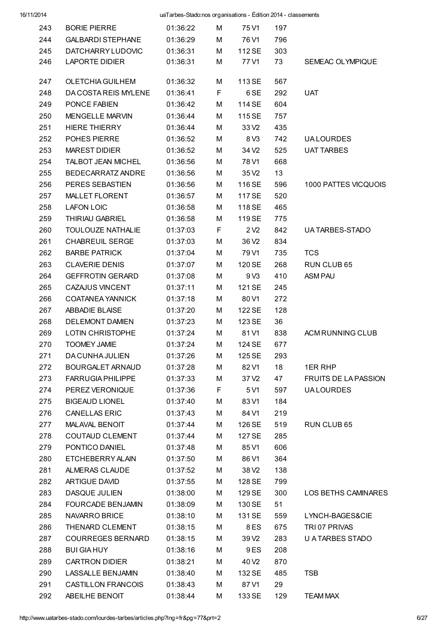| 243 | <b>BORIE PIERRE</b>      | 01:36:22 | м  | 75 V1             | 197 |                             |
|-----|--------------------------|----------|----|-------------------|-----|-----------------------------|
| 244 | <b>GALBARDI STEPHANE</b> | 01:36:29 | М  | 76 V1             | 796 |                             |
| 245 | <b>DATCHARRY LUDOVIC</b> | 01:36:31 | М  | 112 SE            | 303 |                             |
| 246 | <b>LAPORTE DIDIER</b>    | 01:36:31 | м  | 77 V1             | 73  | SEMEAC OLYMPIQUE            |
| 247 | OLETCHIA GUILHEM         | 01:36:32 | м  | 113 SE            | 567 |                             |
| 248 | DA COSTA REIS MYLENE     | 01:36:41 | F. | 6 SE              | 292 | <b>UAT</b>                  |
| 249 | PONCE FABIEN             | 01:36:42 | м  | 114 SE            | 604 |                             |
| 250 | <b>MENGELLE MARVIN</b>   | 01:36:44 | м  | 115 SE            | 757 |                             |
| 251 | <b>HIERE THIERRY</b>     | 01:36:44 | М  | 33 V <sub>2</sub> | 435 |                             |
| 252 | POHES PIERRE             | 01:36:52 | М  | 8 V3              | 742 | <b>UALOURDES</b>            |
| 253 | <b>MAREST DIDIER</b>     | 01:36:52 | м  | 34 V <sub>2</sub> | 525 | <b>UAT TARBES</b>           |
| 254 | TALBOT JEAN MICHEL       | 01:36:56 | М  | 78 V1             | 668 |                             |
| 255 | BEDECARRATZ ANDRE        | 01:36:56 | М  | 35 V <sub>2</sub> | 13  |                             |
| 256 | PERES SEBASTIEN          | 01:36:56 | М  | 116 SE            | 596 | 1000 PATTES VICQUOIS        |
| 257 | MALLET FLORENT           | 01:36:57 | М  | 117 SE            | 520 |                             |
| 258 | <b>LAFON LOIC</b>        | 01:36:58 | М  | 118 SE            | 465 |                             |
| 259 | THIRIAU GABRIEL          | 01:36:58 | М  | 119 SE            | 775 |                             |
| 260 | <b>TOULOUZE NATHALIE</b> | 01:37:03 | F  | 2 V <sub>2</sub>  | 842 | UA TARBES-STADO             |
| 261 | <b>CHABREUIL SERGE</b>   | 01:37:03 | М  | 36 V <sub>2</sub> | 834 |                             |
| 262 | <b>BARBE PATRICK</b>     | 01:37:04 | М  | 79 V1             | 735 | <b>TCS</b>                  |
| 263 | <b>CLAVERIE DENIS</b>    | 01:37:07 | м  | 120 SE            | 268 | RUN CLUB 65                 |
| 264 | <b>GEFFROTIN GERARD</b>  | 01:37:08 | м  | 9 <sub>V3</sub>   | 410 | <b>ASM PAU</b>              |
| 265 | CAZAJUS VINCENT          | 01:37:11 | M  | 121 SE            | 245 |                             |
| 266 | <b>COATANEA YANNICK</b>  | 01:37:18 | M  | 80 V1             | 272 |                             |
| 267 | ABBADIE BLAISE           | 01:37:20 | м  | 122 SE            | 128 |                             |
| 268 | <b>DELEMONT DAMIEN</b>   | 01:37:23 | М  | 123 SE            | 36  |                             |
| 269 | LOTIN CHRISTOPHE         | 01:37:24 | М  | 81 V1             | 838 | ACM RUNNING CLUB            |
| 270 | <b>TOOMEY JAMIE</b>      | 01:37:24 | М  | 124 SE            | 677 |                             |
| 271 | DA CUNHA JULIEN          | 01:37:26 | М  | 125 SE            | 293 |                             |
| 272 | BOURGALET ARNAUD         | 01:37:28 | м  | 82 V1             | 18  | 1ER RHP                     |
| 273 | <b>FARRUGIA PHILIPPE</b> | 01:37:33 | М  | 37 V <sub>2</sub> | 47  | <b>FRUITS DE LA PASSION</b> |
| 274 | PEREZ VERONIQUE          | 01:37:36 | F  | 5 V1              | 597 | <b>UALOURDES</b>            |
| 275 | <b>BIGEAUD LIONEL</b>    | 01:37:40 | M  | 83 V1             | 184 |                             |
| 276 | <b>CANELLAS ERIC</b>     | 01:37:43 | М  | 84 V1             | 219 |                             |
| 277 | <b>MALAVAL BENOIT</b>    | 01:37:44 | м  | 126 SE            | 519 | RUN CLUB 65                 |
| 278 | <b>COUTAUD CLEMENT</b>   | 01:37:44 | м  | 127 SE            | 285 |                             |
| 279 | PONTICO DANIEL           | 01:37:48 | М  | 85 V1             | 606 |                             |
| 280 | ETCHEBERRY ALAIN         | 01:37:50 | М  | 86 V1             | 364 |                             |
| 281 | ALMERAS CLAUDE           | 01:37:52 | М  | 38 V <sub>2</sub> | 138 |                             |
| 282 | <b>ARTIGUE DAVID</b>     | 01:37:55 | М  | 128 SE            | 799 |                             |
| 283 | DASQUE JULIEN            | 01:38:00 | М  | 129 SE            | 300 | LOS BETHS CAMINARES         |
| 284 | <b>FOURCADE BENJAMIN</b> | 01:38:09 | М  | 130 SE            | 51  |                             |
| 285 | NAVARRO BRICE            | 01:38:10 | М  | 131 SE            | 559 | LYNCH-BAGES&CIE             |
| 286 | THENARD CLEMENT          | 01:38:15 | М  | 8ES               | 675 | TRI 07 PRIVAS               |
| 287 | <b>COURREGES BERNARD</b> | 01:38:15 | М  | 39 V <sub>2</sub> | 283 | U A TARBES STADO            |
| 288 | <b>BUI GIA HUY</b>       | 01:38:16 | М  | 9 ES              | 208 |                             |
| 289 | <b>CARTRON DIDIER</b>    | 01:38:21 | М  | 40 V <sub>2</sub> | 870 |                             |
| 290 | LASSALLE BENJAMIN        | 01:38:40 | М  | 132 SE            | 485 | <b>TSB</b>                  |
| 291 | CASTILLON FRANCOIS       | 01:38:43 | М  | 87 V1             | 29  |                             |
| 292 | ABEILHE BENOIT           | 01:38:44 | М  | 133 SE            | 129 | <b>TEAM MAX</b>             |
|     |                          |          |    |                   |     |                             |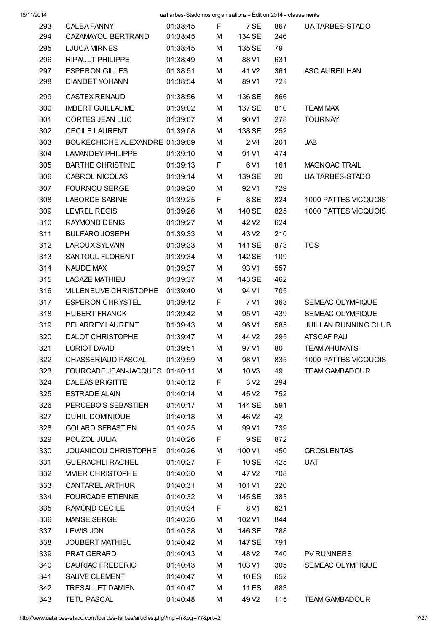| 16/11/2014 |                                | uaTarbes-Stado:nos organisations - Édition 2014 - classements |         |                   |     |                       |
|------------|--------------------------------|---------------------------------------------------------------|---------|-------------------|-----|-----------------------|
| 293        | CALBA FANNY                    | 01:38:45                                                      | F       | 7 SE              | 867 | UA TARBES-STADO       |
| 294        | CAZAMAYOU BERTRAND             | 01:38:45                                                      | M       | 134 SE            | 246 |                       |
| 295        | <b>LJUCA MIRNES</b>            | 01:38:45                                                      | М       | 135 SE            | 79  |                       |
| 296        | RIPAULT PHILIPPE               | 01:38:49                                                      | М       | 88 V1             | 631 |                       |
| 297        | <b>ESPERON GILLES</b>          | 01:38:51                                                      | М       | 41 V <sub>2</sub> | 361 | ASC AUREILHAN         |
| 298        | <b>DIANDET YOHANN</b>          | 01:38:54                                                      | M       | 89 V1             | 723 |                       |
| 299        | <b>CASTEX RENAUD</b>           | 01:38:56                                                      | м       | 136 SE            | 866 |                       |
| 300        | <b>IMBERT GUILLAUME</b>        | 01:39:02                                                      | м       | 137 SE            | 810 | <b>TEAM MAX</b>       |
| 301        | CORTES JEAN LUC                | 01:39:07                                                      | М       | 90 V1             | 278 | <b>TOURNAY</b>        |
| 302        | <b>CECILE LAURENT</b>          | 01:39:08                                                      | м       | 138 SE            | 252 |                       |
| 303        | BOUKECHICHE ALEXANDRE 01:39:09 |                                                               | M       | 2 V4              | 201 | JAB                   |
| 304        | <b>LAMANDEY PHILIPPE</b>       | 01:39:10                                                      | М       | 91 V1             | 474 |                       |
| 305        | <b>BARTHE CHRISTINE</b>        | 01:39:13                                                      | F       | 6 V1              | 161 | <b>MAGNOAC TRAIL</b>  |
| 306        | CABROL NICOLAS                 | 01:39:14                                                      | М       | 139 SE            | 20  | UA TARBES-STADO       |
| 307        | <b>FOURNOU SERGE</b>           | 01:39:20                                                      | М       | 92 V1             | 729 |                       |
| 308        | <b>LABORDE SABINE</b>          | 01:39:25                                                      | F       | 8 SE              | 824 | 1000 PATTES VICQUOIS  |
| 309        | <b>LEVREL REGIS</b>            | 01:39:26                                                      | м       | 140 SE            | 825 | 1000 PATTES VICQUOIS  |
| 310        | <b>RAYMOND DENIS</b>           | 01:39:27                                                      | м       | 42 V <sub>2</sub> | 624 |                       |
| 311        | <b>BULFARO JOSEPH</b>          | 01:39:33                                                      | M       | 43 V <sub>2</sub> | 210 |                       |
| 312        | <b>LAROUX SYLVAIN</b>          | 01:39:33                                                      | M       | 141 SE            | 873 | <b>TCS</b>            |
| 313        | SANTOUL FLORENT                | 01:39:34                                                      | м       | 142 SE            | 109 |                       |
| 314        | NAUDE MAX                      | 01:39:37                                                      | М       | 93 V1             | 557 |                       |
| 315        | <b>LACAZE MATHIEU</b>          | 01:39:37                                                      | М       | 143 SE            | 462 |                       |
| 316        | <b>VILLENEUVE CHRISTOPHE</b>   | 01:39:40                                                      | M       | 94 V1             | 705 |                       |
| 317        | <b>ESPERON CHRYSTEL</b>        | 01:39:42                                                      | F       | 7 V1              | 363 | SEMEAC OLYMPIQUE      |
| 318        | <b>HUBERT FRANCK</b>           | 01:39:42                                                      | М       | 95 V1             | 439 | SEMEAC OLYMPIQUE      |
| 319        | PELARREY LAURENT               | 01:39:43                                                      | М       | 96 V1             | 585 | JUILLAN RUNNING CLUB  |
| 320        | <b>DALOT CHRISTOPHE</b>        | 01:39:47                                                      | М       | 44 V <sub>2</sub> | 295 | <b>ATSCAF PAU</b>     |
| 321        | <b>LORIOT DAVID</b>            | 01:39:51                                                      | M       | 97 V1             | 80  | <b>TEAM AHUMATS</b>   |
| 322        | CHASSERIAUD PASCAL             | 01:39:59                                                      | м       | 98 V1             | 835 | 1000 PATTES VICQUOIS  |
| 323        | FOURCADE JEAN-JACQUES 01:40:11 |                                                               |         | 10 <sub>V3</sub>  | 49  | <b>TEAM GAMBADOUR</b> |
| 324        | DALEAS BRIGITTE                | 01:40:12                                                      | M<br>F. | 3 <sub>2</sub>    | 294 |                       |
|            | <b>ESTRADE ALAIN</b>           | 01:40:14                                                      |         |                   |     |                       |
| 325        |                                |                                                               | M       | 45 V <sub>2</sub> | 752 |                       |
| 326        | PERCEBOIS SEBASTIEN            | 01:40:17                                                      | м       | 144 SE            | 591 |                       |
| 327        | DUHIL DOMINIQUE                | 01:40:18                                                      | м       | 46 V <sub>2</sub> | 42  |                       |
| 328        | <b>GOLARD SEBASTIEN</b>        | 01:40:25                                                      | м       | 99 V1             | 739 |                       |
| 329        | POUZOL JULIA                   | 01:40:26                                                      | F       | 9 SE              | 872 |                       |
| 330        | JOUANICOU CHRISTOPHE           | 01:40:26                                                      | М       | 100 V1            | 450 | <b>GROSLENTAS</b>     |
| 331        | <b>GUERACHLI RACHEL</b>        | 01:40:27                                                      | F       | 10 SE             | 425 | <b>UAT</b>            |
| 332        | <b>VIVIER CHRISTOPHE</b>       | 01:40:30                                                      | M       | 47 V <sub>2</sub> | 708 |                       |
| 333        | CANTAREL ARTHUR                | 01:40:31                                                      | м       | 101 V1            | 220 |                       |
| 334        | <b>FOURCADE ETIENNE</b>        | 01:40:32                                                      | м       | 145 SE            | 383 |                       |
| 335        | RAMOND CECILE                  | 01:40:34                                                      | F.      | 8 V1              | 621 |                       |
| 336        | MANSE SERGE                    | 01:40:36                                                      | м       | 102 V1            | 844 |                       |
| 337        | <b>LEWIS JON</b>               | 01:40:38                                                      | м       | 146 SE            | 788 |                       |
| 338        | <b>JOUBERT MATHIEU</b>         | 01:40:42                                                      | м       | 147 SE            | 791 |                       |
| 339        | PRAT GERARD                    | 01:40:43                                                      | M       | 48 V <sub>2</sub> | 740 | <b>PV RUNNERS</b>     |
| 340        | <b>DAURIAC FREDERIC</b>        | 01:40:43                                                      | м       | 103 V1            | 305 | SEMEAC OLYMPIQUE      |
| 341        | SAUVE CLEMENT                  | 01:40:47                                                      | м       | 10 ES             | 652 |                       |
| 342        | <b>TRESALLET DAMIEN</b>        | 01:40:47                                                      | M       | 11 ES             | 683 |                       |
| 343        | <b>TETU PASCAL</b>             | 01:40:48                                                      | М       | 49 V <sub>2</sub> | 115 | <b>TEAM GAMBADOUR</b> |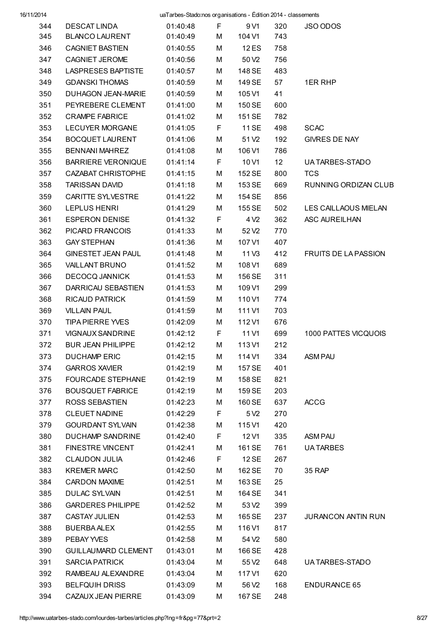| 16/11/2014 |                            | uaTarbes-Stado:nos organisations - Édition 2014 - classements |        |                   |     |                             |
|------------|----------------------------|---------------------------------------------------------------|--------|-------------------|-----|-----------------------------|
| 344        | <b>DESCAT LINDA</b>        | 01:40:48                                                      | F      | 9 V1              | 320 | JSO ODOS                    |
| 345        | <b>BLANCO LAURENT</b>      | 01:40:49                                                      | М      | 104 V1            | 743 |                             |
| 346        | <b>CAGNIET BASTIEN</b>     | 01:40:55                                                      | М      | 12 ES             | 758 |                             |
| 347        | <b>CAGNIET JEROME</b>      | 01:40:56                                                      | м      | 50 V <sub>2</sub> | 756 |                             |
| 348        | <b>LASPRESES BAPTISTE</b>  | 01:40:57                                                      | М      | 148 SE            | 483 |                             |
| 349        | <b>GDANSKI THOMAS</b>      | 01:40:59                                                      | М      | 149 SE            | 57  | 1ER RHP                     |
| 350        | <b>DUHAGON JEAN-MARIE</b>  | 01:40:59                                                      | M      | 105 V1            | 41  |                             |
| 351        | PEYREBERE CLEMENT          | 01:41:00                                                      | М      | 150 SE            | 600 |                             |
| 352        | <b>CRAMPE FABRICE</b>      | 01:41:02                                                      | М      | 151 SE            | 782 |                             |
| 353        | <b>LECUYER MORGANE</b>     | 01:41:05                                                      | F      | 11 SE             | 498 | <b>SCAC</b>                 |
| 354        | <b>BOCQUET LAURENT</b>     | 01:41:06                                                      | М      | 51 V <sub>2</sub> | 192 | <b>GIVRES DE NAY</b>        |
| 355        | <b>BENNANI MAHREZ</b>      | 01:41:08                                                      | М      | 106 V1            | 786 |                             |
| 356        | <b>BARRIERE VERONIQUE</b>  | 01:41:14                                                      | F      | 10 <sub>V1</sub>  | 12  | UA TARBES-STADO             |
| 357        | CAZABAT CHRISTOPHE         | 01:41:15                                                      | М      | 152 SE            | 800 | <b>TCS</b>                  |
| 358        | <b>TARISSAN DAVID</b>      | 01:41:18                                                      | М      | 153 SE            | 669 | RUNNING ORDIZAN CLUB        |
| 359        | CARITTE SYLVESTRE          | 01:41:22                                                      | М      | 154 SE            | 856 |                             |
| 360        | <b>LEPLUS HENRI</b>        | 01:41:29                                                      | М      | 155 SE            | 502 | LES CAILLAOUS MIELAN        |
| 361        | <b>ESPERON DENISE</b>      | 01:41:32                                                      | F      | 4 V <sub>2</sub>  | 362 | <b>ASC AUREILHAN</b>        |
| 362        | PICARD FRANCOIS            | 01:41:33                                                      | M      | 52 V <sub>2</sub> | 770 |                             |
| 363        | <b>GAY STEPHAN</b>         | 01:41:36                                                      | М      | 107 V1            | 407 |                             |
| 364        | <b>GINESTET JEAN PAUL</b>  | 01:41:48                                                      | М      | 11 <sub>V3</sub>  | 412 | <b>FRUITS DE LA PASSION</b> |
| 365        | <b>VAILLANT BRUNO</b>      | 01:41:52                                                      | М      | 108 V1            | 689 |                             |
| 366        | <b>DECOCQ JANNICK</b>      | 01:41:53                                                      | М      | 156 SE            | 311 |                             |
| 367        | DARRICAU SEBASTIEN         | 01:41:53                                                      | М      | 109 V1            | 299 |                             |
| 368        | <b>RICAUD PATRICK</b>      | 01:41:59                                                      | М      | 110 V1            | 774 |                             |
| 369        | <b>VILLAIN PAUL</b>        | 01:41:59                                                      | М      | 111 V1            | 703 |                             |
| 370        | <b>TIPA PIERRE YVES</b>    | 01:42:09                                                      | М      | 112 V1            | 676 |                             |
| 371        | <b>VIGNAUX SANDRINE</b>    | 01:42:12                                                      | F      | 11 V1             | 699 | 1000 PATTES VICQUOIS        |
| 372        | <b>BUR JEAN PHILIPPE</b>   | 01:42:12                                                      | М      | 113 V1            | 212 |                             |
| 373        | <b>DUCHAMP ERIC</b>        | 01:42:15                                                      | M      | 114 V1            | 334 | <b>ASM PAU</b>              |
| 374        | <b>GARROS XAVIER</b>       | 01:42:19                                                      | М      | 157 SE            | 401 |                             |
| 375        | <b>FOURCADE STEPHANE</b>   | 01:42:19                                                      | M      | 158 SE            | 821 |                             |
| 376        | <b>BOUSQUET FABRICE</b>    | 01:42:19                                                      | М      | 159 SE            | 203 |                             |
| 377        | <b>ROSS SEBASTIEN</b>      | 01:42:23                                                      | М      | 160 SE            | 637 | <b>ACCG</b>                 |
| 378        | <b>CLEUET NADINE</b>       | 01:42:29                                                      | F.     | 5 V <sub>2</sub>  | 270 |                             |
| 379        | GOURDANT SYLVAIN           | 01:42:38                                                      | М      | 115 V1            | 420 |                             |
| 380        | DUCHAMP SANDRINE           | 01:42:40                                                      | F      | 12 V1             | 335 | <b>ASM PAU</b>              |
| 381        | <b>FINESTRE VINCENT</b>    | 01:42:41                                                      | М      | 161 SE            | 761 | <b>UATARBES</b>             |
| 382        | <b>CLAUDON JULIA</b>       | 01:42:46                                                      | F      | 12 SE             | 267 |                             |
| 383        | <b>KREMER MARC</b>         | 01:42:50                                                      | М      | 162 SE            | 70  | 35 RAP                      |
| 384        | CARDON MAXIME              | 01:42:51                                                      | М      | 163 SE            | 25  |                             |
| 385        | DULAC SYLVAIN              | 01:42:51                                                      | М      | 164 SE            | 341 |                             |
| 386        | <b>GARDERES PHILIPPE</b>   | 01:42:52                                                      | М      | 53 V <sub>2</sub> | 399 |                             |
| 387        | <b>CASTAY JULIEN</b>       | 01:42:53                                                      | М      | 165 SE            | 237 | <b>JURANCON ANTIN RUN</b>   |
| 388        | <b>BUERBA ALEX</b>         | 01:42:55                                                      | м      | 116 V1            | 817 |                             |
| 389        | PEBAY YVES                 | 01:42:58                                                      |        | 54 V <sub>2</sub> | 580 |                             |
| 390        | <b>GUILLAUMARD CLEMENT</b> | 01:43:01                                                      | M<br>М | 166 SE            | 428 |                             |
| 391        | SARCIA PATRICK             | 01:43:04                                                      | М      | 55 V <sub>2</sub> | 648 | UA TARBES-STADO             |
| 392        | RAMBEAU ALEXANDRE          | 01:43:04                                                      | M      | 117 V1            | 620 |                             |
| 393        | <b>BELFQUIH DRISS</b>      | 01:43:09                                                      | M      | 56 V <sub>2</sub> | 168 | <b>ENDURANCE 65</b>         |
| 394        | CAZAUX JEAN PIERRE         | 01:43:09                                                      | M      | 167 SE            | 248 |                             |
|            |                            |                                                               |        |                   |     |                             |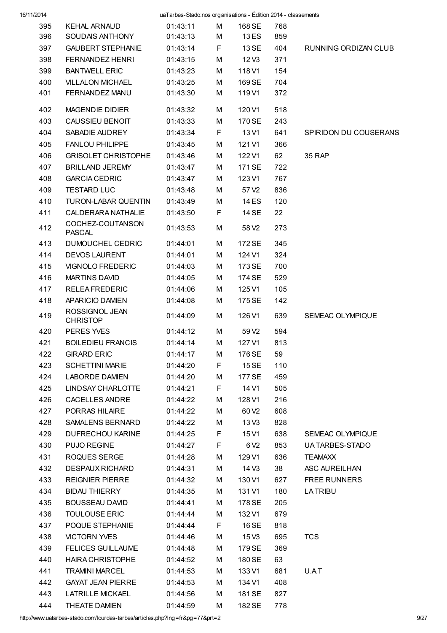| 16/11/2014 |                                   | uaTarbes-Stado:nos organisations - Édition 2014 - classements |    |                   |     |                       |
|------------|-----------------------------------|---------------------------------------------------------------|----|-------------------|-----|-----------------------|
| 395        | <b>KEHAL ARNAUD</b>               | 01:43:11                                                      | M  | 168 SE            | 768 |                       |
| 396        | SOUDAIS ANTHONY                   | 01:43:13                                                      | М  | 13 ES             | 859 |                       |
| 397        | <b>GAUBERT STEPHANIE</b>          | 01:43:14                                                      | F  | 13 SE             | 404 | RUNNING ORDIZAN CLUB  |
| 398        | FERNANDEZ HENRI                   | 01:43:15                                                      | М  | 12V3              | 371 |                       |
| 399        | <b>BANTWELL ERIC</b>              | 01:43:23                                                      | М  | 118 V1            | 154 |                       |
| 400        | <b>VILLALON MICHAEL</b>           | 01:43:25                                                      | М  | 169 SE            | 704 |                       |
| 401        | FERNANDEZ MANU                    | 01:43:30                                                      | М  | 119 V1            | 372 |                       |
| 402        | <b>MAGENDIE DIDIER</b>            | 01:43:32                                                      | М  | 120 V1            | 518 |                       |
| 403        | CAUSSIEU BENOIT                   | 01:43:33                                                      | М  | 170 SE            | 243 |                       |
| 404        | SABADIE AUDREY                    | 01:43:34                                                      | F  | 13 V1             | 641 | SPIRIDON DU COUSERANS |
| 405        | <b>FANLOU PHILIPPE</b>            | 01:43:45                                                      | М  | 121 V1            | 366 |                       |
| 406        | <b>GRISOLET CHRISTOPHE</b>        | 01:43:46                                                      | М  | 122 V1            | 62  | 35 RAP                |
| 407        | <b>BRILLAND JEREMY</b>            | 01:43:47                                                      | м  | 171 SE            | 722 |                       |
| 408        | <b>GARCIA CEDRIC</b>              | 01:43:47                                                      | М  | 123 V1            | 767 |                       |
| 409        | <b>TESTARD LUC</b>                | 01:43:48                                                      | м  | 57 V <sub>2</sub> | 836 |                       |
| 410        | TURON-LABAR QUENTIN               | 01:43:49                                                      | М  | 14 ES             | 120 |                       |
| 411        | <b>CALDERARA NATHALIE</b>         | 01:43:50                                                      | F  | 14 SE             | 22  |                       |
| 412        | COCHEZ-COUTANSON<br><b>PASCAL</b> | 01:43:53                                                      | М  | 58 V <sub>2</sub> | 273 |                       |
| 413        | DUMOUCHEL CEDRIC                  | 01:44:01                                                      | М  | 172 SE            | 345 |                       |
| 414        | <b>DEVOS LAURENT</b>              | 01:44:01                                                      | М  | 124 V1            | 324 |                       |
| 415        | <b>VIGNOLO FREDERIC</b>           | 01:44:03                                                      | м  | 173 SE            | 700 |                       |
| 416        | <b>MARTINS DAVID</b>              | 01:44:05                                                      | M  | 174 SE            | 529 |                       |
| 417        | <b>RELEAFREDERIC</b>              | 01:44:06                                                      | М  | 125 V1            | 105 |                       |
| 418        | APARICIO DAMIEN                   | 01:44:08                                                      | м  | 175 SE            | 142 |                       |
| 419        | ROSSIGNOL JEAN<br><b>CHRISTOP</b> | 01:44:09                                                      | М  | 126 V1            | 639 | SEMEAC OLYMPIQUE      |
| 420        | PERES YVES                        | 01:44:12                                                      | М  | 59 V <sub>2</sub> | 594 |                       |
| 421        | <b>BOILEDIEU FRANCIS</b>          | 01:44:14                                                      | M  | 127 V1            | 813 |                       |
| 422        | <b>GIRARD ERIC</b>                | 01:44:17                                                      | M  | 176 SE            | 59  |                       |
| 423        | <b>SCHETTINI MARIE</b>            | 01:44:20                                                      | F. | 15 SE             | 110 |                       |
| 424        | LABORDE DAMIEN                    | 01:44:20                                                      | М  | 177 SE            | 459 |                       |
| 425        | LINDSAY CHARLOTTE                 | 01:44:21                                                      | F. | 14 V1             | 505 |                       |
| 426        | CACELLES ANDRE                    | 01:44:22                                                      | М  | 128 V1            | 216 |                       |
| 427        | PORRAS HILAIRE                    | 01:44:22                                                      | М  | 60 V <sub>2</sub> | 608 |                       |
| 428        | SAMALENS BERNARD                  | 01:44:22                                                      | М  | 13 V3             | 828 |                       |
| 429        | DUFRECHOU KARINE                  | 01:44:25                                                      | F. | 15 V1             | 638 | SEMEAC OLYMPIQUE      |
| 430        | PUJO REGINE                       | 01:44:27                                                      | F  | 6 V <sub>2</sub>  | 853 | UA TARBES-STADO       |
| 431        | ROQUES SERGE                      | 01:44:28                                                      | M  | 129 V1            | 636 | <b>TEAMAXX</b>        |
| 432        | <b>DESPAUX RICHARD</b>            | 01:44:31                                                      | М  | 14 V3             | 38  | ASC AUREILHAN         |
| 433        | <b>REIGNIER PIERRE</b>            | 01:44:32                                                      | М  | 130 V1            | 627 | <b>FREE RUNNERS</b>   |
| 434        | BIDAU THIERRY                     | 01:44:35                                                      | М  | 131 V1            | 180 | <b>LATRIBU</b>        |
| 435        | BOUSSEAU DAVID                    | 01:44:41                                                      | M  | 178 SE            | 205 |                       |
| 436        | TOULOUSE ERIC                     | 01:44:44                                                      | М  | 132 V1            | 679 |                       |
| 437        | POQUE STEPHANIE                   | 01:44:44                                                      | F. | 16 SE             | 818 |                       |
| 438        | <b>VICTORN YVES</b>               | 01:44:46                                                      | М  | 15 V3             | 695 | <b>TCS</b>            |
| 439        | FELICES GUILLAUME                 | 01:44:48                                                      | M  | 179 SE            | 369 |                       |
| 440        | HAIRA CHRISTOPHE                  | 01:44:52                                                      | М  | 180 SE            | 63  |                       |
| 441        | TRAMINI MARCEL                    | 01:44:53                                                      | М  | 133 V1            | 681 | U.AT                  |
| 442        | <b>GAYAT JEAN PIERRE</b>          | 01:44:53                                                      | М  | 134 V1            | 408 |                       |
| 443        | LATRILLE MICKAEL                  | 01:44:56                                                      | М  | 181 SE            | 827 |                       |
| 444        | THEATE DAMIEN                     | 01:44:59                                                      | М  | 182 SE            | 778 |                       |

http://www.uatarbes-stado.com/lourdes-tarbes/articles.php?lng=fr&pg=77&prt=2 9/27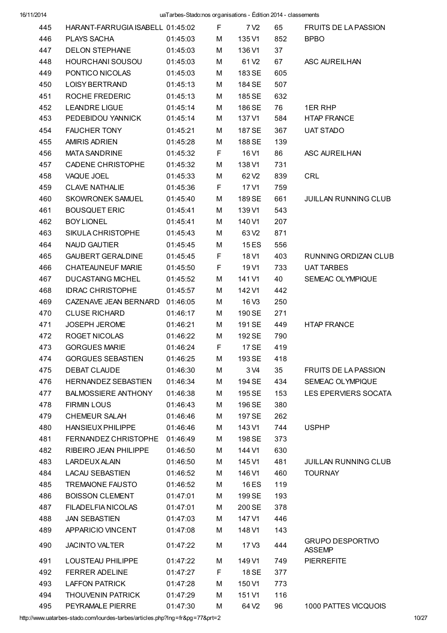| 445 | HARANT-FARRUGIA ISABELL 01:45:02 |          | F.    | 7 V <sub>2</sub>  | 65  | <b>FRUITS DE LA PASSION</b>              |
|-----|----------------------------------|----------|-------|-------------------|-----|------------------------------------------|
| 446 | PLAYS SACHA                      | 01:45:03 | м     | 135 V1            | 852 | <b>BPBO</b>                              |
| 447 | DELON STEPHANE                   | 01:45:03 | м     | 136 V1            | 37  |                                          |
| 448 | HOURCHANI SOUSOU                 | 01:45:03 | м     | 61 V <sub>2</sub> | 67  | ASC AUREILHAN                            |
| 449 | PONTICO NICOLAS                  | 01:45:03 | М     | 183 SE            | 605 |                                          |
| 450 | LOISY BERTRAND                   | 01:45:13 | М     | 184 SE            | 507 |                                          |
| 451 | ROCHE FREDERIC                   | 01:45:13 | М     | 185 SE            | 632 |                                          |
| 452 | <b>LEANDRE LIGUE</b>             | 01:45:14 | М     | 186 SE            | 76  | 1ER RHP                                  |
| 453 | PEDEBIDOU YANNICK                | 01:45:14 | М     | 137 V1            | 584 | <b>HTAP FRANCE</b>                       |
| 454 | <b>FAUCHER TONY</b>              | 01:45:21 | м     | 187 SE            | 367 | <b>UAT STADO</b>                         |
| 455 | <b>AMIRIS ADRIEN</b>             | 01:45:28 | М     | 188 SE            | 139 |                                          |
| 456 | <b>MATA SANDRINE</b>             | 01:45:32 | F.    | 16 V1             | 86  | ASC AUREILHAN                            |
| 457 | <b>CADENE CHRISTOPHE</b>         | 01:45:32 | м     | 138 V1            | 731 |                                          |
| 458 | VAQUE JOEL                       | 01:45:33 | М     | 62 V <sub>2</sub> | 839 | CRL                                      |
| 459 | <b>CLAVE NATHALIE</b>            | 01:45:36 | F.    | 17 V1             | 759 |                                          |
| 460 | <b>SKOWRONEK SAMUEL</b>          | 01:45:40 | м     | 189 SE            | 661 | <b>JUILLAN RUNNING CLUB</b>              |
| 461 | <b>BOUSQUET ERIC</b>             | 01:45:41 | м     | 139 V1            | 543 |                                          |
| 462 | <b>BOY LIONEL</b>                | 01:45:41 | М     | 140 V1            | 207 |                                          |
| 463 | SIKULA CHRISTOPHE                | 01:45:43 | М     | 63 V <sub>2</sub> | 871 |                                          |
| 464 | NAUD GAUTIER                     | 01:45:45 | М     | 15 ES             | 556 |                                          |
| 465 | <b>GAUBERT GERALDINE</b>         | 01:45:45 | F     | 18 V1             | 403 | RUNNING ORDIZAN CLUB                     |
| 466 | CHATEAUNEUF MARIE                | 01:45:50 | F     | 19 V1             | 733 | <b>UAT TARBES</b>                        |
| 467 | <b>DUCASTAING MICHEL</b>         | 01:45:52 | М     | 141 V1            | 40  | SEMEAC OLYMPIQUE                         |
| 468 | <b>IDRAC CHRISTOPHE</b>          | 01:45:57 | М     | 142 V1            | 442 |                                          |
| 469 | CAZENAVE JEAN BERNARD 01:46:05   |          | м     | 16 V3             | 250 |                                          |
| 470 | <b>CLUSE RICHARD</b>             | 01:46:17 | м     | 190 SE            | 271 |                                          |
| 471 | <b>JOSEPH JEROME</b>             | 01:46:21 | М     | 191 SE            | 449 | <b>HTAP FRANCE</b>                       |
| 472 | ROGET NICOLAS                    | 01:46:22 | М     | 192 SE            | 790 |                                          |
| 473 | <b>GORGUES MARIE</b>             | 01:46:24 | $F =$ | 17 SE             | 419 |                                          |
| 474 | <b>GORGUES SEBASTIEN</b>         | 01:46:25 | M     | 193 SE            | 418 |                                          |
| 475 | DEBAT CLAUDE                     | 01:46:30 | М     | 3 V4              | 35  | <b>FRUITS DE LA PASSION</b>              |
| 476 | HERNANDEZ SEBASTIEN              | 01:46:34 | М     | 194 SE            | 434 | SEMEAC OLYMPIQUE                         |
| 477 | <b>BALMOSSIERE ANTHONY</b>       | 01:46:38 | М     | 195 SE            | 153 | LES EPERVIERS SOCATA                     |
| 478 | <b>FIRMIN LOUS</b>               | 01:46:43 | М     | 196 SE            | 380 |                                          |
| 479 | <b>CHEMEUR SALAH</b>             | 01:46:46 | М     | 197 SE            | 262 |                                          |
| 480 | HANSIEUX PHILIPPE                | 01:46:46 | М     | 143 V1            | 744 | <b>USPHP</b>                             |
| 481 | FERNANDEZ CHRISTOPHE             | 01:46:49 | М     | 198 SE            | 373 |                                          |
| 482 | RIBEIRO JEAN PHILIPPE            | 01:46:50 | м     | 144 V1            | 630 |                                          |
| 483 | LARDEUX ALAIN                    | 01:46:50 | м     | 145 V1            | 481 | <b>JUILLAN RUNNING CLUB</b>              |
| 484 | <b>LACAU SEBASTIEN</b>           | 01:46:52 | м     | 146 V1            | 460 | <b>TOURNAY</b>                           |
| 485 | <b>TREMAIONE FAUSTO</b>          | 01:46:52 | м     | 16 ES             | 119 |                                          |
| 486 | <b>BOISSON CLEMENT</b>           | 01:47:01 | м     | 199 SE            | 193 |                                          |
| 487 | FILADELFIA NICOLAS               | 01:47:01 | м     | 200 SE            | 378 |                                          |
| 488 | <b>JAN SEBASTIEN</b>             | 01:47:03 | м     | 147 V1            | 446 |                                          |
| 489 | APPARICIO VINCENT                | 01:47:08 | м     | 148 V1            | 143 |                                          |
| 490 | <b>JACINTO VALTER</b>            | 01:47:22 | М     | 17 V3             | 444 | <b>GRUPO DESPORTIVO</b><br><b>ASSEMP</b> |
| 491 | LOUSTEAU PHILIPPE                | 01:47:22 | М     | 149 V1            | 749 | <b>PIERREFITE</b>                        |
| 492 | <b>FERRER ADELINE</b>            | 01:47:27 | F.    | 18 SE             | 377 |                                          |
| 493 | <b>LAFFON PATRICK</b>            | 01:47:28 | м     | 150 V1            | 773 |                                          |
| 494 | <b>THOUVENIN PATRICK</b>         | 01:47:29 | М     | 151 V1            | 116 |                                          |
| 495 | PEYRAMALE PIERRE                 | 01:47:30 | М     | 64 V <sub>2</sub> | 96  | 1000 PATTES VICQUOIS                     |

http://www.uatarbes-stado.com/lourdes-tarbes/articles.php?lng=fr&pg=77&prt=2 10/27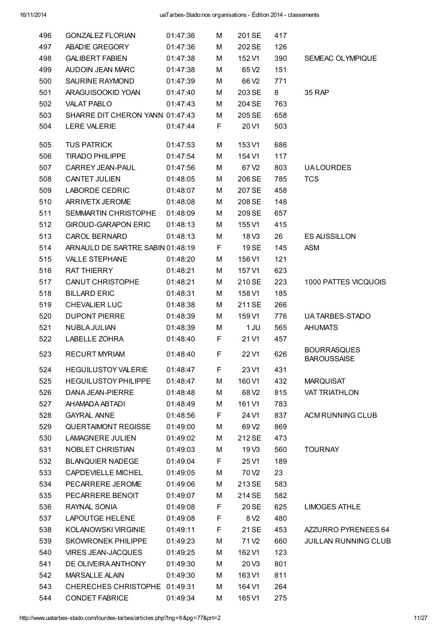| 496 | <b>GONZALEZ FLORIAN</b>          | 01:47:36 | М  | 201 SE            | 417 |                                          |
|-----|----------------------------------|----------|----|-------------------|-----|------------------------------------------|
| 497 | ABADIE GREGORY                   | 01:47:36 | M  | 202 SE            | 126 |                                          |
| 498 | <b>GALIBERT FABIEN</b>           | 01:47:38 | M  | 152 V1            | 390 | SEMEAC OLYMPIQUE                         |
| 499 | AUDOIN JEAN MARC                 | 01:47:38 | М  | 65 V <sub>2</sub> | 151 |                                          |
| 500 | SAURINE RAYMOND                  | 01:47:39 | М  | 66 V <sub>2</sub> | 771 |                                          |
| 501 | ARAGUISOOKID YOAN                | 01:47:40 | М  | 203 SE            | 8   | 35 RAP                                   |
| 502 | <b>VALAT PABLO</b>               | 01:47:43 | М  | 204 SE            | 763 |                                          |
| 503 | SHARRE DIT CHERON YANN 01:47:43  |          | M  | 205 SE            | 658 |                                          |
| 504 | <b>LERE VALERIE</b>              | 01:47:44 | F  | 20 V1             | 503 |                                          |
| 505 | <b>TUS PATRICK</b>               | 01:47:53 | М  | 153 V1            | 686 |                                          |
| 506 | <b>TIRADO PHILIPPE</b>           | 01:47:54 | М  | 154 V1            | 117 |                                          |
| 507 | CARREY JEAN-PAUL                 | 01:47:56 | М  | 67 V <sub>2</sub> | 803 | <b>UALOURDES</b>                         |
| 508 | <b>CANTET JULIEN</b>             | 01:48:05 | М  | 206 SE            | 785 | <b>TCS</b>                               |
| 509 | LABORDE CEDRIC                   | 01:48:07 | М  | 207 SE            | 458 |                                          |
| 510 | ARRIVETX JEROME                  | 01:48:08 | М  | 208 SE            | 148 |                                          |
| 511 | SEMMARTIN CHRISTOPHE             | 01:48:09 | М  | 209 SE            | 657 |                                          |
| 512 | <b>GIROUD-GARAPON ERIC</b>       | 01:48:13 | М  | 155 V1            | 415 |                                          |
| 513 | <b>CAROL BERNARD</b>             | 01:48:13 | М  | 18 V3             | 26  | <b>ES AUSSILLON</b>                      |
| 514 | ARNAULD DE SARTRE SABIN 01:48:19 |          | F  | 19 SE             | 145 | <b>ASM</b>                               |
| 515 | <b>VALLE STEPHANE</b>            | 01:48:20 | М  | 156 V1            | 121 |                                          |
| 516 | <b>RAT THIERRY</b>               | 01:48:21 | М  | 157 V1            | 623 |                                          |
| 517 | CANUT CHRISTOPHE                 | 01:48:21 | М  | 210 SE            | 223 | 1000 PATTES VICQUOIS                     |
| 518 | <b>BILLARD ERIC</b>              | 01:48:31 | М  | 158 V1            | 185 |                                          |
| 519 | CHEVALIER LUC                    | 01:48:38 | M  | 211 SE            | 266 |                                          |
| 520 | <b>DUPONT PIERRE</b>             | 01:48:39 | М  | 159 V1            | 776 | UA TARBES-STADO                          |
| 521 | NUBLA JULIAN                     | 01:48:39 | М  | 1 JU              | 565 | <b>AHUMATS</b>                           |
| 522 | LABELLE ZOHRA                    | 01:48:40 | F. | 21 V1             | 457 |                                          |
| 523 | <b>RECURT MYRIAM</b>             | 01:48:40 | F  | 22 V1             | 626 | <b>BOURRASQUES</b><br><b>BAROUSSAISE</b> |
| 524 | <b>HEGUILUSTOY VALERIE</b>       | 01:48:47 | F  | 23 V1             | 431 |                                          |
| 525 | <b>HEGUILUSTOY PHILIPPE</b>      | 01:48:47 | м  | 160 V1            | 432 | <b>MARQUISAT</b>                         |
| 526 | DANA JEAN-PIERRE                 | 01:48:48 | М  | 68 V <sub>2</sub> | 815 | <b>VAT TRIATHLON</b>                     |
| 527 | AHAMADA ABTADI                   | 01:48:49 | М  | 161 V1            | 783 |                                          |
| 528 | <b>GAYRAL ANNE</b>               | 01:48:56 | F  | 24 V1             | 837 | ACM RUNNING CLUB                         |
| 529 | <b>QUERTAIMONT REGISSE</b>       | 01:49:00 | М  | 69 V <sub>2</sub> | 869 |                                          |
| 530 | <b>LAMAGNERE JULIEN</b>          | 01:49:02 | М  | 212 SE            | 473 |                                          |
| 531 | NOBLET CHRISTIAN                 | 01:49:03 | M  | 19 <sub>V3</sub>  | 560 | <b>TOURNAY</b>                           |
| 532 | <b>BLANQUIER NADEGE</b>          | 01:49:04 | F  | 25 V1             | 189 |                                          |
| 533 | <b>CAPDEVIELLE MICHEL</b>        | 01:49:05 | М  | 70 V <sub>2</sub> | 23  |                                          |
| 534 | PECARRERE JEROME                 | 01:49:06 | М  | 213 SE            | 583 |                                          |
| 535 | PECARRERE BENOIT                 | 01:49:07 | M  | 214 SE            | 582 |                                          |
| 536 | RAYNAL SONIA                     | 01:49:08 | F  | 20 SE             | 625 | <b>LIMOGES ATHLE</b>                     |
| 537 | <b>LAPOUTGE HELENE</b>           | 01:49:08 | F  | 8 V <sub>2</sub>  | 480 |                                          |
| 538 | KOLANOWSKI VIRGINIE              | 01:49:11 | F  | 21 SE             | 453 | AZZURRO PYRENEES 64                      |
| 539 | <b>SKOWRONEK PHILIPPE</b>        | 01:49:23 | М  | 71 V <sub>2</sub> | 660 | <b>JUILLAN RUNNING CLUB</b>              |
| 540 | <b>VIRES JEAN-JACQUES</b>        | 01:49:25 | М  | 162 V1            | 123 |                                          |
| 541 | DE OLIVEIRA ANTHONY              | 01:49:30 | М  | 20 <sub>V3</sub>  | 801 |                                          |
| 542 | MARSALLE ALAIN                   | 01:49:30 | М  | 163 V1            | 811 |                                          |
| 543 | CHERECHES CHRISTOPHE 01:49:31    |          | М  | 164 V1            | 264 |                                          |
| 544 | <b>CONDET FABRICE</b>            | 01:49:34 | М  | 165 V1            | 275 |                                          |
|     |                                  |          |    |                   |     |                                          |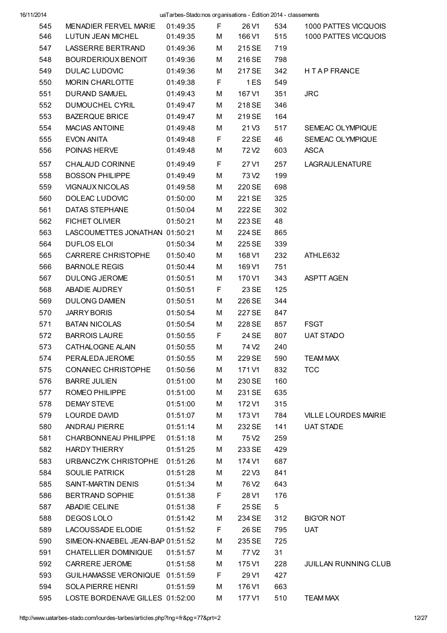|     |                                  | $\frac{1}{2}$ and $\frac{1}{2}$ cross-note or game and $\frac{1}{2}$ can be not be not been not not |       |                   |     |                                           |
|-----|----------------------------------|-----------------------------------------------------------------------------------------------------|-------|-------------------|-----|-------------------------------------------|
| 545 | MENADIER FERVEL MARIE            |                                                                                                     |       |                   |     | 01:49:35 F 26 V1 534 1000 PATTES VICQUOIS |
| 546 | LUTUN JEAN MICHEL                | 01:49:35                                                                                            |       |                   |     | M  166 V1  515  1000 PATTES VICQUOIS      |
| 547 | LASSERRE BERTRAND                | 01:49:36                                                                                            | M     | 215 SE            | 719 |                                           |
| 548 | BOURDERIOUX BENOIT               | 01:49:36                                                                                            | М     | 216 SE            | 798 |                                           |
| 549 | DULAC LUDOVIC                    | 01:49:36                                                                                            | M     | 217 SE            | 342 | H T A P FRANCE                            |
| 550 | MORIN CHARLOTTE                  | 01:49:38                                                                                            |       | F <sub>1ES</sub>  | 549 |                                           |
| 551 | DURAND SAMUEL                    | 01:49:43                                                                                            | М     | 167 V1            | 351 | <b>JRC</b>                                |
| 552 | DUMOUCHEL CYRIL                  | 01:49:47                                                                                            | M     | 218 SE            | 346 |                                           |
| 553 | <b>BAZERQUE BRICE</b>            | 01:49:47                                                                                            | M     | 219 SE            | 164 |                                           |
| 554 | MACIAS ANTOINE                   | 01:49:48                                                                                            | M     | 21 V3             | 517 | SEMEAC OLYMPIQUE                          |
| 555 | EVON ANITA                       | 01:49:48                                                                                            | $F =$ | 22 SE             | 46  | SEMEAC OLYMPIQUE                          |
| 556 | POINAS HERVE                     | 01:49:48                                                                                            | М     | 72 V2             | 603 | ASCA                                      |
| 557 | CHALAUD CORINNE                  | 01:49:49                                                                                            | F.    | 27 V1             | 257 | LAGRAULENATURE                            |
| 558 | <b>BOSSON PHILIPPE</b>           | 01:49:49                                                                                            | М     | 73 V2             | 199 |                                           |
| 559 | VIGNAUX NICOLAS                  | 01:49:58                                                                                            | M     | 220 SE            | 698 |                                           |
| 560 | DOLEAC LUDOVIC                   | 01:50:00                                                                                            | M     | 221 SE            | 325 |                                           |
| 561 | DATAS STEPHANE                   | 01:50:04                                                                                            | М     | 222 SE            | 302 |                                           |
| 562 | FICHET OLIVIER                   | 01:50:21                                                                                            | M     | 223 SE            | 48  |                                           |
| 563 | LASCOUMETTES JONATHAN 01:50:21   |                                                                                                     | М     | 224 SE            | 865 |                                           |
| 564 | DUFLOS ELOI DE ELOI              | 01:50:34                                                                                            | M     | 225 SE            | 339 |                                           |
| 565 | CARRERE CHRISTOPHE 01:50:40      |                                                                                                     | M     | 168 V1            | 232 | ATHLE632                                  |
| 566 | BARNOLE REGIS                    | 01:50:44                                                                                            | М     | 169 V1            | 751 |                                           |
| 567 | DULONG JEROME                    | 01:50:51                                                                                            | М     | 170 V1            | 343 | ASPTT AGEN                                |
| 568 | ABADIE AUDREY                    | 01:50:51                                                                                            |       | F 23 SE           | 125 |                                           |
| 569 | DULONG DAMIEN                    | 01:50:51                                                                                            | М     | 226 SE            | 344 |                                           |
| 570 | <b>JARRY BORIS</b>               | 01:50:54                                                                                            | M     | 227 SE            | 847 |                                           |
| 571 | <b>BATAN NICOLAS</b>             | 01:50:54                                                                                            | M     | 228 SE            |     | 857 FSGT                                  |
| 572 | <b>BARROIS LAURE</b>             | 01:50:55                                                                                            |       | F 24 SE           | 807 | <b>UAT STADO</b>                          |
| 573 | CATHALOGNE ALAIN                 | 01:50:55                                                                                            | M     | 74 V <sub>2</sub> | 240 |                                           |
| 574 | PERALEDA JEROME                  | 01:50:55                                                                                            | м     | 229 SE            | 590 | <b>TEAM MAX</b>                           |
| 575 | CONANEC CHRISTOPHE               | 01:50:56                                                                                            | М     | 171 V1            | 832 | <b>TCC</b>                                |
| 576 | <b>BARRE JULIEN</b>              | 01:51:00                                                                                            | М     | 230 SE            | 160 |                                           |
| 577 | ROMEO PHILIPPE                   | 01:51:00                                                                                            | м     | 231 SE            | 635 |                                           |
| 578 | <b>DEMAY STEVE</b>               | 01:51:00                                                                                            | м     | 172 V1            | 315 |                                           |
| 579 | LOURDE DAVID                     | 01:51:07                                                                                            | м     | 173 V1            | 784 | <b>VILLE LOURDES MAIRIE</b>               |
| 580 | ANDRAU PIERRE                    | 01:51:14                                                                                            | м     | 232 SE            | 141 | <b>UAT STADE</b>                          |
| 581 | CHARBONNEAU PHILIPPE             | 01:51:18                                                                                            | М     | 75 V <sub>2</sub> | 259 |                                           |
| 582 | <b>HARDY THIERRY</b>             | 01:51:25                                                                                            | м     | 233 SE            | 429 |                                           |
| 583 | URBANCZYK CHRISTOPHE             | 01:51:26                                                                                            | м     | 174 V1            | 687 |                                           |
| 584 | <b>SOULIE PATRICK</b>            | 01:51:28                                                                                            | М     | 22V3              | 841 |                                           |
| 585 | SAINT-MARTIN DENIS               | 01:51:34                                                                                            | М     | 76 V <sub>2</sub> | 643 |                                           |
| 586 | <b>BERTRAND SOPHIE</b>           | 01:51:38                                                                                            | F     | 28 V1             | 176 |                                           |
| 587 | ABADIE CELINE                    | 01:51:38                                                                                            | F     | 25 SE             | 5   |                                           |
| 588 | DEGOS LOLO                       | 01:51:42                                                                                            | М     | 234 SE            | 312 | <b>BIG'OR NOT</b>                         |
| 589 | LACOUSSADE ELODIE                | 01:51:52                                                                                            | F     | 26 SE             | 795 | <b>UAT</b>                                |
| 590 | SIMEON-KNAEBEL JEAN-BAP 01:51:52 |                                                                                                     | м     | 235 SE            | 725 |                                           |
| 591 | CHATELLIER DOMINIQUE             | 01:51:57                                                                                            | м     | 77 V <sub>2</sub> | 31  |                                           |
| 592 | CARRERE JEROME                   | 01:51:58                                                                                            | м     | 175 V1            | 228 | <b>JUILLAN RUNNING CLUB</b>               |
| 593 | GUILHAMASSE VERONIQUE 01:51:59   |                                                                                                     | F     | 29 V1             | 427 |                                           |
| 594 | <b>SOLA PIERRE HENRI</b>         | 01:51:59                                                                                            | м     | 176 V1            | 663 |                                           |
| 595 | LOSTE BORDENAVE GILLES 01:52:00  |                                                                                                     | М     | 177 V1            | 510 | <b>TEAM MAX</b>                           |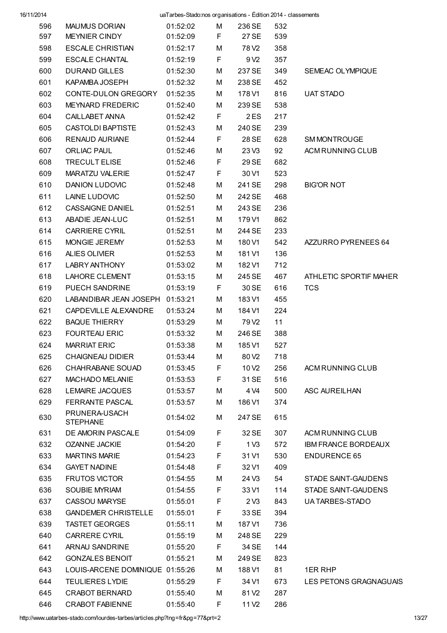| 16/11/2014 |                                  | uaTarbes-Stado:nos organisations - Édition 2014 - classements |    |                   |     |                            |
|------------|----------------------------------|---------------------------------------------------------------|----|-------------------|-----|----------------------------|
| 596        | MAUMUS DORIAN                    | 01:52:02                                                      | M  | 236 SE            | 532 |                            |
| 597        | MEYNIER CINDY                    | 01:52:09                                                      | F  | 27 SE             | 539 |                            |
| 598        | <b>ESCALE CHRISTIAN</b>          | 01:52:17                                                      | М  | 78 V <sub>2</sub> | 358 |                            |
| 599        | ESCALE CHANTAL                   | 01:52:19                                                      | F  | 9 V <sub>2</sub>  | 357 |                            |
| 600        | <b>DURAND GILLES</b>             | 01:52:30                                                      | M  | 237 SE            | 349 | SEMEAC OLYMPIQUE           |
| 601        | KAPAMBA JOSEPH                   | 01:52:32                                                      | М  | 238 SE            | 452 |                            |
| 602        | CONTE-DULON GREGORY              | 01:52:35                                                      | М  | 178 V1            | 816 | UAT STADO                  |
| 603        | <b>MEYNARD FREDERIC</b>          | 01:52:40                                                      | М  | 239 SE            | 538 |                            |
| 604        | CAILLABET ANNA                   | 01:52:42                                                      | F  | 2ES               | 217 |                            |
| 605        | <b>CASTOLDI BAPTISTE</b>         | 01:52:43                                                      | М  | 240 SE            | 239 |                            |
| 606        | RENAUD AURIANE                   | 01:52:44                                                      | F  | 28 SE             | 628 | SM MONTROUGE               |
| 607        | <b>ORLIAC PAUL</b>               | 01:52:46                                                      | М  | 23V3              | 92  | ACM RUNNING CLUB           |
| 608        | TRECULT ELISE                    | 01:52:46                                                      | F  | 29 SE             | 682 |                            |
| 609        | MARATZU VALERIE                  | 01:52:47                                                      | F  | 30 V1             | 523 |                            |
| 610        | DANION LUDOVIC                   | 01:52:48                                                      | М  | 241 SE            | 298 | <b>BIG'OR NOT</b>          |
| 611        | LAINE LUDOVIC                    | 01:52:50                                                      | М  | 242 SE            | 468 |                            |
| 612        | <b>CASSAIGNE DANIEL</b>          | 01:52:51                                                      | М  | 243 SE            | 236 |                            |
| 613        | ABADIE JEAN-LUC                  | 01:52:51                                                      | М  | 179 V1            | 862 |                            |
| 614        | <b>CARRIERE CYRIL</b>            | 01:52:51                                                      | М  | 244 SE            | 233 |                            |
| 615        | MONGIE JEREMY                    | 01:52:53                                                      | М  | 180 V1            | 542 | AZZURRO PYRENEES 64        |
| 616        | ALIES OLIVIER                    | 01:52:53                                                      | М  | 181 V1            | 136 |                            |
| 617        | LABRY ANTHONY                    | 01:53:02                                                      | М  | 182 V1            | 712 |                            |
| 618        | LAHORE CLEMENT                   | 01:53:15                                                      | М  | 245 SE            | 467 | ATHLETIC SPORTIF MAHER     |
| 619        | PUECH SANDRINE                   | 01:53:19                                                      | F  | 30 SE             | 616 | <b>TCS</b>                 |
|            |                                  |                                                               |    |                   |     |                            |
| 620        | LABANDIBAR JEAN JOSEPH 01:53:21  |                                                               | М  | 183 V1            | 455 |                            |
| 621        | CAPDEVILLE ALEXANDRE             | 01:53:24                                                      | М  | 184 V1            | 224 |                            |
| 622        | <b>BAQUE THIERRY</b>             | 01:53:29                                                      | М  | 79 V <sub>2</sub> | 11  |                            |
| 623        | <b>FOURTEAU ERIC</b>             | 01:53:32                                                      | M  | 246 SE            | 388 |                            |
| 624        | <b>MARRIAT ERIC</b>              | 01:53:38                                                      | M  | 185 V1            | 527 |                            |
| 625        | CHAIGNEAU DIDIER                 | 01:53:44                                                      | М  | 80 V <sub>2</sub> | 718 |                            |
| 626        | CHAHRABANE SOUAD                 | 01:53:45                                                      | F  | 10 <sub>V2</sub>  | 256 | ACM RUNNING CLUB           |
| 627        | MACHADO MELANIE                  | 01:53:53                                                      | F  | 31 SE             | 516 |                            |
| 628        | <b>LEMAIRE JACQUES</b>           | 01:53:57                                                      | М  | 4 V4              | 500 | ASC AUREILHAN              |
| 629        | FERRANTE PASCAL                  | 01:53:57                                                      | М  | 186 V1            | 374 |                            |
| 630        | PRUNERA-USACH<br><b>STEPHANE</b> | 01:54:02                                                      | М  | 247 SE            | 615 |                            |
| 631        | DE AMORIN PASCALE                | 01:54:09                                                      | F  | 32 SE             | 307 | ACM RUNNING CLUB           |
| 632        | <b>OZANNE JACKIE</b>             | 01:54:20                                                      | F  | 1 <sub>V3</sub>   | 572 | <b>IBM FRANCE BORDEAUX</b> |
| 633        | <b>MARTINS MARIE</b>             | 01:54:23                                                      | F  | 31 V1             | 530 | <b>ENDURENCE 65</b>        |
| 634        | <b>GAYET NADINE</b>              | 01:54:48                                                      | F  | 32 V1             | 409 |                            |
| 635        | <b>FRUTOS VICTOR</b>             | 01:54:55                                                      | М  | 24 V3             | 54  | STADE SAINT-GAUDENS        |
| 636        | SOUBIE MYRIAM                    | 01:54:55                                                      | F  | 33 V1             | 114 | STADE SAINT-GAUDENS        |
| 637        | CASSOU MARYSE                    | 01:55:01                                                      | F  | 2 <sub>V3</sub>   | 843 | UA TARBES-STADO            |
| 638        | <b>GANDEMER CHRISTELLE</b>       | 01:55:01                                                      | F  | 33 SE             | 394 |                            |
| 639        | <b>TASTET GEORGES</b>            | 01:55:11                                                      | M  | 187 V1            | 736 |                            |
| 640        | CARRERE CYRIL                    | 01:55:19                                                      | М  | 248 SE            | 229 |                            |
| 641        | ARNAU SANDRINE                   | 01:55:20                                                      | F  | 34 SE             | 144 |                            |
| 642        | <b>GONZALES BENOIT</b>           | 01:55:21                                                      | M  | 249 SE            | 823 |                            |
| 643        | LOUIS-ARCENE DOMINIQUE 01:55:26  |                                                               | М  | 188 V1            | 81  | 1ER RHP                    |
| 644        | <b>TEULIERES LYDIE</b>           | 01:55:29                                                      | F  | 34 V1             | 673 | LES PETONS GRAGNAGUAIS     |
| 645        | <b>CRABOT BERNARD</b>            | 01:55:40                                                      | М  | 81 V <sub>2</sub> | 287 |                            |
| 646        | CRABOT FABIENNE                  | 01:55:40                                                      | F. | 11 V <sub>2</sub> | 286 |                            |

http://www.uatarbes-stado.com/lourdes-tarbes/articles.php?lng=fr&pg=77&prt=2 13/27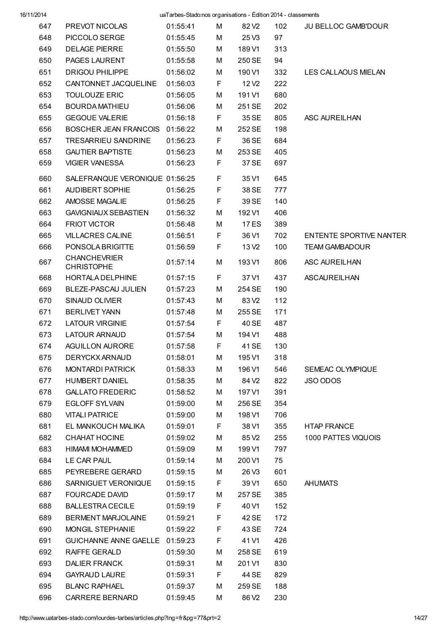| 16/11/2014 |                                          | uaTarbes-Stado:nos organisations - Édition 2014 - classements |    |                   |     |                                |
|------------|------------------------------------------|---------------------------------------------------------------|----|-------------------|-----|--------------------------------|
| 647        | PREVOT NICOLAS                           | 01:55:41                                                      | M  | 82 V <sub>2</sub> | 102 | <b>JU BELLOC GAMB'DOUR</b>     |
| 648        | PICCOLO SERGE                            | 01:55:45                                                      | M  | 25V3              | 97  |                                |
| 649        | <b>DELAGE PIERRE</b>                     | 01:55:50                                                      | М  | 189 V1            | 313 |                                |
| 650        | PAGES LAURENT                            | 01:55:58                                                      | M  | 250 SE            | 94  |                                |
| 651        | <b>DRIGOU PHILIPPE</b>                   | 01:56:02                                                      | М  | 190 V1            | 332 | LES CALLAOUS MIELAN            |
| 652        | CANTONNET JACQUELINE                     | 01:56:03                                                      | F  | 12 V <sub>2</sub> | 222 |                                |
| 653        | <b>TOULOUZE ERIC</b>                     | 01:56:05                                                      | М  | 191 V1            | 680 |                                |
| 654        | <b>BOURDA MATHIEU</b>                    | 01:56:06                                                      | M  | 251 SE            | 202 |                                |
| 655        | <b>GEGOUE VALERIE</b>                    | 01:56:18                                                      | F  | 35 SE             | 805 | ASC AUREILHAN                  |
| 656        | BOSCHER JEAN FRANCOIS 01:56:22           |                                                               | М  | 252 SE            | 198 |                                |
| 657        | <b>TRESARRIEU SANDRINE</b>               | 01:56:23                                                      | F  | 36 SE             | 684 |                                |
| 658        | <b>GAUTIER BAPTISTE</b>                  | 01:56:23                                                      | М  | 253 SE            | 405 |                                |
| 659        | <b>VIGIER VANESSA</b>                    | 01:56:23                                                      | F  | 37 SE             | 697 |                                |
| 660        |                                          |                                                               | F  | 35 V1             | 645 |                                |
|            | SALEFRANQUE VERONIQUE 01:56:25           |                                                               |    |                   |     |                                |
| 661        | AUDIBERT SOPHIE                          | 01:56:25                                                      | F  | 38 SE             | 777 |                                |
| 662        | AMOSSE MAGALIE                           | 01:56:25                                                      | F  | 39 SE             | 140 |                                |
| 663        | <b>GAVIGNIAUX SEBASTIEN</b>              | 01:56:32                                                      | М  | 192 V1            | 406 |                                |
| 664        | <b>FRIOT VICTOR</b>                      | 01:56:48                                                      | M  | 17 ES             | 389 |                                |
| 665        | <b>VILLACRES CALINE</b>                  | 01:56:51                                                      | F  | 36 V1             | 702 | <b>ENTENTE SPORTIVE NANTER</b> |
| 666        | PONSOLA BRIGITTE                         | 01:56:59                                                      | F  | 13 V <sub>2</sub> | 100 | <b>TEAM GAMBADOUR</b>          |
| 667        | <b>CHANCHEVRIER</b><br><b>CHRISTOPHE</b> | 01:57:14                                                      | M  | 193 V1            | 806 | ASC AUREILHAN                  |
| 668        | HORTALA DELPHINE                         | 01:57:15                                                      | F  | 37 V1             | 437 | ASCAUREILHAN                   |
| 669        | BLEZE-PASCAU JULIEN                      | 01:57:23                                                      | M  | 254 SE            | 190 |                                |
| 670        | SINAUD OLIVIER                           | 01:57:43                                                      | M  | 83 V <sub>2</sub> | 112 |                                |
| 671        | <b>BERLIVET YANN</b>                     | 01:57:48                                                      | М  | 255 SE            | 171 |                                |
| 672        | <b>LATOUR VIRGINIE</b>                   | 01:57:54                                                      | F. | 40 SE             | 487 |                                |
| 673        | <b>LATOUR ARNAUD</b>                     | 01:57:54                                                      | M  | 194 V1            | 488 |                                |
| 674        | AGUILLON AURORE                          | 01:57:58                                                      | F  | 41 SE             | 130 |                                |
| 675        | DERYCKX ARNAUD                           | 01:58:01                                                      | М  | 195 V1            | 318 |                                |
| 676        | <b>MONTARDI PATRICK</b>                  | 01:58:33                                                      | М  | 196 V1            | 546 | SEMEAC OLYMPIQUE               |
| 677        | <b>HUMBERT DANIEL</b>                    | 01:58:35                                                      | М  | 84 V <sub>2</sub> | 822 | JSO ODOS                       |
| 678        | <b>GALLATO FREDERIC</b>                  | 01:58:52                                                      | М  | 197 V1            | 391 |                                |
| 679        | <b>EGLOFF SYLVAIN</b>                    | 01:59:00                                                      | М  | 256 SE            | 354 |                                |
| 680        | <b>VITALI PATRICE</b>                    | 01:59:00                                                      | M  | 198 V1            | 706 |                                |
| 681        | EL MANKOUCH MALIKA                       | 01:59:01                                                      | F. | 38 V1             | 355 | <b>HTAP FRANCE</b>             |
| 682        | <b>CHAHAT HOCINE</b>                     | 01:59:02                                                      | М  | 85 V <sub>2</sub> | 255 | 1000 PATTES VIQUOIS            |
| 683        | <b>HIMAMI MOHAMMED</b>                   | 01:59:09                                                      | М  | 199 V1            | 797 |                                |
| 684        | LE CAR PAUL                              | 01:59:14                                                      | М  | 200 V1            | 75  |                                |
| 685        | PEYREBERE GERARD                         | 01:59:15                                                      | M  | 26 V3             | 601 |                                |
| 686        | SARNIGUET VERONIQUE                      | 01:59:15                                                      | F  | 39 V1             | 650 | <b>AHUMATS</b>                 |
| 687        | <b>FOURCADE DAVID</b>                    | 01:59:17                                                      | М  | 257 SE            | 385 |                                |
| 688        | <b>BALLESTRA CECILE</b>                  | 01:59:19                                                      | F  | 40 V1             | 152 |                                |
| 689        | <b>BERMENT MARJOLAINE</b>                | 01:59:21                                                      | F  | 42 SE             | 172 |                                |
| 690        | MONGIL STEPHANIE                         | 01:59:22                                                      | F  | 43 SE             | 724 |                                |
| 691        | GUICHANNE ANNE GAELLE 01:59:23           |                                                               | F. | 41 V1             | 426 |                                |
| 692        | RAIFFE GERALD                            | 01:59:30                                                      | М  | 258 SE            | 619 |                                |
| 693        | <b>DALIER FRANCK</b>                     | 01:59:31                                                      | M  | 201 V1            | 830 |                                |
| 694        | <b>GAYRAUD LAURE</b>                     | 01:59:31                                                      | F. | 44 SE             | 829 |                                |
| 695        | <b>BLANC RAPHAEL</b>                     | 01:59:37                                                      | М  | 259 SE            | 188 |                                |
| 696        | <b>CARRERE BERNARD</b>                   | 01:59:45                                                      | М  | 86 V <sub>2</sub> | 230 |                                |
|            |                                          |                                                               |    |                   |     |                                |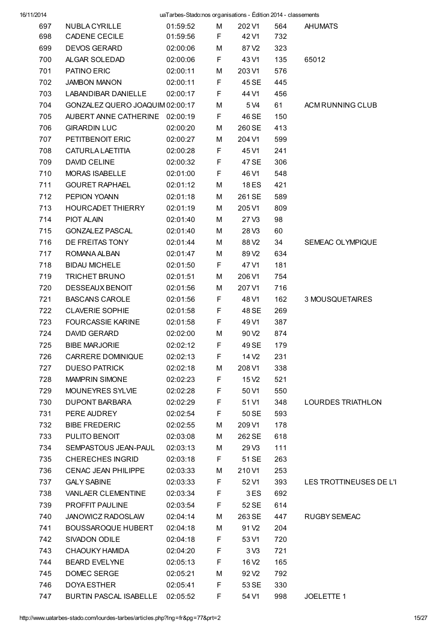| 16/11/2014 |                                         | uaTarbes-Stado:nos organisations - Édition 2014 - classements |        |                                        |            |                         |
|------------|-----------------------------------------|---------------------------------------------------------------|--------|----------------------------------------|------------|-------------------------|
| 697        | NUBLA CYRILLE                           | 01:59:52                                                      | м      | 202 V1                                 | 564        | <b>AHUMATS</b>          |
| 698        | CADENE CECILE                           | 01:59:56                                                      | F      | 42 V1                                  | 732        |                         |
| 699        | <b>DEVOS GERARD</b>                     | 02:00:06                                                      | M      | 87 V <sub>2</sub>                      | 323        |                         |
| 700        | ALGAR SOLEDAD                           | 02:00:06                                                      | F      | 43 V1                                  | 135        | 65012                   |
| 701        | PATINO ERIC                             | 02:00:11                                                      | M      | 203 V1                                 | 576        |                         |
| 702        | <b>JAMBON MANON</b>                     | 02:00:11                                                      | F      | 45 SE                                  | 445        |                         |
| 703        | LABANDIBAR DANIELLE                     | 02:00:17                                                      | F      | 44 V1                                  | 456        |                         |
| 704        | GONZALEZ QUERO JOAQUIM 02:00:17         |                                                               | M      | 5 V4                                   | 61         | ACM RUNNING CLUB        |
| 705        | AUBERT ANNE CATHERINE 02:00:19          |                                                               | F      | 46 SE                                  | 150        |                         |
| 706<br>707 | <b>GIRARDIN LUC</b><br>PETITBENOIT ERIC | 02:00:20                                                      | M      | 260 SE                                 | 413<br>599 |                         |
|            |                                         | 02:00:27                                                      | M      | 204 V1                                 |            |                         |
| 708        | <b>CATURLA LAETITIA</b>                 | 02:00:28                                                      | F      | 45 V1                                  | 241        |                         |
| 709<br>710 | <b>DAVID CELINE</b>                     | 02:00:32                                                      | F<br>F | 47 SE                                  | 306        |                         |
|            | MORAS ISABELLE<br><b>GOURET RAPHAEL</b> | 02:01:00                                                      |        | 46 V1                                  | 548        |                         |
| 711<br>712 | PEPION YOANN                            | 02:01:12                                                      | M      | <b>18 ES</b><br>261 SE                 | 421<br>589 |                         |
|            | <b>HOURCADET THIERRY</b>                | 02:01:18                                                      | M      |                                        |            |                         |
| 713        |                                         | 02:01:19                                                      | М      | 205 V1                                 | 809        |                         |
| 714        | PIOT ALAIN                              | 02:01:40                                                      | M      | 27V3                                   | 98         |                         |
| 715        | <b>GONZALEZ PASCAL</b>                  | 02:01:40                                                      | M      | 28V3                                   | 60         |                         |
| 716<br>717 | DE FREITAS TONY<br>ROMANA ALBAN         | 02:01:44                                                      | M      | 88 V <sub>2</sub><br>89 V <sub>2</sub> | 34         | SEMEAC OLYMPIQUE        |
| 718        | <b>BIDAU MICHELE</b>                    | 02:01:47                                                      | M<br>F | 47 V1                                  | 634<br>181 |                         |
| 719        | <b>TRICHET BRUNO</b>                    | 02:01:50<br>02:01:51                                          | M      | 206 V1                                 | 754        |                         |
| 720        | DESSEAUX BENOIT                         |                                                               |        |                                        |            |                         |
| 721        | <b>BASCANS CAROLE</b>                   | 02:01:56                                                      | M<br>F | 207 V1<br>48 V1                        | 716<br>162 | 3 MOUSQUETAIRES         |
| 722        | <b>CLAVERIE SOPHIE</b>                  | 02:01:56<br>02:01:58                                          | F      | 48 SE                                  | 269        |                         |
| 723        | <b>FOURCASSIE KARINE</b>                |                                                               | F      | 49 V1                                  | 387        |                         |
| 724        | <b>DAVID GERARD</b>                     | 02:01:58<br>02:02:00                                          | M      | 90 V <sub>2</sub>                      | 874        |                         |
| 725        | <b>BIBE MARJORIE</b>                    | 02:02:12                                                      | F      | 49 SE                                  | 179        |                         |
| 726        | CARRERE DOMINIQUE                       | 02:02:13                                                      | F.     | 14 V <sub>2</sub>                      | 231        |                         |
| 727        | <b>DUESO PATRICK</b>                    | 02:02:18                                                      | М      | 208 V1                                 | 338        |                         |
| 728        | <b>MAMPRIN SIMONE</b>                   | 02:02:23                                                      | F      | 15 V <sub>2</sub>                      | 521        |                         |
| 729        | MOUNEYRES SYLVIE                        | 02:02:28                                                      | F      | 50 V1                                  | 550        |                         |
| 730        | <b>DUPONT BARBARA</b>                   | 02:02:29                                                      | F      | 51 V1                                  | 348        | LOURDES TRIATHLON       |
| 731        | PERE AUDREY                             | 02:02:54                                                      | F      | 50 SE                                  | 593        |                         |
| 732        | <b>BIBE FREDERIC</b>                    | 02:02:55                                                      | М      | 209 V1                                 | 178        |                         |
| 733        | PULITO BENOIT                           | 02:03:08                                                      | М      | 262 SE                                 | 618        |                         |
| 734        | SEMPASTOUS JEAN-PAUL                    | 02:03:13                                                      | М      | 29 V3                                  | 111        |                         |
| 735        | <b>CHERECHES INGRID</b>                 | 02:03:18                                                      | F      | 51 SE                                  | 263        |                         |
| 736        | CENAC JEAN PHILIPPE                     | 02:03:33                                                      | М      | 210 V1                                 | 253        |                         |
| 737        | <b>GALY SABINE</b>                      | 02:03:33                                                      | F      | 52 V1                                  | 393        | LES TROTTINEUSES DE L'I |
| 738        | VANLAER CLEMENTINE                      | 02:03:34                                                      | F      | 3ES                                    | 692        |                         |
| 739        | PROFFIT PAULINE                         | 02:03:54                                                      | F      | 52 SE                                  | 614        |                         |
| 740        | JANOWICZ RADOSLAW                       | 02:04:14                                                      | М      | 263 SE                                 | 447        | <b>RUGBY SEMEAC</b>     |
| 741        | <b>BOUSSAROQUE HUBERT</b>               | 02:04:18                                                      | М      | 91 V <sub>2</sub>                      | 204        |                         |
| 742        | SIVADON ODILE                           | 02:04:18                                                      | F      | 53 V1                                  | 720        |                         |
| 743        | CHAOUKY HAMIDA                          | 02:04:20                                                      | F      | 3 <sub>V3</sub>                        | 721        |                         |
| 744        | <b>BEARD EVELYNE</b>                    | 02:05:13                                                      | F      | 16 V <sub>2</sub>                      | 165        |                         |
| 745        | DOMEC SERGE                             | 02:05:21                                                      | M      | 92 V <sub>2</sub>                      | 792        |                         |
| 746        | <b>DOYA ESTHER</b>                      | 02:05:41                                                      | F      | 53 SE                                  | 330        |                         |
| 747        | BURTIN PASCAL ISABELLE                  | 02:05:52                                                      | F      | 54 V1                                  | 998        | JOELETTE 1              |
|            |                                         |                                                               |        |                                        |            |                         |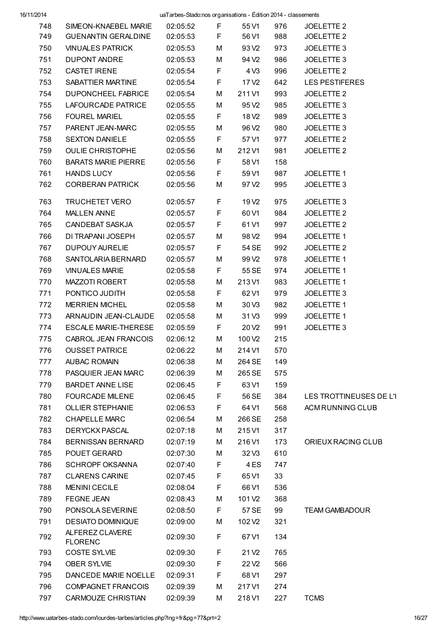| 748 | SIMEON-KNAEBEL MARIE              | 02:05:52 | F  | 55 V1              | 976 | JOELETTE 2              |
|-----|-----------------------------------|----------|----|--------------------|-----|-------------------------|
| 749 | <b>GUENANTIN GERALDINE</b>        | 02:05:53 | F  | 56 V1              | 988 | JOELETTE 2              |
| 750 | <b>VINUALES PATRICK</b>           | 02:05:53 | М  | 93 V <sub>2</sub>  | 973 | JOELETTE 3              |
| 751 | DUPONT ANDRE                      | 02:05:53 | М  | 94 V <sub>2</sub>  | 986 | JOELETTE 3              |
| 752 | <b>CASTET IRENE</b>               | 02:05:54 | F. | 4 V3               | 996 | JOELETTE 2              |
| 753 | SABATTIER MARTINE                 | 02:05:54 | F. | 17 V <sub>2</sub>  | 642 | <b>LES PESTIFERES</b>   |
| 754 | DUPONCHEEL FABRICE                | 02:05:54 | М  | 211 V1             | 993 | JOELETTE <sub>2</sub>   |
| 755 | LAFOURCADE PATRICE                | 02:05:55 | М  | 95 V <sub>2</sub>  | 985 | JOELETTE 3              |
| 756 | <b>FOUREL MARIEL</b>              | 02:05:55 | F. | 18 V <sub>2</sub>  | 989 | JOELETTE 3              |
| 757 | PARENT JEAN-MARC                  | 02:05:55 | М  | 96 V <sub>2</sub>  | 980 | JOELETTE 3              |
| 758 | <b>SEXTON DANIELE</b>             | 02:05:55 | F. | 57 V1              | 977 | JOELETTE 2              |
| 759 | <b>OULIE CHRISTOPHE</b>           | 02:05:56 | М  | 212 V1             | 981 | JOELETTE <sub>2</sub>   |
| 760 | <b>BARATS MARIE PIERRE</b>        | 02:05:56 | F. | 58 V1              | 158 |                         |
| 761 | <b>HANDS LUCY</b>                 | 02:05:56 | F. | 59 V1              | 987 | JOELETTE 1              |
| 762 | <b>CORBERAN PATRICK</b>           | 02:05:56 | М  | 97 V2              | 995 | JOELETTE 3              |
| 763 | <b>TRUCHETET VERO</b>             | 02:05:57 | F  | 19 V <sub>2</sub>  | 975 | JOELETTE 3              |
| 764 | <b>MALLEN ANNE</b>                | 02:05:57 | F  | 60 V1              | 984 | JOELETTE <sub>2</sub>   |
| 765 | CANDEBAT SASKJA                   | 02:05:57 | F. | 61 V1              | 997 | JOELETTE 2              |
| 766 | DI TRAPANI JOSEPH                 | 02:05:57 | М  | 98 V <sub>2</sub>  | 994 | JOELETTE 1              |
| 767 | DUPOUY AURELIE                    | 02:05:57 | F. | 54 SE              | 992 | JOELETTE 2              |
| 768 | SANTOLARIA BERNARD                | 02:05:57 | М  | 99 V <sub>2</sub>  | 978 | JOELETTE 1              |
| 769 | <b>VINUALES MARIE</b>             | 02:05:58 | F. | 55 SE              | 974 | JOELETTE 1              |
| 770 | MAZZOTI ROBERT                    | 02:05:58 | М  | 213 V1             | 983 | JOELETTE 1              |
| 771 | PONTICO JUDITH                    | 02:05:58 | F  | 62 V1              | 979 | JOELETTE 3              |
| 772 | <b>MERRIEN MICHEL</b>             | 02:05:58 | М  | 30 V3              | 982 | JOELETTE 1              |
| 773 | ARNAUDIN JEAN-CLAUDE              | 02:05:58 | М  | 31 V3              | 999 | JOELETTE 1              |
| 774 | ESCALE MARIE-THERESE              | 02:05:59 | F. | 20 V <sub>2</sub>  | 991 | JOELETTE 3              |
| 775 | CABROL JEAN FRANCOIS              | 02:06:12 | М  | 100 V <sub>2</sub> | 215 |                         |
| 776 | <b>OUSSET PATRICE</b>             | 02:06:22 | м  | 214 V1             | 570 |                         |
| 777 | <b>AUBAC ROMAIN</b>               | 02:06:38 | м  | 264 SE             | 149 |                         |
| 778 | PASQUIER JEAN MARC                | 02:06:39 | M  | 265 SE             | 575 |                         |
| 779 | <b>BARDET ANNE LISE</b>           | 02:06:45 | F  | 63 V1              | 159 |                         |
| 780 | <b>FOURCADE MILENE</b>            | 02:06:45 | F  | 56 SE              | 384 | LES TROTTINEUSES DE L'I |
| 781 | <b>OLLIER STEPHANIE</b>           | 02:06:53 | F  | 64 V1              | 568 | ACM RUNNING CLUB        |
| 782 | <b>CHAPELLE MARC</b>              | 02:06:54 | м  | 266 SE             | 258 |                         |
| 783 | DERYCKX PASCAL                    | 02:07:18 | м  | 215 V1             | 317 |                         |
| 784 | <b>BERNISSAN BERNARD</b>          | 02:07:19 | м  | 216 V1             | 173 | ORIEUX RACING CLUB      |
| 785 | POUET GERARD                      | 02:07:30 | м  | 32 V3              | 610 |                         |
| 786 | <b>SCHROPF OKSANNA</b>            | 02:07:40 | F  | 4 ES               | 747 |                         |
| 787 | <b>CLARENS CARINE</b>             | 02:07:45 | F  | 65 V1              | 33  |                         |
| 788 | <b>MENINI CECILE</b>              | 02:08:04 | F  | 66 V1              | 536 |                         |
| 789 | FEGNE JEAN                        | 02:08:43 | М  | 101 V <sub>2</sub> | 368 |                         |
| 790 | PONSOLA SEVERINE                  | 02:08:50 | F  | 57 SE              | 99  | <b>TEAM GAMBADOUR</b>   |
| 791 | <b>DESIATO DOMINIQUE</b>          | 02:09:00 | М  | 102 V <sub>2</sub> | 321 |                         |
| 792 | ALFEREZ CLAVERE<br><b>FLORENC</b> | 02:09:30 | F  | 67 V1              | 134 |                         |
| 793 | <b>COSTE SYLVIE</b>               | 02:09:30 | F  | 21 V <sub>2</sub>  | 765 |                         |
| 794 | OBER SYLVIE                       | 02:09:30 | F  | 22V <sub>2</sub>   | 566 |                         |
| 795 | DANCEDE MARIE NOELLE              | 02:09:31 | F  | 68 V1              | 297 |                         |
| 796 | <b>COMPAGNET FRANCOIS</b>         | 02:09:39 | M  | 217 V1             | 274 |                         |
| 797 | CARMOUZE CHRISTIAN                | 02:09:39 | М  | 218 V1             | 227 | <b>TCMS</b>             |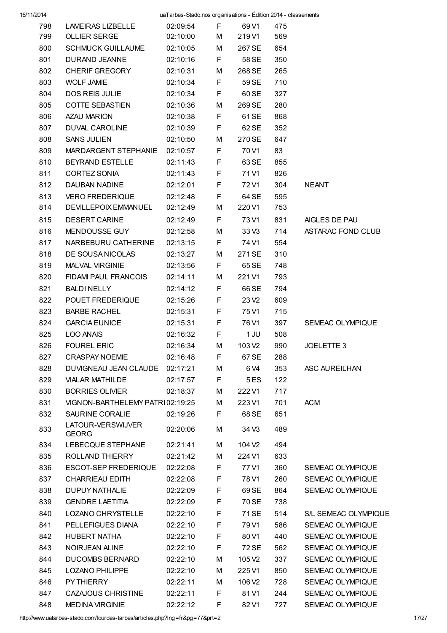| 16/11/2014 |                                 | uaTarbes-Stado:nos organisations - Édition 2014 - classements |    |                    |     |                      |  |  |
|------------|---------------------------------|---------------------------------------------------------------|----|--------------------|-----|----------------------|--|--|
| 798        | <b>LAMEIRAS LIZBELLE</b>        | 02:09:54                                                      | F. | 69 V1              | 475 |                      |  |  |
| 799        | OLLIER SERGE                    | 02:10:00                                                      | М  | 219 V1             | 569 |                      |  |  |
| 800        | <b>SCHMUCK GUILLAUME</b>        | 02:10:05                                                      | М  | 267 SE             | 654 |                      |  |  |
| 801        | DURAND JEANNE                   | 02:10:16                                                      | F. | 58 SE              | 350 |                      |  |  |
| 802        | CHERIF GREGORY                  | 02:10:31                                                      | М  | 268 SE             | 265 |                      |  |  |
| 803        | <b>WOLF JAMIE</b>               | 02:10:34                                                      | F  | 59 SE              | 710 |                      |  |  |
| 804        | DOS REIS JULIE                  | 02:10:34                                                      | F  | 60 SE              | 327 |                      |  |  |
| 805        | <b>COTTE SEBASTIEN</b>          | 02:10:36                                                      | М  | 269 SE             | 280 |                      |  |  |
| 806        | AZAU MARION                     | 02:10:38                                                      | F  | 61 SE              | 868 |                      |  |  |
| 807        | DUVAL CAROLINE                  | 02:10:39                                                      | F  | 62 SE              | 352 |                      |  |  |
| 808        | <b>SANS JULIEN</b>              | 02:10:50                                                      | М  | 270 SE             | 647 |                      |  |  |
| 809        | MARDARGENT STEPHANIE 02:10:57   |                                                               | F  | 70 V1              | 83  |                      |  |  |
| 810        | BEYRAND ESTELLE                 | 02:11:43                                                      | F  | 63 SE              | 855 |                      |  |  |
| 811        | CORTEZ SONIA                    | 02:11:43                                                      | F  | 71 V1              | 826 |                      |  |  |
| 812        | DAUBAN NADINE                   | 02:12:01                                                      | F  | 72 V1              | 304 | <b>NEANT</b>         |  |  |
| 813        | <b>VERO FREDERIQUE</b>          | 02:12:48                                                      | F  | 64 SE              | 595 |                      |  |  |
| 814        | DEVILLEPOIX EMMANUEL            | 02:12:49                                                      | М  | 220 V1             | 753 |                      |  |  |
| 815        | <b>DESERT CARINE</b>            | 02:12:49                                                      | F  | 73 V1              | 831 | AIGLES DE PAU        |  |  |
| 816        | MENDOUSSE GUY                   | 02:12:58                                                      | М  | 33 V3              | 714 | ASTARAC FOND CLUB    |  |  |
| 817        | NARBEBURU CATHERINE             | 02:13:15                                                      | F. | 74 V1              | 554 |                      |  |  |
| 818        | DE SOUSA NICOLAS                | 02:13:27                                                      | М  | 271 SE             | 310 |                      |  |  |
| 819        | MALVAL VIRGINIE                 | 02:13:56                                                      | F. | 65 SE              | 748 |                      |  |  |
| 820        | FIDAMI PAUL FRANCOIS            | 02:14:11                                                      | М  | 221 V1             | 793 |                      |  |  |
| 821        | BALDI NELLY                     | 02:14:12                                                      | F  | 66 SE              | 794 |                      |  |  |
| 822        | POUET FREDERIQUE                | 02:15:26                                                      | F  | 23 V <sub>2</sub>  | 609 |                      |  |  |
| 823        | <b>BARBE RACHEL</b>             | 02:15:31                                                      | F  | 75 V1              | 715 |                      |  |  |
| 824        | <b>GARCIA EUNICE</b>            | 02:15:31                                                      | F  | 76 V1              | 397 | SEMEAC OLYMPIQUE     |  |  |
| 825        | <b>LOO ANAIS</b>                | 02:16:32                                                      | F  | 1 JU               | 508 |                      |  |  |
| 826        | <b>FOUREL ERIC</b>              | 02:16:34 M 103 V2                                             |    |                    | 990 | JOELETTE 3           |  |  |
| 827        | <b>CRASPAY NOEMIE</b>           | 02:16:48                                                      | F  | 67 SE              | 288 |                      |  |  |
| 828        | DUVIGNEAU JEAN CLAUDE           | 02:17:21                                                      | M  | 6 V4               | 353 | ASC AUREILHAN        |  |  |
| 829        | <b>VIALAR MATHILDE</b>          | 02:17:57                                                      | F  | 5 ES               | 122 |                      |  |  |
| 830        | <b>BORRIES OLIVIER</b>          | 02:18:37                                                      | м  | 222 V1             | 717 |                      |  |  |
| 831        | VIGNON-BARTHELEMY PATRI02:19:25 |                                                               | М  | 223 V1             | 701 | <b>ACM</b>           |  |  |
| 832        | SAURINE CORALIE                 | 02:19:26                                                      | F  | 68 SE              | 651 |                      |  |  |
| 833        | LATOUR-VERSWIJVER               | 02:20:06                                                      | М  | 34 V3              | 489 |                      |  |  |
|            | <b>GEORG</b>                    |                                                               |    |                    |     |                      |  |  |
| 834        | LEBECQUE STEPHANE               | 02:21:41                                                      | М  | 104 V <sub>2</sub> | 494 |                      |  |  |
| 835        | ROLLAND THIERRY                 | 02:21:42                                                      | М  | 224 V1             | 633 |                      |  |  |
| 836        | <b>ESCOT-SEP FREDERIQUE</b>     | 02:22:08                                                      | F  | 77 V1              | 360 | SEMEAC OLYMPIQUE     |  |  |
| 837        | CHARRIEAU EDITH                 | 02:22:08                                                      | F  | 78 V1              | 260 | SEMEAC OLYMPIQUE     |  |  |
| 838        | <b>DUPUY NATHALIE</b>           | 02:22:09                                                      | F  | 69 SE              | 864 | SEMEAC OLYMPIQUE     |  |  |
| 839        | <b>GENDRE LAETITIA</b>          | 02:22:09                                                      | F  | 70 SE              | 738 |                      |  |  |
| 840        | LOZANO CHRYSTELLE               | 02:22:10                                                      | F  | 71 SE              | 514 | S/L SEMEAC OLYMPIQUE |  |  |
| 841        | PELLEFIGUES DIANA               | 02:22:10                                                      | F  | 79 V1              | 586 | SEMEAC OLYMPIQUE     |  |  |
| 842        | <b>HUBERT NATHA</b>             | 02:22:10                                                      | F  | 80 V1              | 440 | SEMEAC OLYMPIQUE     |  |  |
| 843        | NOIRJEAN ALINE                  | 02:22:10                                                      | F  | 72 SE              | 562 | SEMEAC OLYMPIQUE     |  |  |
| 844        | <b>DUCOMBS BERNARD</b>          | 02:22:10                                                      | М  | 105 V <sub>2</sub> | 337 | SEMEAC OLYMPIQUE     |  |  |
| 845        | <b>LOZANO PHILIPPE</b>          | 02:22:10                                                      | М  | 225 V1             | 850 | SEMEAC OLYMPIQUE     |  |  |
| 846        | PY THIERRY                      | 02:22:11                                                      | М  | 106 V <sub>2</sub> | 728 | SEMEAC OLYMPIQUE     |  |  |
| 847        | <b>CAZAJOUS CHRISTINE</b>       | 02:22:11                                                      | F  | 81 V1              | 244 | SEMEAC OLYMPIQUE     |  |  |
| 848        | <b>MEDINA VIRGINIE</b>          | 02:22:12                                                      | F  | 82 V1              | 727 | SEMEAC OLYMPIQUE     |  |  |

http://www.uatarbes-stado.com/lourdes-tarbes/articles.php?lng=fr&pg=77&prt=2 17/27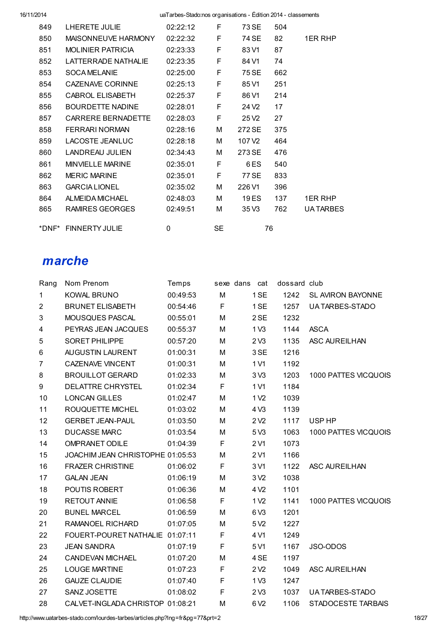| 849   | LHERETE JULIE            | 02:22:12     | F         | 73 SE              | 504 |                 |
|-------|--------------------------|--------------|-----------|--------------------|-----|-----------------|
| 850   | MAISONNEUVE HARMONY      | 02:22:32     | F         | 74 SE              | 82  | 1ER RHP         |
| 851   | <b>MOLINIFR PATRICIA</b> | 02:23:33     | F         | 83 V1              | 87  |                 |
| 852   | I ATTFRRADF NATHAI IF    | 02:23:35     | F         | 84 V1              | 74  |                 |
| 853   | <b>SOCA MELANIE</b>      | 02:25:00     | F         | 75 SE              | 662 |                 |
| 854   | CAZENAVE CORINNE         | 02:25:13     | F         | 85 V1              | 251 |                 |
| 855   | <b>CABROL ELISABETH</b>  | 02:25:37     | F         | 86 V1              | 214 |                 |
| 856   | <b>BOURDETTE NADINE</b>  | 02:28:01     | F         | 24 V <sub>2</sub>  | 17  |                 |
| 857   | CARRERE BERNADETTE       | 02:28:03     | F         | 25 V <sub>2</sub>  | 27  |                 |
| 858   | FERRARI NORMAN           | 02:28:16     | М         | 272 SE             | 375 |                 |
| 859   | <b>LACOSTE JEANLUC</b>   | 02:28:18     | М         | 107 V <sub>2</sub> | 464 |                 |
| 860   | LANDREAU JULIEN          | 02:34:43     | М         | 273 SE             | 476 |                 |
| 861   | MINVIFI I F MARINE       | 02:35:01     | F         | 6ES                | 540 |                 |
| 862   | <b>MERIC MARINE</b>      | 02:35:01     | F         | 77 SE              | 833 |                 |
| 863   | <b>GARCIA LIONEL</b>     | 02:35:02     | М         | 226 V1             | 396 |                 |
| 864   | ALMEIDA MICHAEL          | 02:48:03     | М         | 19 ES              | 137 | <b>1ER RHP</b>  |
| 865   | RAMIRES GEORGES          | 02:49:51     | М         | 35 V3              | 762 | <b>UATARBES</b> |
|       |                          |              |           |                    |     |                 |
| *DNF* | <b>FINNERTY JULIE</b>    | $\mathbf{0}$ | <b>SE</b> |                    | 76  |                 |

### marche

| Rang                    | Nom Prenom                       | Temps    |             | sexe dans cat    | dossard club |                      |
|-------------------------|----------------------------------|----------|-------------|------------------|--------------|----------------------|
| $\mathbf{1}$            | <b>KOWAL BRUNO</b>               | 00:49:53 | M           | 1 SE             | 1242         | SL AVIRON BAYONNE    |
| $\overline{c}$          | <b>BRUNET ELISABETH</b>          | 00:54:46 | F           | 1 SE             | 1257         | UA TARBES-STADO      |
| 3                       | MOUSQUES PASCAL                  | 00:55:01 | M           | 2 SE             | 1232         |                      |
| $\overline{\mathbf{4}}$ | PEYRAS JEAN JACQUES              | 00:55:37 | М           | 1 <sub>V3</sub>  | 1144         | <b>ASCA</b>          |
| 5                       | <b>SORET PHILIPPE</b>            | 00:57:20 | М           | 2 <sub>V3</sub>  | 1135         | <b>ASC AUREILHAN</b> |
| 6                       | AUGUSTIN LAURENT                 | 01:00:31 | М           | 3 SE             | 1216         |                      |
| $\overline{7}$          | <b>CAZENAVE VINCENT</b>          | 01:00:31 | М           | 1 V1             | 1192         |                      |
| 8                       | <b>BROUILLOT GERARD</b>          | 01:02:33 | М           | 3 <sub>V</sub> 3 | 1203         | 1000 PATTES VICQUOIS |
| 9                       | <b>DELATTRE CHRYSTEL</b>         | 01:02:34 | F           | 1 V1             | 1184         |                      |
| 10                      | <b>LONCAN GILLES</b>             | 01:02:47 | M           | 1 V <sub>2</sub> | 1039         |                      |
| 11                      | ROUQUETTE MICHEL                 | 01:03:02 | М           | 4 V3             | 1139         |                      |
| 12                      | <b>GERBET JEAN-PAUL</b>          | 01:03:50 | М           | 2 <sub>V2</sub>  | 1117         | USP HP               |
| 13                      | <b>DUCASSE MARC</b>              | 01:03:54 | М           | 5 V3             | 1063         | 1000 PATTES VICQUOIS |
| 14                      | <b>OMPRANET ODILE</b>            | 01:04:39 | F           | 2 V1             | 1073         |                      |
| 15                      | JOACHIM JEAN CHRISTOPHE 01:05:53 |          | M           | 2 V1             | 1166         |                      |
| 16                      | <b>FRAZER CHRISTINE</b>          | 01:06:02 | F           | 3 V1             | 1122         | ASC AUREILHAN        |
| 17                      | <b>GALAN JEAN</b>                | 01:06:19 | М           | 3 <sub>2</sub>   | 1038         |                      |
| 18                      | POUTIS ROBERT                    | 01:06:36 | М           | 4 V <sub>2</sub> | 1101         |                      |
| 19                      | <b>RETOUT ANNIE</b>              | 01:06:58 | F           | 1 V <sub>2</sub> | 1141         | 1000 PATTES VICQUOIS |
| 20                      | <b>BUNEL MARCEL</b>              | 01:06:59 | M           | 6V3              | 1201         |                      |
| 21                      | RAMANOEL RICHARD                 | 01:07:05 | M           | 5 V <sub>2</sub> | 1227         |                      |
| 22                      | FOUERT-POURET NATHALIE 01:07:11  |          | F           | 4 V1             | 1249         |                      |
| 23                      | <b>JEAN SANDRA</b>               | 01:07:19 | F           | 5 V1             | 1167         | JSO-ODOS             |
| 24                      | CANDEVAN MICHAEL                 | 01:07:20 | M           | 4 SE             | 1197         |                      |
| 25                      | <b>LOUGE MARTINE</b>             | 01:07:23 | $\mathsf F$ | 2 <sub>V2</sub>  | 1049         | ASC AUREILHAN        |
| 26                      | <b>GAUZE CLAUDIE</b>             | 01:07:40 | F           | 1 <sub>V3</sub>  | 1247         |                      |
| 27                      | SANZ JOSETTE                     | 01:08:02 | F           | 2 <sub>V3</sub>  | 1037         | UA TARBES-STADO      |
| 28                      | CALVET-INGLADA CHRISTOP 01:08:21 |          | M           | 6 V <sub>2</sub> | 1106         | STADOCESTE TARBAIS   |

http://www.uatarbes-stado.com/lourdes-tarbes/articles.php?lng=fr&pg=77&prt=2 18/27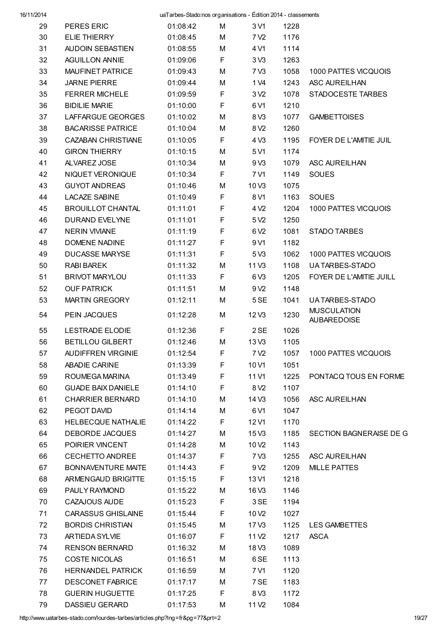| 29 | PERES ERIC                | 01:08:42 | М  | 3 V1              | 1228 |                                          |
|----|---------------------------|----------|----|-------------------|------|------------------------------------------|
| 30 | <b>ELIE THIERRY</b>       | 01:08:45 | M  | 7 V <sub>2</sub>  | 1176 |                                          |
| 31 | AUDOIN SEBASTIEN          | 01:08:55 | M  | 4 V1              | 1114 |                                          |
| 32 | <b>AGUILLON ANNIE</b>     | 01:09:06 | F  | 3 <sub>V</sub> 3  | 1263 |                                          |
| 33 | <b>MAUFINET PATRICE</b>   | 01:09:43 | M  | 7 V3              | 1058 | 1000 PATTES VICQUOIS                     |
| 34 | <b>JARNE PIERRE</b>       | 01:09:44 | M  | 1 V4              | 1243 | ASC AUREILHAN                            |
| 35 | <b>FERRER MICHELE</b>     | 01:09:59 | F  | 3 <sub>2</sub>    | 1078 | STADOCESTE TARBES                        |
| 36 | <b>BIDILIE MARIE</b>      | 01:10:00 | F  | 6 V1              | 1210 |                                          |
| 37 | LAFFARGUE GEORGES         | 01:10:02 | M  | 8 V3              | 1077 | <b>GAMBETTOISES</b>                      |
| 38 | <b>BACARISSE PATRICE</b>  | 01:10:04 | M  | 8 V <sub>2</sub>  | 1260 |                                          |
| 39 | CAZABAN CHRISTIANE        | 01:10:05 | F  | 4 V3              | 1195 | FOYER DE L'AMITIE JUIL                   |
| 40 | <b>GIRON THIERRY</b>      | 01:10:15 | M  | 5 V1              | 1174 |                                          |
| 41 | ALVAREZ JOSE              | 01:10:34 | M  | 9 V3              | 1079 | ASC AUREILHAN                            |
| 42 | NIQUET VERONIQUE          | 01:10:34 | F  | 7 V1              | 1149 | <b>SOUES</b>                             |
| 43 | <b>GUYOT ANDREAS</b>      | 01:10:46 | M  | 10 <sub>V3</sub>  | 1075 |                                          |
| 44 | <b>LACAZE SABINE</b>      | 01:10:49 | F  | 8 V1              | 1163 | <b>SOUES</b>                             |
| 45 | <b>BROUILLOT CHANTAL</b>  | 01:11:01 | F  | 4 V <sub>2</sub>  | 1204 | 1000 PATTES VICQUOIS                     |
| 46 | DURAND EVELYNE            | 01:11:01 | F  | 5 V <sub>2</sub>  | 1250 |                                          |
| 47 | <b>NERIN VIVIANE</b>      | 01:11:19 | F  | 6 V <sub>2</sub>  | 1081 | STADO TARBES                             |
| 48 | <b>DOMENE NADINE</b>      | 01:11:27 | F  | 9 V1              | 1182 |                                          |
| 49 | DUCASSE MARYSE            | 01:11:31 | F  | 5 V3              | 1062 | 1000 PATTES VICQUOIS                     |
| 50 | <b>RABI BAREK</b>         | 01:11:32 | M  | 11 V3             | 1108 | UA TARBES-STADO                          |
| 51 | <b>BRIVOT MARYLOU</b>     | 01:11:33 | F  | 6 V3              | 1205 | FOYER DE L'AMITIE JUILL                  |
| 52 | <b>OUF PATRICK</b>        | 01:11:51 | M  | 9 V <sub>2</sub>  | 1148 |                                          |
| 53 | <b>MARTIN GREGORY</b>     | 01:12:11 | M  | 5 SE              | 1041 | UA TARBES-STADO                          |
| 54 | PEIN JACQUES              | 01:12:28 | М  | 12V3              | 1230 | <b>MUSCULATION</b><br><b>AUBAREDOISE</b> |
| 55 | <b>LESTRADE ELODIE</b>    | 01:12:36 | F  | 2 SE              | 1026 |                                          |
| 56 | <b>BETILLOU GILBERT</b>   | 01:12:46 | М  | 13 V3             | 1105 |                                          |
| 57 | <b>AUDIFFREN VIRGINIE</b> | 01:12:54 | F  | 7 V <sub>2</sub>  | 1057 | 1000 PATTES VICQUOIS                     |
| 58 | ABADIE CARINE             | 01:13:39 | F. | 10 <sub>V1</sub>  | 1051 |                                          |
| 59 | ROUMEGA MARINA            | 01:13:49 | F  | 11 V1             | 1225 | PONTACQ TOUS EN FORME                    |
| 60 | <b>GUADE BAIX DANIELE</b> | 01:14:10 | F  | 8 V <sub>2</sub>  | 1107 |                                          |
| 61 | <b>CHARRIER BERNARD</b>   | 01:14:10 | M  | 14 V3             | 1056 | ASC AUREILHAN                            |
| 62 | PEGOT DAVID               | 01:14:14 | М  | 6 V1              | 1047 |                                          |
| 63 | HELBECQUE NATHALIE        | 01:14:22 | F  | 12 V1             | 1170 |                                          |
| 64 | DEBORDE JACQUES           | 01:14:27 | M  | 15 <sub>V3</sub>  | 1185 | SECTION BAGNERAISE DE G                  |
| 65 | POIRIER VINCENT           | 01:14:28 | М  | 10 <sub>V2</sub>  | 1143 |                                          |
| 66 | CECHETTO ANDREE           | 01:14:37 | F  | 7 V3              | 1255 | ASC AUREILHAN                            |
| 67 | BONNAVENTURE MAITE        | 01:14:43 | F  | 9 V <sub>2</sub>  | 1209 | <b>MILLE PATTES</b>                      |
| 68 | ARMENGAUD BRIGITTE        | 01:15:15 | F  | 13 V1             | 1218 |                                          |
| 69 | PAULY RAYMOND             | 01:15:22 | M  | 16 V3             | 1146 |                                          |
| 70 | CAZAJOUS AUDE             | 01:15:23 | F  | 3 SE              | 1194 |                                          |
| 71 | <b>CARASSUS GHISLAINE</b> | 01:15:44 | F  | 10 <sub>V2</sub>  | 1027 |                                          |
| 72 | <b>BORDIS CHRISTIAN</b>   | 01:15:45 | M  | 17 V3             | 1125 | LES GAMBETTES                            |
| 73 | ARTIEDA SYLVIE            | 01:16:07 | F. | 11 V <sub>2</sub> | 1217 | <b>ASCA</b>                              |
| 74 | <b>RENSON BERNARD</b>     | 01:16:32 | M  | 18 V3             | 1089 |                                          |
| 75 | <b>COSTE NICOLAS</b>      | 01:16:51 | M  | 6 SE              | 1113 |                                          |
| 76 | <b>HERNANDEL PATRICK</b>  | 01:16:59 | М  | 7 V1              | 1120 |                                          |
| 77 | DESCONET FABRICE          | 01:17:17 | M  | 7 SE              | 1183 |                                          |
| 78 | <b>GUERIN HUGUETTE</b>    | 01:17:25 | F  | 8 V3              | 1172 |                                          |
| 79 | DASSIEU GERARD            | 01:17:53 | M  | 11 <sub>V2</sub>  | 1084 |                                          |

http://www.uatarbes-stado.com/lourdes-tarbes/articles.php?lng=fr&pg=77&prt=2 19/27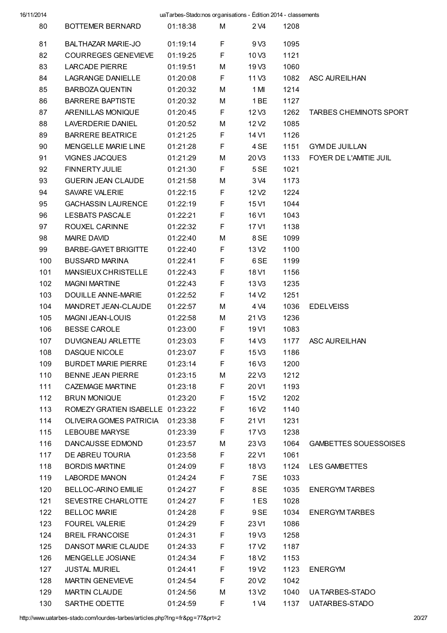| 16/11/2014 | uaTarbes-Stado:nos organisations - Édition 2014 - classements |          |    |                   |      |                               |  |
|------------|---------------------------------------------------------------|----------|----|-------------------|------|-------------------------------|--|
| 80         | BOTTEMER BERNARD                                              | 01:18:38 | М  | 2 V4              | 1208 |                               |  |
| 81         | <b>BALTHAZAR MARIE-JO</b>                                     | 01:19:14 | F  | 9 <sub>V3</sub>   | 1095 |                               |  |
| 82         | <b>COURREGES GENEVIEVE</b>                                    | 01:19:25 | F. | 10 <sub>V3</sub>  | 1121 |                               |  |
| 83         | LARCADE PIERRE                                                | 01:19:51 | М  | 19 <sub>V3</sub>  | 1060 |                               |  |
| 84         | LAGRANGE DANIELLE                                             | 01:20:08 | F. | 11 V3             | 1082 | ASC AUREILHAN                 |  |
| 85         | BARBOZA QUENTIN                                               | 01:20:32 | М  | 1 MI              | 1214 |                               |  |
| 86         | <b>BARRERE BAPTISTE</b>                                       | 01:20:32 | М  | 1 BE              | 1127 |                               |  |
| 87         | ARENILLAS MONIQUE                                             | 01:20:45 | F. | 12 V <sub>3</sub> | 1262 | <b>TARBES CHEMINOTS SPORT</b> |  |
| 88         | LAVERDERIE DANIEL                                             | 01:20:52 | М  | 12 V <sub>2</sub> | 1085 |                               |  |
| 89         | <b>BARRERE BEATRICE</b>                                       | 01:21:25 | F. | 14 V1             | 1126 |                               |  |
| 90         | <b>MENGELLE MARIE LINE</b>                                    | 01:21:28 | F  | 4 SE              | 1151 | <b>GYMDE JUILLAN</b>          |  |
| 91         | <b>VIGNES JACQUES</b>                                         | 01:21:29 | М  | 20 V3             | 1133 | FOYER DE L'AMITIE JUIL        |  |
| 92         | FINNERTY JULIE                                                | 01:21:30 | F. | 5 SE              | 1021 |                               |  |
| 93         | <b>GUERIN JEAN CLAUDE</b>                                     | 01:21:58 | М  | 3 V4              | 1173 |                               |  |
| 94         | SAVARE VALERIE                                                | 01:22:15 | F  | 12 V <sub>2</sub> | 1224 |                               |  |
| 95         | <b>GACHASSIN LAURENCE</b>                                     | 01:22:19 | F  | 15 V1             | 1044 |                               |  |
| 96         | <b>LESBATS PASCALE</b>                                        | 01:22:21 | F  | 16 V1             | 1043 |                               |  |
| 97         | ROUXEL CARINNE                                                | 01:22:32 | F. | 17 V1             | 1138 |                               |  |
| 98         | <b>MAIRE DAVID</b>                                            | 01:22:40 | М  | 8 SE              | 1099 |                               |  |
| 99         | <b>BARBE-GAYET BRIGITTE</b>                                   | 01:22:40 | F. | 13 V <sub>2</sub> | 1100 |                               |  |
| 100        | <b>BUSSARD MARINA</b>                                         | 01:22:41 | F  | 6 SE              | 1199 |                               |  |
| 101        | MANSIEUX CHRISTELLE                                           | 01:22:43 | F. | 18 V1             | 1156 |                               |  |
| 102        | <b>MAGNI MARTINE</b>                                          | 01:22:43 | F  | 13 V3             | 1235 |                               |  |
| 103        | DOUILLE ANNE-MARIE                                            | 01:22:52 | F. | 14 V <sub>2</sub> | 1251 |                               |  |
| 104        | MANDRET JEAN-CLAUDE                                           | 01:22:57 | M  | 4 V4              | 1036 | <b>EDELVEISS</b>              |  |
| 105        | <b>MAGNI JEAN-LOUIS</b>                                       | 01:22:58 | М  | 21 V3             | 1236 |                               |  |
| 106        | <b>BESSE CAROLE</b>                                           | 01:23:00 | F  | 19 V1             | 1083 |                               |  |
| 107        | <b>DUVIGNEAU ARLETTE</b>                                      | 01:23:03 | F  | 14 V3             | 1177 | <b>ASC AUREILHAN</b>          |  |
| 108        | DASQUE NICOLE                                                 | 01:23:07 | F  | 15 V3             | 1186 |                               |  |
| 109        | <b>BURDET MARIE PIERRE</b>                                    | 01:23:14 | F. | 16 V3             | 1200 |                               |  |
| 110        | <b>BENNE JEAN PIERRE</b>                                      | 01:23:15 | М  | 22V3              | 1212 |                               |  |
| 111        | CAZEMAGE MARTINE                                              | 01:23:18 | F. | 20 V1             | 1193 |                               |  |
| 112        | <b>BRUN MONIQUE</b>                                           | 01:23:20 | F. | 15 V <sub>2</sub> | 1202 |                               |  |
| 113        | ROMEZY GRATIEN ISABELLE 01:23:22                              |          | F. | 16 V <sub>2</sub> | 1140 |                               |  |
| 114        | OLIVEIRA GOMES PATRICIA 01:23:38                              |          | F  | 21 V1             | 1231 |                               |  |
| 115        | <b>LEBOUBE MARYSE</b>                                         | 01:23:39 | F  | 17 V3             | 1238 |                               |  |
| 116        | DANCAUSSE EDMOND                                              | 01:23:57 | М  | 23 V3             | 1064 | <b>GAMBETTES SOUESSOISES</b>  |  |
| 117        | DE ABREU TOURIA                                               | 01:23:58 | F  | 22 V1             | 1061 |                               |  |
| 118        | <b>BORDIS MARTINE</b>                                         | 01:24:09 | F  | 18 V3             | 1124 | LES GAMBETTES                 |  |
| 119        | <b>LABORDE MANON</b>                                          | 01:24:24 | F  | 7 SE              | 1033 |                               |  |
| 120        | BELLOC-ARINO EMILIE                                           | 01:24:27 | F  | 8 SE              | 1035 | <b>ENERGYMTARBES</b>          |  |
| 121        | SEVESTRE CHARLOTTE                                            | 01:24:27 | F  | 1ES               | 1028 |                               |  |
| 122        | <b>BELLOC MARIE</b>                                           | 01:24:28 | F  | 9 SE              | 1034 | <b>ENERGYM TARBES</b>         |  |
| 123        | <b>FOUREL VALERIE</b>                                         | 01:24:29 | F  | 23 V1             | 1086 |                               |  |
| 124        | <b>BREIL FRANCOISE</b>                                        | 01:24:31 | F  | 19 V3             | 1258 |                               |  |
| 125        | DANSOT MARIE CLAUDE                                           | 01:24:33 | F. | 17 V <sub>2</sub> | 1187 |                               |  |
| 126        | MENGELLE JOSIANE                                              | 01:24:34 | F. | 18 V <sub>2</sub> | 1153 |                               |  |
| 127        | <b>JUSTAL MURIEL</b>                                          | 01:24:41 | F. | 19 V <sub>2</sub> | 1123 | <b>ENERGYM</b>                |  |
| 128        | <b>MARTIN GENEVIEVE</b>                                       | 01:24:54 | F. | 20 V <sub>2</sub> | 1042 |                               |  |
| 129        | MARTIN CLAUDE                                                 | 01:24:56 | М  | 13 V <sub>2</sub> | 1040 | UA TARBES-STADO               |  |
| 130        | SARTHE ODETTE                                                 | 01:24:59 | F. | 1 V4              | 1137 | UATARBES-STADO                |  |

http://www.uatarbes-stado.com/lourdes-tarbes/articles.php?lng=fr&pg=77&prt=2 20/27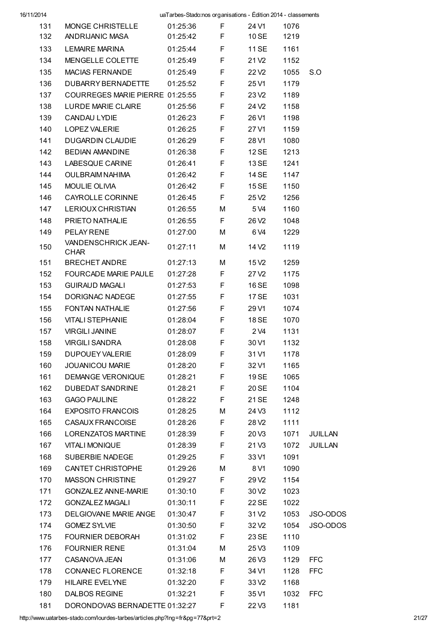| 16/11/2014 |                                    |          | uaTarbes-Stado:nos organisations - Edition 2014 - classements |                   |      |                |
|------------|------------------------------------|----------|---------------------------------------------------------------|-------------------|------|----------------|
| 131        | MONGE CHRISTELLE                   | 01:25:36 | F                                                             | 24 V1             | 1076 |                |
| 132        | ANDRIJANIC MASA                    | 01:25:42 | F                                                             | 10 SE             | 1219 |                |
| 133        | <b>LEMAIRE MARINA</b>              | 01:25:44 | F                                                             | 11 SE             | 1161 |                |
| 134        | MENGELLE COLETTE                   | 01:25:49 | F                                                             | 21 V <sub>2</sub> | 1152 |                |
| 135        | MACIAS FERNANDE                    | 01:25:49 | F                                                             | 22 V <sub>2</sub> | 1055 | S.O            |
| 136        | DUBARRY BERNADETTE                 | 01:25:52 | F                                                             | 25 V1             | 1179 |                |
| 137        | COURREGES MARIE PIERRE 01:25:55    |          | F                                                             | 23 V <sub>2</sub> | 1189 |                |
| 138        | LURDE MARIE CLAIRE                 | 01:25:56 | F                                                             | 24 V <sub>2</sub> | 1158 |                |
| 139        | CANDAU LYDIE                       | 01:26:23 | F                                                             | 26 V1             | 1198 |                |
| 140        | LOPEZ VALERIE                      | 01:26:25 | F                                                             | 27 V1             | 1159 |                |
| 141        | <b>DUGARDIN CLAUDIE</b>            | 01:26:29 | F                                                             | 28 V1             | 1080 |                |
| 142        | <b>BEDIAN AMANDINE</b>             | 01:26:38 | F                                                             | 12 SE             | 1213 |                |
| 143        | LABESQUE CARINE                    | 01:26:41 | F                                                             | 13 SE             | 1241 |                |
| 144        | OULBRAIM NAHIMA                    | 01:26:42 | F                                                             | 14 SE             | 1147 |                |
| 145        | MOULIE OLIVIA                      | 01:26:42 | F                                                             | 15 SE             | 1150 |                |
| 146        | CAYROLLE CORINNE                   | 01:26:45 | F                                                             | 25 V <sub>2</sub> | 1256 |                |
| 147        | <b>LERIOUX CHRISTIAN</b>           | 01:26:55 | м                                                             | 5 V4              | 1160 |                |
| 148        | PRIETO NATHALIE                    | 01:26:55 | F                                                             | 26 V <sub>2</sub> | 1048 |                |
| 149        | PELAY RENE                         | 01:27:00 | М                                                             | 6 V4              | 1229 |                |
| 150        | VANDENSCHRICK JEAN-<br><b>CHAR</b> | 01:27:11 | М                                                             | 14 V <sub>2</sub> | 1119 |                |
| 151        | <b>BRECHET ANDRE</b>               | 01:27:13 | М                                                             | 15 V2             | 1259 |                |
| 152        | FOURCADE MARIE PAULE               | 01:27:28 | F                                                             | 27 V2             | 1175 |                |
| 153        | <b>GUIRAUD MAGALI</b>              | 01:27:53 | F                                                             | 16 SE             | 1098 |                |
| 154        | DORIGNAC NADEGE                    | 01:27:55 | F                                                             | 17 SE             | 1031 |                |
| 155        | <b>FONTAN NATHALIE</b>             | 01:27:56 | F                                                             | 29 V1             | 1074 |                |
| 156        | <b>VITALI STEPHANIE</b>            | 01:28:04 | F                                                             | 18 SE             | 1070 |                |
| 157        | <b>VIRGILI JANINE</b>              | 01:28:07 | F                                                             | 2 V4              | 1131 |                |
| 158        | <b>VIRGILI SANDRA</b>              | 01:28:08 | F                                                             | 30 V1             | 1132 |                |
| 159        | <b>DUPOUEY VALERIE</b>             | 01:28:09 | F                                                             | 31 V1             | 1178 |                |
| 160        | <b>JOUANICOU MARIE</b>             | 01:28:20 | F                                                             | 32 V1             | 1165 |                |
| 161        | DEMANGE VERONIQUE                  | 01:28:21 | F                                                             | 19 SE             | 1065 |                |
| 162        | <b>DUBEDAT SANDRINE</b>            | 01:28:21 | F                                                             | 20 SE             | 1104 |                |
| 163        | <b>GAGO PAULINE</b>                | 01:28:22 | F                                                             | 21 SE             | 1248 |                |
| 164        | <b>EXPOSITO FRANCOIS</b>           | 01:28:25 | М                                                             | 24 V3             | 1112 |                |
| 165        | CASAUX FRANCOISE                   | 01:28:26 | F                                                             | 28 V <sub>2</sub> | 1111 |                |
| 166        | <b>LORENZATOS MARTINE</b>          | 01:28:39 | F                                                             | 20 <sub>V3</sub>  | 1071 | JUILLAN        |
| 167        | VITALI MONIQUE                     | 01:28:39 | F                                                             | 21 V <sub>3</sub> | 1072 | <b>JUILLAN</b> |
| 168        | SUBERBIE NADEGE                    | 01:29:25 | F                                                             | 33 V1             | 1091 |                |
| 169        | CANTET CHRISTOPHE                  | 01:29:26 | М                                                             | 8 V1              | 1090 |                |
| 170        | <b>MASSON CHRISTINE</b>            | 01:29:27 | F                                                             | 29 V <sub>2</sub> | 1154 |                |
| 171        | <b>GONZALEZ ANNE-MARIE</b>         | 01:30:10 | F                                                             | 30 V <sub>2</sub> | 1023 |                |
| 172        | GONZALEZ MAGALI                    | 01:30:11 | F                                                             | 22 SE             | 1022 |                |
| 173        | DELGIOVANE MARIE ANGE              | 01:30:47 | F                                                             | 31 V <sub>2</sub> | 1053 | JSO-ODOS       |
| 174        | <b>GOMEZ SYLVIE</b>                | 01:30:50 | F                                                             | 32 V <sub>2</sub> | 1054 | JSO-ODOS       |
| 175        | <b>FOURNIER DEBORAH</b>            | 01:31:02 | F                                                             | 23 SE             | 1110 |                |
| 176        | <b>FOURNIER RENE</b>               | 01:31:04 | М                                                             | 25 V3             | 1109 |                |
| 177        | CASANOVA JEAN                      | 01:31:06 | М                                                             | 26 V3             | 1129 | <b>FFC</b>     |
| 178        | CONANEC FLORENCE                   | 01:32:18 | F                                                             | 34 V1             | 1128 | <b>FFC</b>     |
| 179        | <b>HILAIRE EVELYNE</b>             | 01:32:20 | F                                                             | 33 V <sub>2</sub> | 1168 |                |
| 180        | <b>DALBOS REGINE</b>               | 01:32:21 | F                                                             | 35 V1             | 1032 | <b>FFC</b>     |
| 181        | DORONDOVAS BERNADETTE 01:32:27     |          | F                                                             | 22V3              | 1181 |                |
|            |                                    |          |                                                               |                   |      |                |

http://www.uatarbes-stado.com/lourdes-tarbes/articles.php?lng=fr&pg=77&prt=2 21/27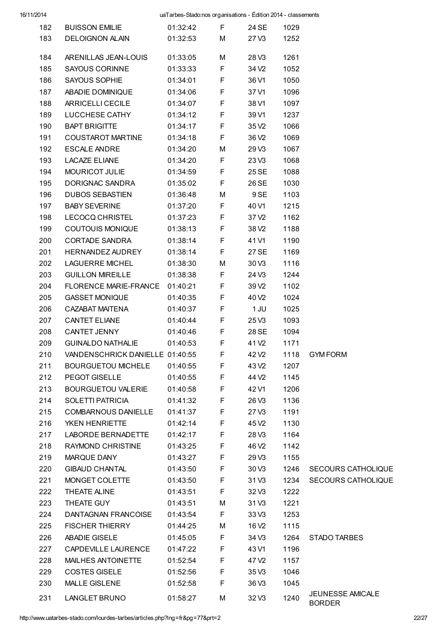| 182 | <b>BUISSON EMILIE</b>                         | 01:32:42 | F.          | 24 SE             | 1029 |                                   |
|-----|-----------------------------------------------|----------|-------------|-------------------|------|-----------------------------------|
| 183 | <b>DELOIGNON ALAIN</b>                        | 01:32:53 | M           | 27V3              | 1252 |                                   |
|     |                                               |          |             |                   |      |                                   |
| 184 | ARENILLAS JEAN-LOUIS                          | 01:33:05 | М           | 28 V3             | 1261 |                                   |
| 185 | <b>SAYOUS CORINNE</b><br><b>SAYOUS SOPHIE</b> | 01:33:33 | F.<br>F     | 34 V <sub>2</sub> | 1052 |                                   |
| 186 |                                               | 01:34:01 |             | 36 V1             | 1050 |                                   |
| 187 | ABADIE DOMINIQUE                              | 01:34:06 | F<br>F      | 37 V1             | 1096 |                                   |
| 188 | ARRICELLI CECILE<br>LUCCHESE CATHY            | 01:34:07 |             | 38 V1             | 1097 |                                   |
| 189 |                                               | 01:34:12 | F<br>F      | 39 V1             | 1237 |                                   |
| 190 | BAPT BRIGITTE                                 | 01:34:17 |             | 35 V <sub>2</sub> | 1066 |                                   |
| 191 | COUSTAROT MARTINE                             | 01:34:18 | F           | 36 V <sub>2</sub> | 1069 |                                   |
| 192 | ESCALE ANDRE                                  | 01:34:20 | М           | 29 V3             | 1067 |                                   |
| 193 | <b>LACAZE ELIANE</b>                          | 01:34:20 | F.          | 23V3              | 1068 |                                   |
| 194 | MOURICOT JULIE                                | 01:34:59 | F           | 25 SE             | 1088 |                                   |
| 195 | DORIGNAC SANDRA                               | 01:35:02 | F           | 26 SE             | 1030 |                                   |
| 196 | DUBOS SEBASTIEN                               | 01:36:48 | М           | 9 SE              | 1103 |                                   |
| 197 | <b>BABY SEVERINE</b>                          | 01:37:20 | F           | 40 V1             | 1215 |                                   |
| 198 | LECOCQ CHRISTEL                               | 01:37:23 | F           | 37 V <sub>2</sub> | 1162 |                                   |
| 199 | <b>COUTOUIS MONIQUE</b>                       | 01:38:13 | F           | 38 V <sub>2</sub> | 1188 |                                   |
| 200 | CORTADE SANDRA                                | 01:38:14 | F           | 41 V1             | 1190 |                                   |
| 201 | HERNANDEZ AUDREY                              | 01:38:14 | F           | 27 SE             | 1169 |                                   |
| 202 | <b>LAGUERRE MICHEL</b>                        | 01:38:30 | М           | 30 V3             | 1116 |                                   |
| 203 | <b>GUILLON MIREILLE</b>                       | 01:38:38 | F.          | 24 V3             | 1244 |                                   |
| 204 | FLORENCE MARIE-FRANCE 01:40:21                |          | F           | 39 V <sub>2</sub> | 1102 |                                   |
| 205 | <b>GASSET MONIQUE</b>                         | 01:40:35 | F           | 40 V <sub>2</sub> | 1024 |                                   |
| 206 | CAZABAT MAITENA                               | 01:40:37 | F           | 1 JU              | 1025 |                                   |
| 207 | CANTET ELIANE                                 | 01:40:44 | F           | 25V3              | 1093 |                                   |
| 208 | CANTET JENNY                                  | 01:40:46 | F           | 28 SE             | 1094 |                                   |
| 209 | GUINALDO NATHALIE                             | 01:40:53 | F           | 41 V <sub>2</sub> | 1171 |                                   |
| 210 | VANDENSCHRICK DANIELLE 01:40:55               |          | $\mathsf F$ | 42 V2             |      | 1118 GYM FORM                     |
| 211 | <b>BOURGUETOU MICHELE</b>                     | 01:40:55 | F           | 43 V <sub>2</sub> | 1207 |                                   |
| 212 | PEGOT GISELLE                                 | 01:40:55 | F           | 44 V <sub>2</sub> | 1145 |                                   |
| 213 | BOURGUETOU VALERIE                            | 01:40:58 | F           | 42 V1             | 1206 |                                   |
| 214 | <b>SOLETTI PATRICIA</b>                       | 01:41:32 | F           | 26 V3             | 1136 |                                   |
| 215 | <b>COMBARNOUS DANIELLE</b>                    | 01:41:37 | F           | 27V3              | 1191 |                                   |
| 216 | YKEN HENRIETTE                                | 01:42:14 | F           | 45 V <sub>2</sub> | 1130 |                                   |
| 217 | <b>LABORDE BERNADETTE</b>                     | 01:42:17 | F           | 28 V3             | 1164 |                                   |
| 218 | RAYMOND CHRISTINE                             | 01:43:25 | F           | 46 V <sub>2</sub> | 1142 |                                   |
| 219 | MARQUE DANY                                   | 01:43:27 | F           | 29 V3             | 1155 |                                   |
| 220 | <b>GIBAUD CHANTAL</b>                         | 01:43:50 | F           | 30 V3             | 1246 | <b>SECOURS CATHOLIQUE</b>         |
| 221 | MONGET COLETTE                                | 01:43:50 | F           | 31 V3             | 1234 | <b>SECOURS CATHOLIQUE</b>         |
| 222 | THEATE ALINE                                  | 01:43:51 | F           | 32 V3             | 1222 |                                   |
| 223 | THEATE GUY                                    | 01:43:51 | м           | 31 V3             | 1221 |                                   |
| 224 | DANTAGNAN FRANCOISE                           | 01:43:54 | F           | 33 V3             | 1253 |                                   |
| 225 | <b>FISCHER THIERRY</b>                        | 01:44:25 | м           | 16 V <sub>2</sub> | 1115 |                                   |
| 226 | ABADIE GISELE                                 | 01:45:05 | F           | 34 V3             | 1264 | STADO TARBES                      |
| 227 | CAPDEVILLE LAURENCE                           | 01:47:22 | F           | 43 V1             | 1196 |                                   |
| 228 | MAILHES ANTOINETTE                            | 01:52:54 | F           | 47 V2             | 1157 |                                   |
| 229 | <b>COSTES GISELE</b>                          | 01:52:56 | F           | 35 V3             | 1046 |                                   |
| 230 | <b>MALLE GISLENE</b>                          | 01:52:58 | F           | 36 V3             | 1045 |                                   |
| 231 | LANGLET BRUNO                                 | 01:58:27 | М           | 32 V3             | 1240 | JEUNESSE AMICALE<br><b>BORDER</b> |

http://www.uatarbes-stado.com/lourdes-tarbes/articles.php?lng=fr&pg=77&prt=2 22/27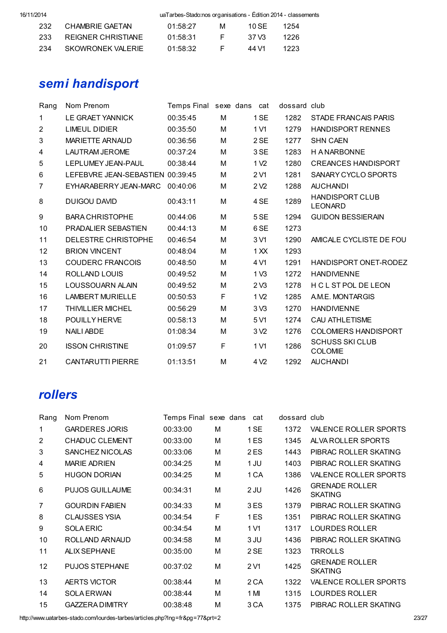| 232  | CHAMBRIE GAETAN    | 01:58:27 | M  | 10 SE | 1254 |
|------|--------------------|----------|----|-------|------|
| 233  | REIGNER CHRISTIANE | 01:58:31 |    | 37 V3 | 1226 |
| -234 | SKOWRONFK VALERIE  | 01:58:32 | н. | 44 V1 | 1223 |

# semi handisport

| Rang         | Nom Prenom                       | Temps Final sexe dans |   | cat              | dossard club |                                          |
|--------------|----------------------------------|-----------------------|---|------------------|--------------|------------------------------------------|
| 1            | <b>LE GRAET YANNICK</b>          | 00:35:45              | M | 1 SE             | 1282         | <b>STADE FRANCAIS PARIS</b>              |
| $\mathbf{2}$ | <b>LIMEUL DIDIER</b>             | 00:35:50              | м | 1 V1             | 1279         | <b>HANDISPORT RENNES</b>                 |
| 3            | <b>MARIETTE ARNAUD</b>           | 00:36:56              | M | 2 SE             | 1277         | <b>SHN CAEN</b>                          |
| 4            | <b>LAUTRAM JEROME</b>            | 00:37:24              | M | 3 SE             | 1283         | <b>HANARBONNE</b>                        |
| 5            | LEPLUMEY JEAN-PAUL               | 00:38:44              | M | 1 V <sub>2</sub> | 1280         | <b>CREANCES HANDISPORT</b>               |
| 6            | LEFEBVRE JEAN-SEBASTIEN 00:39:45 |                       | M | 2 V1             | 1281         | SANARY CYCLO SPORTS                      |
| 7            | EYHARABERRY JEAN-MARC            | 00:40:06              | M | 2 <sub>2</sub>   | 1288         | <b>AUCHANDI</b>                          |
| 8            | DUIGOU DAVID                     | 00:43:11              | м | 4 SE             | 1289         | <b>HANDISPORT CLUB</b><br><b>LEONARD</b> |
| 9            | <b>BARA CHRISTOPHE</b>           | 00:44:06              | M | 5 SE             | 1294         | <b>GUIDON BESSIERAIN</b>                 |
| 10           | PRADALIER SEBASTIEN              | 00:44:13              | м | 6 SE             | 1273         |                                          |
| 11           | DELESTRE CHRISTOPHE              | 00:46:54              | M | 3 V1             | 1290         | AMICALE CYCLISTE DE FOU                  |
| 12           | <b>BRION VINCENT</b>             | 00:48:04              | M | 1 X X            | 1293         |                                          |
| 13           | <b>COUDERC FRANCOIS</b>          | 00:48:50              | M | 4 V1             | 1291         | HANDISPORT ONET-RODEZ                    |
| 14           | ROLLAND LOUIS                    | 00:49:52              | M | 1 <sub>V3</sub>  | 1272         | <b>HANDIVIENNE</b>                       |
| 15           | <b>LOUSSOUARN ALAIN</b>          | 00:49:52              | M | 2 <sub>0</sub>   | 1278         | H C L ST POL DE LEON                     |
| 16           | <b>LAMBERT MURIELLE</b>          | 00:50:53              | F | 1 <sub>V2</sub>  | 1285         | A.M.E. MONTARGIS                         |
| 17           | <b>THIVILLIER MICHEL</b>         | 00:56:29              | M | 3 <sub>0</sub>   | 1270         | <b>HANDIVIENNE</b>                       |
| 18           | <b>POUILLY HERVE</b>             | 00:58:13              | м | 5 V1             | 1274         | <b>CAU ATHLETISME</b>                    |
| 19           | <b>NAILI ABDE</b>                | 01:08:34              | м | 3 <sub>2</sub>   | 1276         | <b>COLOMIERS HANDISPORT</b>              |
| 20           | <b>ISSON CHRISTINE</b>           | 01:09:57              | F | 1 V1             | 1286         | <b>SCHUSS SKI CLUB</b><br><b>COLOMIE</b> |
| 21           | <b>CANTARUTTI PIERRE</b>         | 01:13:51              | M | 4 V <sub>2</sub> | 1292         | <b>AUCHANDI</b>                          |

## rollers

| Rang           | Nom Prenom             | Temps Final sexe dans |   | cat  | dossard club |                                         |
|----------------|------------------------|-----------------------|---|------|--------------|-----------------------------------------|
| 1              | <b>GARDERES JORIS</b>  | 00:33:00              | M | 1 SE | 1372         | VALENCE ROLLER SPORTS                   |
| $\overline{2}$ | <b>CHADUC CLEMENT</b>  | 00:33:00              | м | 1ES  | 1345         | ALVA ROLLER SPORTS                      |
| 3              | SANCHEZ NICOLAS        | 00:33:06              | M | 2ES  | 1443         | PIBRAC ROLLER SKATING                   |
| 4              | <b>MARIE ADRIEN</b>    | 00:34:25              | М | 1 JU | 1403         | PIBRAC ROLLER SKATING                   |
| 5              | <b>HUGON DORIAN</b>    | 00:34:25              | M | 1 CA | 1386         | VALENCE ROLLER SPORTS                   |
| 6              | <b>PUJOS GUILLAUME</b> | 00:34:31              | M | 2 JU | 1426         | <b>GRENADE ROLLER</b><br><b>SKATING</b> |
| $\overline{7}$ | <b>GOURDIN FABIEN</b>  | 00:34:33              | M | 3 ES | 1379         | PIBRAC ROLLER SKATING                   |
| 8              | <b>CLAUSSES YSIA</b>   | 00:34:54              | F | 1ES  | 1351         | PIBRAC ROLLER SKATING                   |
| 9              | <b>SOLA ERIC</b>       | 00:34:54              | М | 1 V1 | 1317         | LOURDES ROLLER                          |
| 10             | ROLLAND ARNAUD         | 00:34:58              | M | 3 JU | 1436         | PIBRAC ROLLER SKATING                   |
| 11             | ALIX SEPHANE           | 00:35:00              | м | 2 SE | 1323         | <b>TRROLLS</b>                          |
| 12             | <b>PUJOS STEPHANE</b>  | 00:37:02              | M | 2 V1 | 1425         | <b>GRENADE ROLLER</b><br><b>SKATING</b> |
| 13             | AERTS VICTOR           | 00:38:44              | M | 2 CA | 1322         | VALENCE ROLLER SPORTS                   |
| 14             | <b>SOLA ERWAN</b>      | 00:38:44              | М | 1 MI | 1315         | LOURDES ROLLER                          |
| 15             | <b>GAZZERA DIMITRY</b> | 00:38:48              | M | 3 CA | 1375         | PIBRAC ROLLER SKATING                   |

http://www.uatarbes-stado.com/lourdes-tarbes/articles.php?lng=fr&pg=77&prt=2 23/27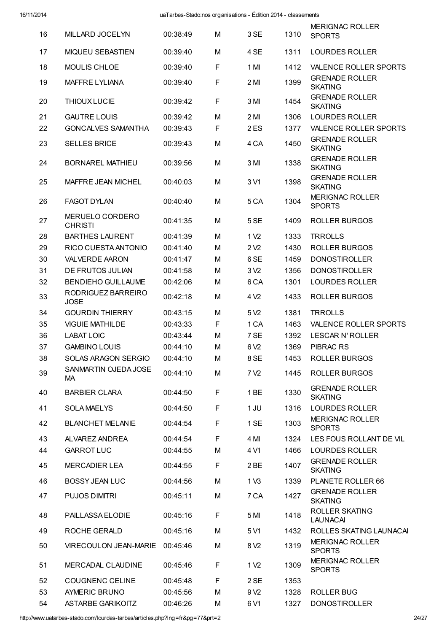| 16 | MILLARD JOCELYN                   | 00:38:49 | M | 3 SE             | 1310 | <b>MERIGNAC ROLLER</b><br><b>SPORTS</b> |
|----|-----------------------------------|----------|---|------------------|------|-----------------------------------------|
| 17 | <b>MIQUEU SEBASTIEN</b>           | 00:39:40 | M | 4 SE             | 1311 | <b>LOURDES ROLLER</b>                   |
| 18 | <b>MOULIS CHLOE</b>               | 00:39:40 | F | 1 MI             | 1412 | <b>VALENCE ROLLER SPORTS</b>            |
| 19 | <b>MAFFRE LYLIANA</b>             | 00:39:40 | F | 2M               | 1399 | <b>GRENADE ROLLER</b><br><b>SKATING</b> |
| 20 | <b>THIOUX LUCIE</b>               | 00:39:42 | F | 3 MI             | 1454 | <b>GRENADE ROLLER</b><br><b>SKATING</b> |
| 21 | <b>GAUTRE LOUIS</b>               | 00:39:42 | M | 2 MI             | 1306 | <b>LOURDES ROLLER</b>                   |
| 22 | <b>GONCALVES SAMANTHA</b>         | 00:39:43 | F | 2ES              | 1377 | <b>VALENCE ROLLER SPORTS</b>            |
| 23 | <b>SELLES BRICE</b>               | 00:39:43 | M | 4 CA             | 1450 | <b>GRENADE ROLLER</b><br><b>SKATING</b> |
| 24 | <b>BORNAREL MATHIEU</b>           | 00:39:56 | M | 3 MI             | 1338 | <b>GRENADE ROLLER</b><br><b>SKATING</b> |
| 25 | <b>MAFFRE JEAN MICHEL</b>         | 00:40:03 | M | 3 V1             | 1398 | <b>GRENADE ROLLER</b><br><b>SKATING</b> |
| 26 | <b>FAGOT DYLAN</b>                | 00:40:40 | M | 5 <sub>CA</sub>  | 1304 | <b>MERIGNAC ROLLER</b><br><b>SPORTS</b> |
| 27 | MERUELO CORDERO<br><b>CHRISTI</b> | 00:41:35 | M | 5 SE             | 1409 | ROLLER BURGOS                           |
| 28 | <b>BARTHES LAURENT</b>            | 00:41:39 | M | 1 V <sub>2</sub> | 1333 | <b>TRROLLS</b>                          |
| 29 | RICO CUESTA ANTONIO               | 00:41:40 | M | 2 <sub>V2</sub>  | 1430 | ROLLER BURGOS                           |
| 30 | <b>VALVERDE AARON</b>             | 00:41:47 | M | 6 <sub>SE</sub>  | 1459 | <b>DONOSTIROLLER</b>                    |
| 31 | DE FRUTOS JULIAN                  | 00:41:58 | М | 3 <sub>V2</sub>  | 1356 | <b>DONOSTIROLLER</b>                    |
| 32 | <b>BENDIEHO GUILLAUME</b>         | 00:42:06 | M | 6 <sub>CA</sub>  | 1301 | <b>LOURDES ROLLER</b>                   |
| 33 | RODRIGUEZ BARREIRO<br><b>JOSE</b> | 00:42:18 | M | 4 V <sub>2</sub> | 1433 | <b>ROLLER BURGOS</b>                    |
| 34 | <b>GOURDIN THIERRY</b>            | 00:43:15 | M | 5 V <sub>2</sub> | 1381 | <b>TRROLLS</b>                          |
| 35 | <b>VIGUIE MATHILDE</b>            | 00:43:33 | F | 1 CA             | 1463 | <b>VALENCE ROLLER SPORTS</b>            |
| 36 | <b>LABAT LOIC</b>                 | 00:43:44 | M | 7 SE             | 1392 | <b>LESCAR N' ROLLER</b>                 |
| 37 | <b>GAMBINO LOUIS</b>              | 00:44:10 | M | 6 V <sub>2</sub> | 1369 | <b>PIBRAC RS</b>                        |
| 38 | SOLAS ARAGON SERGIO               | 00:44:10 | M | 8 SE             | 1453 | <b>ROLLER BURGOS</b>                    |
| 39 | SANMARTIN OJEDA JOSE<br>МA        | 00:44:10 | M | 7 V <sub>2</sub> | 1445 | ROLLER BURGOS                           |
| 40 | <b>BARBIER CLARA</b>              | 00:44:50 | F | 1 <sub>BE</sub>  | 1330 | <b>GRENADE ROLLER</b><br><b>SKATING</b> |
| 41 | <b>SOLA MAELYS</b>                | 00:44:50 | F | 1 JU             | 1316 | <b>LOURDES ROLLER</b>                   |
| 42 | <b>BLANCHET MELANIE</b>           | 00:44:54 | F | 1 SE             | 1303 | <b>MERIGNAC ROLLER</b><br><b>SPORTS</b> |
| 43 | ALVAREZ ANDREA                    | 00:44:54 | F | 4 MI             | 1324 | LES FOUS ROLLANT DE VIL                 |
| 44 | <b>GARROT LUC</b>                 | 00:44:55 | М | 4 V1             | 1466 | <b>LOURDES ROLLER</b>                   |
| 45 | <b>MERCADIER LEA</b>              | 00:44:55 | F | 2BE              | 1407 | <b>GRENADE ROLLER</b><br><b>SKATING</b> |
| 46 | <b>BOSSY JEAN LUC</b>             | 00:44:56 | M | 1 <sub>V3</sub>  | 1339 | PLANETE ROLLER 66                       |
| 47 | <b>PUJOS DIMITRI</b>              | 00:45:11 | M | 7 CA             | 1427 | <b>GRENADE ROLLER</b><br><b>SKATING</b> |
| 48 | PAILLASSA ELODIE                  | 00:45:16 | F | 5 MI             | 1418 | ROLLER SKATING<br><b>LAUNACAI</b>       |
| 49 | ROCHE GERALD                      | 00:45:16 | M | 5 V1             | 1432 | ROLLES SKATING LAUNACAI                 |
| 50 | <b>VIRECOULON JEAN-MARIE</b>      | 00:45:46 | M | 8 V <sub>2</sub> | 1319 | <b>MERIGNAC ROLLER</b><br><b>SPORTS</b> |
| 51 | MERCADAL CLAUDINE                 | 00:45:46 | F | 1 V <sub>2</sub> | 1309 | <b>MERIGNAC ROLLER</b><br><b>SPORTS</b> |
| 52 | <b>COUGNENC CELINE</b>            | 00:45:48 | F | 2 SE             | 1353 |                                         |
| 53 | <b>AYMERIC BRUNO</b>              | 00:45:56 | M | 9 V <sub>2</sub> | 1328 | <b>ROLLER BUG</b>                       |
| 54 | ASTARBE GARIKOITZ                 | 00:46:26 | М | 6 V1             | 1327 | <b>DONOSTIROLLER</b>                    |

http://www.uatarbes-stado.com/lourdes-tarbes/articles.php?lng=fr&pg=77&prt=2 24/27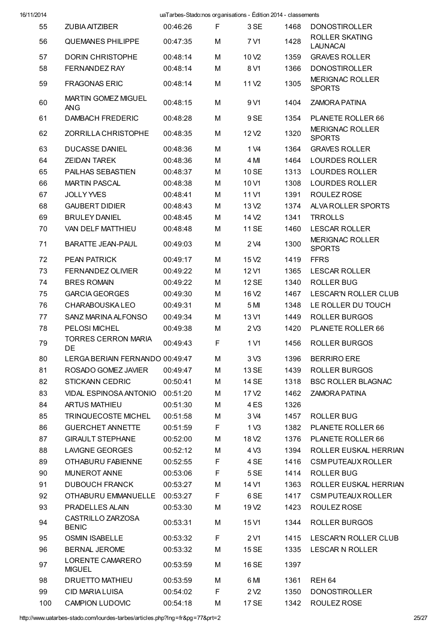| 55  | <b>ZUBIA AITZIBER</b>                    | 00:46:26 | F | 3 SE              | 1468 | <b>DONOSTIROLLER</b>                     |
|-----|------------------------------------------|----------|---|-------------------|------|------------------------------------------|
| 56  | <b>QUEMANES PHILIPPE</b>                 | 00:47:35 | M | 7 V1              | 1428 | <b>ROLLER SKATING</b><br><b>LAUNACAI</b> |
| 57  | <b>DORIN CHRISTOPHE</b>                  | 00:48:14 | М | 10 <sub>V2</sub>  | 1359 | <b>GRAVES ROLLER</b>                     |
| 58  | <b>FERNANDEZ RAY</b>                     | 00:48:14 | M | 8 V1              | 1366 | <b>DONOSTIROLLER</b>                     |
| 59  | <b>FRAGONAS ERIC</b>                     | 00:48:14 | М | 11 V <sub>2</sub> | 1305 | <b>MERIGNAC ROLLER</b><br><b>SPORTS</b>  |
| 60  | <b>MARTIN GOMEZ MIGUEL</b><br><b>ANG</b> | 00:48:15 | М | 9 V1              | 1404 | ZAMORA PATINA                            |
| 61  | DAMBACH FREDERIC                         | 00:48:28 | M | 9SE               | 1354 | PLANETE ROLLER 66                        |
| 62  | ZORRILLA CHRISTOPHE                      | 00:48:35 | М | 12 V <sub>2</sub> | 1320 | <b>MERIGNAC ROLLER</b><br><b>SPORTS</b>  |
| 63  | <b>DUCASSE DANIEL</b>                    | 00:48:36 | М | 1 V <sub>4</sub>  | 1364 | <b>GRAVES ROLLER</b>                     |
| 64  | <b>ZEIDAN TAREK</b>                      | 00:48:36 | М | 4 MI              | 1464 | <b>LOURDES ROLLER</b>                    |
| 65  | <b>PAILHAS SEBASTIEN</b>                 | 00:48:37 | М | 10 SE             | 1313 | <b>LOURDES ROLLER</b>                    |
| 66  | <b>MARTIN PASCAL</b>                     | 00:48:38 | М | 10 <sub>V1</sub>  | 1308 | <b>LOURDES ROLLER</b>                    |
| 67  | <b>JOLLY YVES</b>                        | 00:48:41 | М | 11 V1             | 1391 | ROULEZ ROSE                              |
| 68  | <b>GAUBERT DIDIER</b>                    | 00:48:43 | М | 13 V <sub>2</sub> | 1374 | ALVA ROLLER SPORTS                       |
| 69  | <b>BRULEY DANIEL</b>                     | 00:48:45 | М | 14 V <sub>2</sub> | 1341 | <b>TRROLLS</b>                           |
| 70  | VAN DELF MATTHIEU                        | 00:48:48 | м | <b>11 SE</b>      | 1460 | <b>LESCAR ROLLER</b>                     |
| 71  | <b>BARATTE JEAN-PAUL</b>                 | 00:49:03 | M | 2 V4              | 1300 | <b>MERIGNAC ROLLER</b><br><b>SPORTS</b>  |
| 72  | <b>PEAN PATRICK</b>                      | 00:49:17 | М | 15 V <sub>2</sub> | 1419 | <b>FFRS</b>                              |
| 73  | <b>FERNANDEZ OLIVIER</b>                 | 00:49:22 | М | 12 V1             | 1365 | <b>LESCAR ROLLER</b>                     |
| 74  | <b>BRES ROMAIN</b>                       | 00:49:22 | М | <b>12 SE</b>      | 1340 | <b>ROLLER BUG</b>                        |
| 75  | <b>GARCIA GEORGES</b>                    | 00:49:30 | М | 16 V <sub>2</sub> | 1467 | LESCAR'N ROLLER CLUB                     |
| 76  | <b>CHARABOUSKALEO</b>                    | 00:49:31 | М | 5 MI              | 1348 | LE ROLLER DU TOUCH                       |
| 77  | SANZ MARINA ALFONSO                      | 00:49:34 | м | 13 V1             | 1449 | <b>ROLLER BURGOS</b>                     |
| 78  | <b>PELOSI MICHEL</b>                     | 00:49:38 | М | 2 <sub>V3</sub>   | 1420 | PLANETE ROLLER 66                        |
| 79  | <b>TORRES CERRON MARIA</b><br>DE         | 00:49:43 | F | 1 V1              | 1456 | <b>ROLLER BURGOS</b>                     |
| 80  | LERGA BERIAIN FERNANDO 00:49:47          |          | М | 3 <sub>0</sub>    | 1396 | <b>BERRIRO ERE</b>                       |
| 81  | ROSADO GOMEZ JAVIER                      | 00:49:47 | М | 13 SE             | 1439 | <b>ROLLER BURGOS</b>                     |
| 82  | <b>STICKANN CEDRIC</b>                   | 00:50:41 | М | 14 SE             | 1318 | <b>BSC ROLLER BLAGNAC</b>                |
| 83  | <b>VIDAL ESPINOSA ANTONIO</b>            | 00:51:20 | М | 17 V <sub>2</sub> | 1462 | <b>ZAMORA PATINA</b>                     |
| 84  | <b>ARTUS MATHIEU</b>                     | 00:51:30 | М | 4 ES              | 1326 |                                          |
| 85  | <b>TRINQUECOSTE MICHEL</b>               | 00:51:58 | М | 3 V4              | 1457 | ROLLER BUG                               |
| 86  | <b>GUERCHET ANNETTE</b>                  | 00:51:59 | F | 1 <sub>V3</sub>   | 1382 | PLANETE ROLLER 66                        |
| 87  | <b>GIRAULT STEPHANE</b>                  | 00:52:00 | М | 18 V <sub>2</sub> | 1376 | PLANETE ROLLER 66                        |
| 88  | <b>LAVIGNE GEORGES</b>                   | 00:52:12 | М | 4 V3              | 1394 | ROLLER EUSKAL HERRIAN                    |
| 89  | OTHABURU FABIENNE                        | 00:52:55 | F | 4 SE              | 1416 | <b>CSM PUTEAUX ROLLER</b>                |
| 90  | <b>MUNEROT ANNE</b>                      | 00:53:06 | F | 5 SE              | 1414 | <b>ROLLER BUG</b>                        |
| 91  | <b>DUBOUCH FRANCK</b>                    | 00:53:27 | М | 14 V1             | 1363 | ROLLER EUSKAL HERRIAN                    |
| 92  | OTHABURU EMMANUELLE                      | 00:53:27 | F | 6 SE              | 1417 | <b>CSM PUTEAUX ROLLER</b>                |
| 93  | <b>PRADELLES ALAIN</b>                   | 00:53:30 | М | 19 V <sub>2</sub> | 1423 | ROULEZ ROSE                              |
| 94  | CASTRILLO ZARZOSA<br><b>BENIC</b>        | 00:53:31 | М | 15 V1             | 1344 | <b>ROLLER BURGOS</b>                     |
| 95  | <b>OSMIN ISABELLE</b>                    | 00:53:32 | F | 2 V1              | 1415 | LESCAR'N ROLLER CLUB                     |
| 96  | BERNAL JEROME                            | 00:53:32 | М | 15 SE             | 1335 | <b>LESCAR N ROLLER</b>                   |
| 97  | LORENTE CAMARERO<br><b>MIGUEL</b>        | 00:53:59 | М | 16 SE             | 1397 |                                          |
| 98  | <b>DRUETTO MATHIEU</b>                   | 00:53:59 | М | 6 MI              | 1361 | REH <sub>64</sub>                        |
| 99  | <b>CID MARIA LUISA</b>                   | 00:54:02 | F | 2 <sub>V2</sub>   | 1350 | <b>DONOSTIROLLER</b>                     |
| 100 | <b>CAMPION LUDOVIC</b>                   | 00:54:18 | М | 17 SE             | 1342 | ROULEZ ROSE                              |

http://www.uatarbes-stado.com/lourdes-tarbes/articles.php?lng=fr&pg=77&prt=2 25/27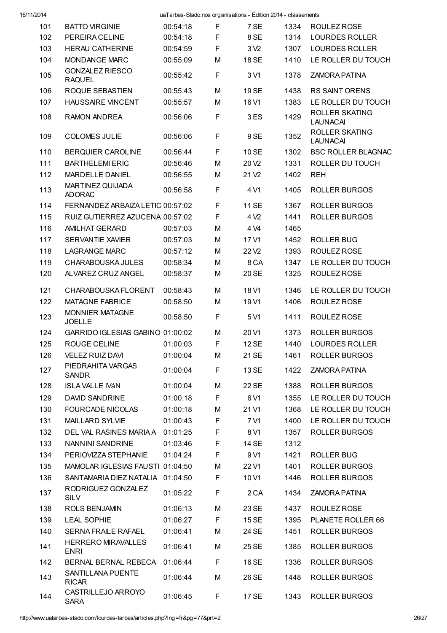| 16/11/2014 |                                          | uaTarbes-Stado:nos organisations - Édition 2014 - classements |             |                   |      |                                          |
|------------|------------------------------------------|---------------------------------------------------------------|-------------|-------------------|------|------------------------------------------|
| 101        | <b>BATTO VIRGINIE</b>                    | 00:54:18                                                      | F           | 7 SE              | 1334 | ROULEZ ROSE                              |
| 102        | PEREIRA CELINE                           | 00:54:18                                                      | F           | 8SE               | 1314 | <b>LOURDES ROLLER</b>                    |
| 103        | <b>HERAU CATHERINE</b>                   | 00:54:59                                                      | F           | 3 <sub>2</sub>    | 1307 | <b>LOURDES ROLLER</b>                    |
| 104        | MONDANGE MARC                            | 00:55:09                                                      | M           | 18 SE             | 1410 | LE ROLLER DU TOUCH                       |
| 105        | <b>GONZALEZ RIESCO</b><br><b>RAQUEL</b>  | 00:55:42                                                      | $\mathsf F$ | 3 V1              | 1378 | <b>ZAMORA PATINA</b>                     |
| 106        | ROQUE SEBASTIEN                          | 00:55:43                                                      | M           | 19 SE             | 1438 | <b>RS SAINT ORENS</b>                    |
| 107        | <b>HAUSSAIRE VINCENT</b>                 | 00:55:57                                                      | M           | 16 V1             | 1383 | LE ROLLER DU TOUCH                       |
| 108        | <b>RAMON ANDREA</b>                      | 00:56:06                                                      | F           | 3ES               | 1429 | <b>ROLLER SKATING</b><br><b>LAUNACAI</b> |
| 109        | <b>COLOMES JULIE</b>                     | 00:56:06                                                      | F           | 9SE               | 1352 | <b>ROLLER SKATING</b><br><b>LAUNACAI</b> |
| 110        | BERQUIER CAROLINE                        | 00:56:44                                                      | $\mathsf F$ | 10 SE             | 1302 | <b>BSC ROLLER BLAGNAC</b>                |
| 111        | <b>BARTHELEMI ERIC</b>                   | 00:56:46                                                      | M           | 20 <sub>V2</sub>  | 1331 | ROLLER DU TOUCH                          |
| 112        | <b>MARDELLE DANIEL</b>                   | 00:56:55                                                      | M           | 21 V <sub>2</sub> | 1402 | <b>REH</b>                               |
| 113        | MARTINEZ QUIJADA<br><b>ADORAC</b>        | 00:56:58                                                      | F           | 4 V1              | 1405 | <b>ROLLER BURGOS</b>                     |
| 114        | FERNANDEZ ARBAIZA LETIC 00:57:02         |                                                               | F           | 11 SE             | 1367 | <b>ROLLER BURGOS</b>                     |
| 115        | RUIZ GUTIERREZ AZUCENA 00:57:02          |                                                               | F           | 4 V <sub>2</sub>  | 1441 | <b>ROLLER BURGOS</b>                     |
| 116        | <b>AMILHAT GERARD</b>                    | 00:57:03                                                      | M           | 4 V4              | 1465 |                                          |
| 117        | <b>SERVANTIE XAVIER</b>                  | 00:57:03                                                      | M           | 17 V1             | 1452 | <b>ROLLER BUG</b>                        |
| 118        | <b>LAGRANGE MARC</b>                     | 00:57:12                                                      | M           | 22V <sub>2</sub>  | 1393 | ROULEZ ROSE                              |
| 119        | CHARABOUSKA JULES                        | 00:58:34                                                      | M           | 8 <sub>CA</sub>   | 1347 | LE ROLLER DU TOUCH                       |
| 120        | ALVAREZ CRUZ ANGEL                       | 00:58:37                                                      | M           | 20 SE             | 1325 | ROULEZ ROSE                              |
|            |                                          |                                                               |             |                   |      |                                          |
| 121        | CHARABOUSKA FLORENT                      | 00:58:43                                                      | M           | 18 V1             | 1346 | LE ROLLER DU TOUCH                       |
| 122        | <b>MATAGNE FABRICE</b>                   | 00:58:50                                                      | M           | 19 <sub>V1</sub>  | 1406 | ROULEZ ROSE                              |
| 123        | <b>MONNIER MATAGNE</b><br><b>JOELLE</b>  | 00:58:50                                                      | F           | 5 V1              | 1411 | ROULEZ ROSE                              |
| 124        | GARRIDO IGLESIAS GABINO 01:00:02         |                                                               | M           | 20 V1             | 1373 | <b>ROLLER BURGOS</b>                     |
| 125        | ROUGE CELINE                             | 01:00:03                                                      | F           | <b>12 SE</b>      | 1440 | <b>LOURDES ROLLER</b>                    |
| 126        | <b>VELEZ RUIZ DAVI</b>                   | 01:00:04                                                      | М           | 21 SE             | 1461 | <b>ROLLER BURGOS</b>                     |
| 127        | PIEDRAHITA VARGAS<br><b>SANDR</b>        | 01:00:04                                                      | $\mathsf F$ | <b>13 SE</b>      | 1422 | <b>ZAMORA PATINA</b>                     |
| 128        | <b>ISLA VALLE IVÁN</b>                   | 01:00:04                                                      | M           | 22 SE             | 1388 | <b>ROLLER BURGOS</b>                     |
| 129        | DAVID SANDRINE                           | 01:00:18                                                      | F           | 6 V1              | 1355 | LE ROLLER DU TOUCH                       |
| 130        | <b>FOURCADE NICOLAS</b>                  | 01:00:18                                                      | М           | 21 V1             | 1368 | LE ROLLER DU TOUCH                       |
| 131        | MAILLARD SYLVIE                          | 01:00:43                                                      | F           | 7 V1              | 1400 | LE ROLLER DU TOUCH                       |
| 132        | DEL VAL RASINES MARIA A                  | 01:01:25                                                      | F           | 8 V1              | 1357 | ROLLER BURGOS                            |
| 133        | <b>NANNINI SANDRINE</b>                  | 01:03:46                                                      | F           | 14 SE             | 1312 |                                          |
| 134        | PERIOVIZZA STEPHANIE                     | 01:04:24                                                      | F           | 9 V1              | 1421 | <b>ROLLER BUG</b>                        |
| 135        | MAMOLAR IGLESIAS FAUSTI 01:04:50         |                                                               | M           | 22 V1             | 1401 | <b>ROLLER BURGOS</b>                     |
| 136        | SANTAMARIA DIEZ NATALIA                  | 01:04:50                                                      | F           | 10 <sub>V1</sub>  | 1446 | ROLLER BURGOS                            |
| 137        | RODRIGUEZ GONZALEZ<br><b>SILV</b>        | 01:05:22                                                      | F           | 2 CA              | 1434 | <b>ZAMORA PATINA</b>                     |
| 138        | ROLS BENJAMIN                            | 01:06:13                                                      | M           | 23 SE             | 1437 | ROULEZ ROSE                              |
| 139        | <b>LEAL SOPHIE</b>                       | 01:06:27                                                      | F           | 15 SE             | 1395 | PLANETE ROLLER 66                        |
| 140        | <b>SERNA FRAILE RAFAEL</b>               | 01:06:41                                                      | M           | 24 SE             | 1451 | <b>ROLLER BURGOS</b>                     |
| 141        | <b>HERRERO MIRAVALLES</b><br><b>ENRI</b> | 01:06:41                                                      | M           | 25 SE             | 1385 | <b>ROLLER BURGOS</b>                     |
| 142        | BERNAL BERNAL REBECA                     | 01:06:44                                                      | F           | 16 SE             | 1336 | <b>ROLLER BURGOS</b>                     |
| 143        | SANTILLANA PUENTE<br><b>RICAR</b>        | 01:06:44                                                      | M           | 26 SE             | 1448 | <b>ROLLER BURGOS</b>                     |
| 144        | CASTRILLEJO ARROYO<br><b>SARA</b>        | 01:06:45                                                      | F           | 17 SE             | 1343 | <b>ROLLER BURGOS</b>                     |